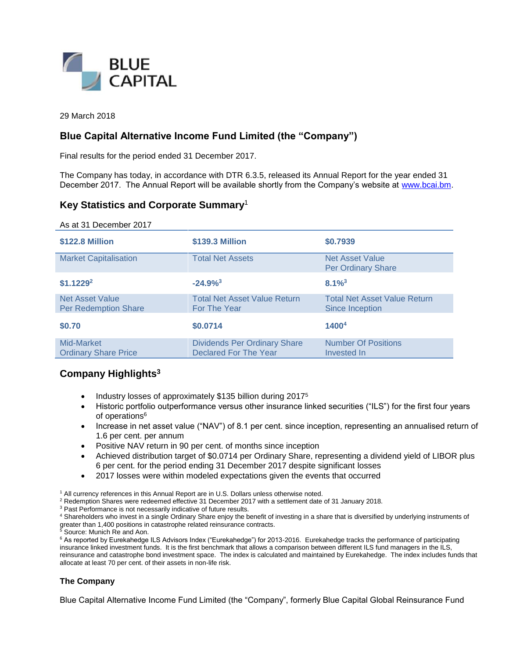

29 March 2018

## **Blue Capital Alternative Income Fund Limited (the "Company")**

Final results for the period ended 31 December 2017.

The Company has today, in accordance with DTR 6.3.5, released its Annual Report for the year ended 31 December 2017. The Annual Report will be available shortly from the Company's website at [www.bcai.bm.](http://www.bcai.bm/)

## **Key Statistics and Corporate Summary**<sup>1</sup>

| As at 31 December 2017                                |                                                              |                                                        |
|-------------------------------------------------------|--------------------------------------------------------------|--------------------------------------------------------|
| \$122.8 Million                                       | \$139.3 Million                                              | \$0.7939                                               |
| <b>Market Capitalisation</b>                          | <b>Total Net Assets</b>                                      | <b>Net Asset Value</b><br><b>Per Ordinary Share</b>    |
| $$1.1229^2$                                           | $-24.9%^{3}$                                                 | $8.1\%$ <sup>3</sup>                                   |
| <b>Net Asset Value</b><br><b>Per Redemption Share</b> | <b>Total Net Asset Value Return</b><br>For The Year          | <b>Total Net Asset Value Return</b><br>Since Inception |
| \$0.70                                                | \$0.0714                                                     | <b>1400<sup>4</sup></b>                                |
| Mid-Market<br><b>Ordinary Share Price</b>             | <b>Dividends Per Ordinary Share</b><br>Declared For The Year | <b>Number Of Positions</b><br>Invested In              |

## **Company Highlights<sup>3</sup>**

- Industry losses of approximately \$135 billion during 2017<sup>5</sup>
- Historic portfolio outperformance versus other insurance linked securities ("ILS") for the first four years of operations<sup>6</sup>
- Increase in net asset value ("NAV") of 8.1 per cent. since inception, representing an annualised return of 1.6 per cent. per annum
- Positive NAV return in 90 per cent. of months since inception
- Achieved distribution target of \$0.0714 per Ordinary Share, representing a dividend yield of LIBOR plus 6 per cent. for the period ending 31 December 2017 despite significant losses
- 2017 losses were within modeled expectations given the events that occurred

<sup>1</sup> All currency references in this Annual Report are in U.S. Dollars unless otherwise noted.

<sup>2</sup> Redemption Shares were redeemed effective 31 December 2017 with a settlement date of 31 January 2018.

<sup>3</sup> Past Performance is not necessarily indicative of future results.

<sup>4</sup> Shareholders who invest in a single Ordinary Share enjoy the benefit of investing in a share that is diversified by underlying instruments of greater than 1,400 positions in catastrophe related reinsurance contracts.

<sup>5</sup> Source: Munich Re and Aon.

<sup>6</sup> As reported by Eurekahedge ILS Advisors Index ("Eurekahedge") for 2013-2016. Eurekahedge tracks the performance of participating insurance linked investment funds. It is the first benchmark that allows a comparison between different ILS fund managers in the ILS, reinsurance and catastrophe bond investment space. The index is calculated and maintained by Eurekahedge. The index includes funds that allocate at least 70 per cent. of their assets in non-life risk.

## **The Company**

Blue Capital Alternative Income Fund Limited (the "Company", formerly Blue Capital Global Reinsurance Fund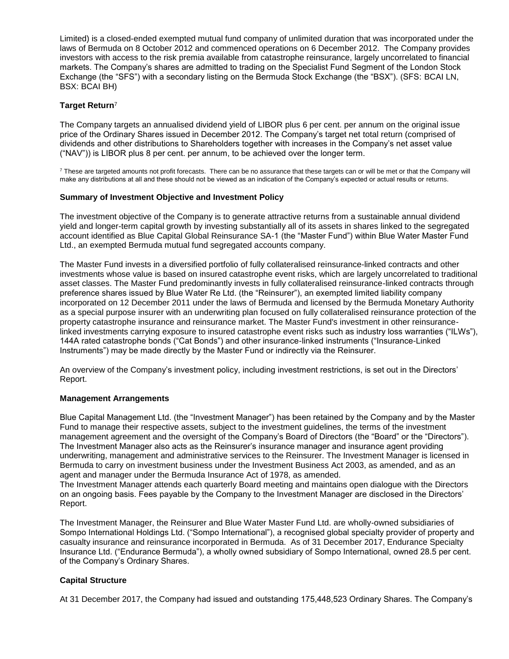Limited) is a closed-ended exempted mutual fund company of unlimited duration that was incorporated under the laws of Bermuda on 8 October 2012 and commenced operations on 6 December 2012. The Company provides investors with access to the risk premia available from catastrophe reinsurance, largely uncorrelated to financial markets. The Company's shares are admitted to trading on the Specialist Fund Segment of the London Stock Exchange (the "SFS") with a secondary listing on the Bermuda Stock Exchange (the "BSX"). (SFS: BCAI LN, BSX: BCAI BH)

## **Target Return**<sup>7</sup>

The Company targets an annualised dividend yield of LIBOR plus 6 per cent. per annum on the original issue price of the Ordinary Shares issued in December 2012. The Company's target net total return (comprised of dividends and other distributions to Shareholders together with increases in the Company's net asset value ("NAV")) is LIBOR plus 8 per cent. per annum, to be achieved over the longer term.

 $7$  These are targeted amounts not profit forecasts. There can be no assurance that these targets can or will be met or that the Company will make any distributions at all and these should not be viewed as an indication of the Company's expected or actual results or returns.

## **Summary of Investment Objective and Investment Policy**

The investment objective of the Company is to generate attractive returns from a sustainable annual dividend yield and longer-term capital growth by investing substantially all of its assets in shares linked to the segregated account identified as Blue Capital Global Reinsurance SA-1 (the "Master Fund") within Blue Water Master Fund Ltd., an exempted Bermuda mutual fund segregated accounts company.

The Master Fund invests in a diversified portfolio of fully collateralised reinsurance-linked contracts and other investments whose value is based on insured catastrophe event risks, which are largely uncorrelated to traditional asset classes. The Master Fund predominantly invests in fully collateralised reinsurance-linked contracts through preference shares issued by Blue Water Re Ltd. (the "Reinsurer"), an exempted limited liability company incorporated on 12 December 2011 under the laws of Bermuda and licensed by the Bermuda Monetary Authority as a special purpose insurer with an underwriting plan focused on fully collateralised reinsurance protection of the property catastrophe insurance and reinsurance market. The Master Fund's investment in other reinsurancelinked investments carrying exposure to insured catastrophe event risks such as industry loss warranties ("ILWs"), 144A rated catastrophe bonds ("Cat Bonds") and other insurance-linked instruments ("Insurance-Linked Instruments") may be made directly by the Master Fund or indirectly via the Reinsurer.

An overview of the Company's investment policy, including investment restrictions, is set out in the Directors' Report.

## **Management Arrangements**

Blue Capital Management Ltd. (the "Investment Manager") has been retained by the Company and by the Master Fund to manage their respective assets, subject to the investment guidelines, the terms of the investment management agreement and the oversight of the Company's Board of Directors (the "Board" or the "Directors"). The Investment Manager also acts as the Reinsurer's insurance manager and insurance agent providing underwriting, management and administrative services to the Reinsurer. The Investment Manager is licensed in Bermuda to carry on investment business under the Investment Business Act 2003, as amended, and as an agent and manager under the Bermuda Insurance Act of 1978, as amended.

The Investment Manager attends each quarterly Board meeting and maintains open dialogue with the Directors on an ongoing basis. Fees payable by the Company to the Investment Manager are disclosed in the Directors' Report.

The Investment Manager, the Reinsurer and Blue Water Master Fund Ltd. are wholly-owned subsidiaries of Sompo International Holdings Ltd. ("Sompo International"), a recognised global specialty provider of property and casualty insurance and reinsurance incorporated in Bermuda. As of 31 December 2017, Endurance Specialty Insurance Ltd. ("Endurance Bermuda"), a wholly owned subsidiary of Sompo International, owned 28.5 per cent. of the Company's Ordinary Shares.

## **Capital Structure**

At 31 December 2017, the Company had issued and outstanding 175,448,523 Ordinary Shares. The Company's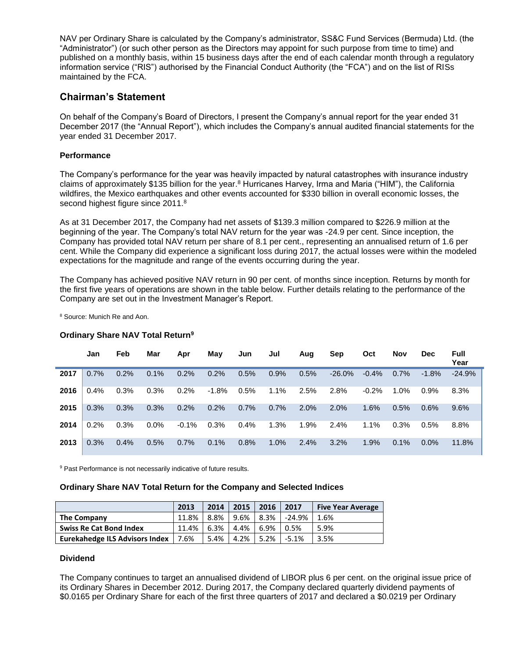NAV per Ordinary Share is calculated by the Company's administrator, SS&C Fund Services (Bermuda) Ltd. (the "Administrator") (or such other person as the Directors may appoint for such purpose from time to time) and published on a monthly basis, within 15 business days after the end of each calendar month through a regulatory information service ("RIS") authorised by the Financial Conduct Authority (the "FCA") and on the list of RISs maintained by the FCA.

## **Chairman's Statement**

On behalf of the Company's Board of Directors, I present the Company's annual report for the year ended 31 December 2017 (the "Annual Report"), which includes the Company's annual audited financial statements for the year ended 31 December 2017.

## **Performance**

The Company's performance for the year was heavily impacted by natural catastrophes with insurance industry claims of approximately \$135 billion for the year.<sup>8</sup> Hurricanes Harvey, Irma and Maria ("HIM"), the California wildfires, the Mexico earthquakes and other events accounted for \$330 billion in overall economic losses, the second highest figure since 2011.<sup>8</sup>

As at 31 December 2017, the Company had net assets of \$139.3 million compared to \$226.9 million at the beginning of the year. The Company's total NAV return for the year was -24.9 per cent. Since inception, the Company has provided total NAV return per share of 8.1 per cent., representing an annualised return of 1.6 per cent. While the Company did experience a significant loss during 2017, the actual losses were within the modeled expectations for the magnitude and range of the events occurring during the year.

The Company has achieved positive NAV return in 90 per cent. of months since inception. Returns by month for the first five years of operations are shown in the table below. Further details relating to the performance of the Company are set out in the Investment Manager's Report.

<sup>8</sup> Source: Munich Re and Aon.

## **Ordinary Share NAV Total Return<sup>9</sup>**

|      | Jan  | Feb  | Mar     | Apr     | May     | Jun  | Jul  | Aug  | Sep      | Oct     | <b>Nov</b> | <b>Dec</b> | <b>Full</b><br>Year |
|------|------|------|---------|---------|---------|------|------|------|----------|---------|------------|------------|---------------------|
| 2017 | 0.7% | 0.2% | 0.1%    | 0.2%    | 0.2%    | 0.5% | 0.9% | 0.5% | $-26.0%$ | $-0.4%$ | 0.7%       | $-1.8%$    | $-24.9%$            |
| 2016 | 0.4% | 0.3% | 0.3%    | 0.2%    | $-1.8%$ | 0.5% | 1.1% | 2.5% | 2.8%     | $-0.2%$ | $1.0\%$    | $0.9\%$    | 8.3%                |
| 2015 | 0.3% | 0.3% | 0.3%    | 0.2%    | 0.2%    | 0.7% | 0.7% | 2.0% | 2.0%     | 1.6%    | 0.5%       | 0.6%       | 9.6%                |
| 2014 | 0.2% | 0.3% | $0.0\%$ | $-0.1%$ | 0.3%    | 0.4% | 1.3% | 1.9% | 2.4%     | 1.1%    | 0.3%       | 0.5%       | 8.8%                |
| 2013 | 0.3% | 0.4% | 0.5%    | 0.7%    | 0.1%    | 0.8% | 1.0% | 2.4% | 3.2%     | 1.9%    | $0.1\%$    | $0.0\%$    | 11.8%               |

<sup>9</sup> Past Performance is not necessarily indicative of future results.

## **Ordinary Share NAV Total Return for the Company and Selected Indices**

|                                       | 2013  | 2014 | 2015    | 2016    | 2017    | <b>Five Year Average</b> |
|---------------------------------------|-------|------|---------|---------|---------|--------------------------|
| <b>The Company</b>                    | 11.8% | 8.8% | 9.6%    | $8.3\%$ | -24.9%  | 1.6%                     |
| <b>Swiss Re Cat Bond Index</b>        | 11.4% | 6.3% | 4.4%    | 6.9%    | 0.5%    | 5.9%                     |
| <b>Eurekahedge ILS Advisors Index</b> | 7.6%  | 5.4% | $4.2\%$ | 5.2%    | $-5.1%$ | 3.5%                     |

## **Dividend**

The Company continues to target an annualised dividend of LIBOR plus 6 per cent. on the original issue price of its Ordinary Shares in December 2012. During 2017, the Company declared quarterly dividend payments of \$0.0165 per Ordinary Share for each of the first three quarters of 2017 and declared a \$0.0219 per Ordinary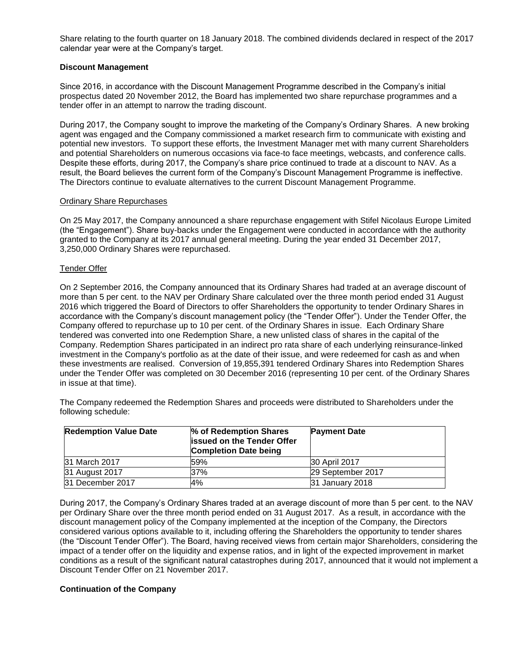Share relating to the fourth quarter on 18 January 2018. The combined dividends declared in respect of the 2017 calendar year were at the Company's target.

## **Discount Management**

Since 2016, in accordance with the Discount Management Programme described in the Company's initial prospectus dated 20 November 2012, the Board has implemented two share repurchase programmes and a tender offer in an attempt to narrow the trading discount.

During 2017, the Company sought to improve the marketing of the Company's Ordinary Shares. A new broking agent was engaged and the Company commissioned a market research firm to communicate with existing and potential new investors. To support these efforts, the Investment Manager met with many current Shareholders and potential Shareholders on numerous occasions via face-to face meetings, webcasts, and conference calls. Despite these efforts, during 2017, the Company's share price continued to trade at a discount to NAV. As a result, the Board believes the current form of the Company's Discount Management Programme is ineffective. The Directors continue to evaluate alternatives to the current Discount Management Programme.

## Ordinary Share Repurchases

On 25 May 2017, the Company announced a share repurchase engagement with Stifel Nicolaus Europe Limited (the "Engagement"). Share buy-backs under the Engagement were conducted in accordance with the authority granted to the Company at its 2017 annual general meeting. During the year ended 31 December 2017, 3,250,000 Ordinary Shares were repurchased.

## Tender Offer

On 2 September 2016, the Company announced that its Ordinary Shares had traded at an average discount of more than 5 per cent. to the NAV per Ordinary Share calculated over the three month period ended 31 August 2016 which triggered the Board of Directors to offer Shareholders the opportunity to tender Ordinary Shares in accordance with the Company's discount management policy (the "Tender Offer"). Under the Tender Offer, the Company offered to repurchase up to 10 per cent. of the Ordinary Shares in issue. Each Ordinary Share tendered was converted into one Redemption Share, a new unlisted class of shares in the capital of the Company. Redemption Shares participated in an indirect pro rata share of each underlying reinsurance-linked investment in the Company's portfolio as at the date of their issue, and were redeemed for cash as and when these investments are realised. Conversion of 19,855,391 tendered Ordinary Shares into Redemption Shares under the Tender Offer was completed on 30 December 2016 (representing 10 per cent. of the Ordinary Shares in issue at that time).

The Company redeemed the Redemption Shares and proceeds were distributed to Shareholders under the following schedule:

| <b>Redemption Value Date</b> | % of Redemption Shares<br><b>issued on the Tender Offer</b><br><b>Completion Date being</b> | <b>Payment Date</b> |
|------------------------------|---------------------------------------------------------------------------------------------|---------------------|
| <b>31 March 2017</b>         | 59%                                                                                         | 30 April 2017       |
| 31 August 2017               | 37%                                                                                         | 29 September 2017   |
| 31 December 2017             | 4%                                                                                          | 31 January 2018     |

During 2017, the Company's Ordinary Shares traded at an average discount of more than 5 per cent. to the NAV per Ordinary Share over the three month period ended on 31 August 2017. As a result, in accordance with the discount management policy of the Company implemented at the inception of the Company, the Directors considered various options available to it, including offering the Shareholders the opportunity to tender shares (the "Discount Tender Offer"). The Board, having received views from certain major Shareholders, considering the impact of a tender offer on the liquidity and expense ratios, and in light of the expected improvement in market conditions as a result of the significant natural catastrophes during 2017, announced that it would not implement a Discount Tender Offer on 21 November 2017.

## **Continuation of the Company**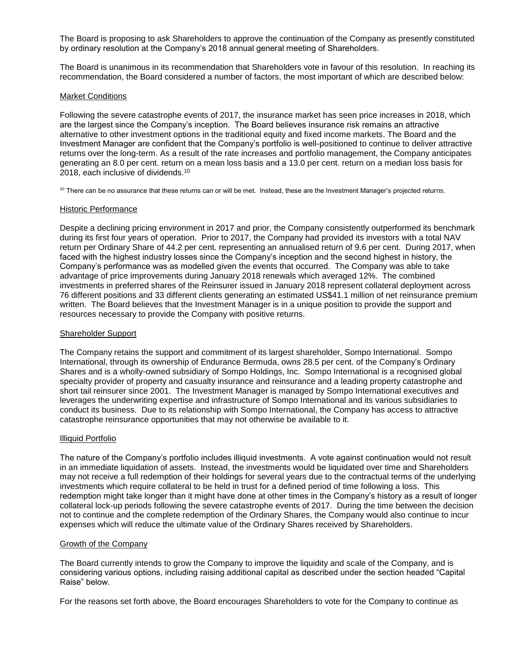The Board is proposing to ask Shareholders to approve the continuation of the Company as presently constituted by ordinary resolution at the Company's 2018 annual general meeting of Shareholders.

The Board is unanimous in its recommendation that Shareholders vote in favour of this resolution. In reaching its recommendation, the Board considered a number of factors, the most important of which are described below:

#### Market Conditions

Following the severe catastrophe events of 2017, the insurance market has seen price increases in 2018, which are the largest since the Company's inception. The Board believes insurance risk remains an attractive alternative to other investment options in the traditional equity and fixed income markets. The Board and the Investment Manager are confident that the Company's portfolio is well-positioned to continue to deliver attractive returns over the long-term. As a result of the rate increases and portfolio management, the Company anticipates generating an 8.0 per cent. return on a mean loss basis and a 13.0 per cent. return on a median loss basis for 2018, each inclusive of dividends.<sup>10</sup>

<sup>10</sup> There can be no assurance that these returns can or will be met. Instead, these are the Investment Manager's projected returns.

#### Historic Performance

Despite a declining pricing environment in 2017 and prior, the Company consistently outperformed its benchmark during its first four years of operation. Prior to 2017, the Company had provided its investors with a total NAV return per Ordinary Share of 44.2 per cent. representing an annualised return of 9.6 per cent. During 2017, when faced with the highest industry losses since the Company's inception and the second highest in history, the Company's performance was as modelled given the events that occurred. The Company was able to take advantage of price improvements during January 2018 renewals which averaged 12%. The combined investments in preferred shares of the Reinsurer issued in January 2018 represent collateral deployment across 76 different positions and 33 different clients generating an estimated US\$41.1 million of net reinsurance premium written. The Board believes that the Investment Manager is in a unique position to provide the support and resources necessary to provide the Company with positive returns.

#### Shareholder Support

The Company retains the support and commitment of its largest shareholder, Sompo International. Sompo International, through its ownership of Endurance Bermuda, owns 28.5 per cent. of the Company's Ordinary Shares and is a wholly-owned subsidiary of Sompo Holdings, Inc. Sompo International is a recognised global specialty provider of property and casualty insurance and reinsurance and a leading property catastrophe and short tail reinsurer since 2001. The Investment Manager is managed by Sompo International executives and leverages the underwriting expertise and infrastructure of Sompo International and its various subsidiaries to conduct its business. Due to its relationship with Sompo International, the Company has access to attractive catastrophe reinsurance opportunities that may not otherwise be available to it.

#### Illiquid Portfolio

The nature of the Company's portfolio includes illiquid investments. A vote against continuation would not result in an immediate liquidation of assets. Instead, the investments would be liquidated over time and Shareholders may not receive a full redemption of their holdings for several years due to the contractual terms of the underlying investments which require collateral to be held in trust for a defined period of time following a loss. This redemption might take longer than it might have done at other times in the Company's history as a result of longer collateral lock-up periods following the severe catastrophe events of 2017. During the time between the decision not to continue and the complete redemption of the Ordinary Shares, the Company would also continue to incur expenses which will reduce the ultimate value of the Ordinary Shares received by Shareholders.

#### Growth of the Company

The Board currently intends to grow the Company to improve the liquidity and scale of the Company, and is considering various options, including raising additional capital as described under the section headed "Capital Raise" below.

For the reasons set forth above, the Board encourages Shareholders to vote for the Company to continue as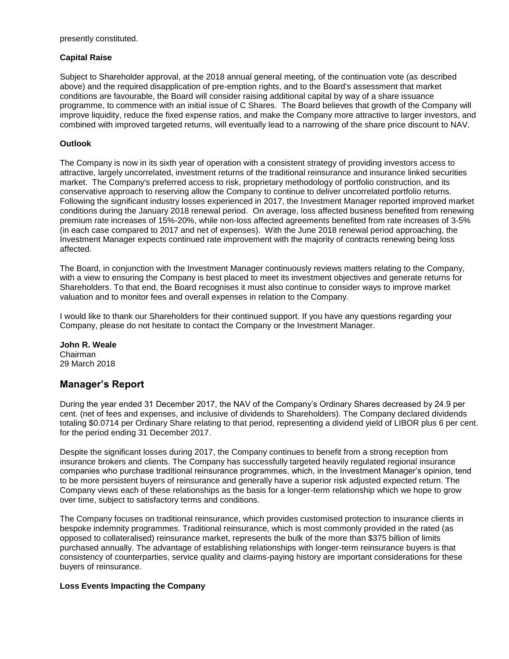presently constituted.

## **Capital Raise**

Subject to Shareholder approval, at the 2018 annual general meeting, of the continuation vote (as described above) and the required disapplication of pre-emption rights, and to the Board's assessment that market conditions are favourable, the Board will consider raising additional capital by way of a share issuance programme, to commence with an initial issue of C Shares. The Board believes that growth of the Company will improve liquidity, reduce the fixed expense ratios, and make the Company more attractive to larger investors, and combined with improved targeted returns, will eventually lead to a narrowing of the share price discount to NAV.

## **Outlook**

The Company is now in its sixth year of operation with a consistent strategy of providing investors access to attractive, largely uncorrelated, investment returns of the traditional reinsurance and insurance linked securities market. The Company's preferred access to risk, proprietary methodology of portfolio construction, and its conservative approach to reserving allow the Company to continue to deliver uncorrelated portfolio returns. Following the significant industry losses experienced in 2017, the Investment Manager reported improved market conditions during the January 2018 renewal period. On average, loss affected business benefited from renewing premium rate increases of 15%-20%, while non-loss affected agreements benefited from rate increases of 3-5% (in each case compared to 2017 and net of expenses). With the June 2018 renewal period approaching, the Investment Manager expects continued rate improvement with the majority of contracts renewing being loss affected.

The Board, in conjunction with the Investment Manager continuously reviews matters relating to the Company, with a view to ensuring the Company is best placed to meet its investment objectives and generate returns for Shareholders. To that end, the Board recognises it must also continue to consider ways to improve market valuation and to monitor fees and overall expenses in relation to the Company.

I would like to thank our Shareholders for their continued support. If you have any questions regarding your Company, please do not hesitate to contact the Company or the Investment Manager.

## **John R. Weale**

Chairman 29 March 2018

## **Manager's Report**

During the year ended 31 December 2017, the NAV of the Company's Ordinary Shares decreased by 24.9 per cent. (net of fees and expenses, and inclusive of dividends to Shareholders). The Company declared dividends totaling \$0.0714 per Ordinary Share relating to that period, representing a dividend yield of LIBOR plus 6 per cent. for the period ending 31 December 2017.

Despite the significant losses during 2017, the Company continues to benefit from a strong reception from insurance brokers and clients. The Company has successfully targeted heavily regulated regional insurance companies who purchase traditional reinsurance programmes, which, in the Investment Manager's opinion, tend to be more persistent buyers of reinsurance and generally have a superior risk adjusted expected return. The Company views each of these relationships as the basis for a longer-term relationship which we hope to grow over time, subject to satisfactory terms and conditions.

The Company focuses on traditional reinsurance, which provides customised protection to insurance clients in bespoke indemnity programmes. Traditional reinsurance, which is most commonly provided in the rated (as opposed to collateralised) reinsurance market, represents the bulk of the more than \$375 billion of limits purchased annually. The advantage of establishing relationships with longer-term reinsurance buyers is that consistency of counterparties, service quality and claims-paying history are important considerations for these buyers of reinsurance.

## **Loss Events Impacting the Company**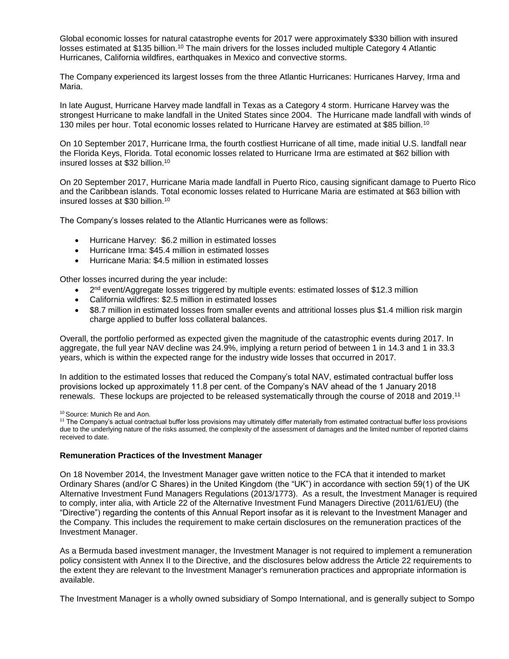Global economic losses for natural catastrophe events for 2017 were approximately \$330 billion with insured losses estimated at \$135 billion.<sup>10</sup> The main drivers for the losses included multiple Category 4 Atlantic Hurricanes, California wildfires, earthquakes in Mexico and convective storms.

The Company experienced its largest losses from the three Atlantic Hurricanes: Hurricanes Harvey, Irma and Maria.

In late August, Hurricane Harvey made landfall in Texas as a Category 4 storm. Hurricane Harvey was the strongest Hurricane to make landfall in the United States since 2004. The Hurricane made landfall with winds of 130 miles per hour. Total economic losses related to Hurricane Harvey are estimated at \$85 billion.<sup>10</sup>

On 10 September 2017, Hurricane Irma, the fourth costliest Hurricane of all time, made initial U.S. landfall near the Florida Keys, Florida. Total economic losses related to Hurricane Irma are estimated at \$62 billion with insured losses at \$32 billion.<sup>10</sup>

On 20 September 2017, Hurricane Maria made landfall in Puerto Rico, causing significant damage to Puerto Rico and the Caribbean islands. Total economic losses related to Hurricane Maria are estimated at \$63 billion with insured losses at \$30 billion.<sup>10</sup>

The Company's losses related to the Atlantic Hurricanes were as follows:

- Hurricane Harvey: \$6.2 million in estimated losses
- Hurricane Irma: \$45.4 million in estimated losses
- Hurricane Maria: \$4.5 million in estimated losses

Other losses incurred during the year include:

- $\bullet$  2<sup>nd</sup> event/Aggregate losses triggered by multiple events: estimated losses of \$12.3 million
- California wildfires: \$2.5 million in estimated losses
- \$8.7 million in estimated losses from smaller events and attritional losses plus \$1.4 million risk margin charge applied to buffer loss collateral balances.

Overall, the portfolio performed as expected given the magnitude of the catastrophic events during 2017. In aggregate, the full year NAV decline was 24.9%, implying a return period of between 1 in 14.3 and 1 in 33.3 years, which is within the expected range for the industry wide losses that occurred in 2017.

In addition to the estimated losses that reduced the Company's total NAV, estimated contractual buffer loss provisions locked up approximately 11.8 per cent. of the Company's NAV ahead of the 1 January 2018 renewals. These lockups are projected to be released systematically through the course of 2018 and 2019. 11

<sup>10</sup> Source: Munich Re and Aon.

<sup>11</sup> The Company's actual contractual buffer loss provisions may ultimately differ materially from estimated contractual buffer loss provisions due to the underlying nature of the risks assumed, the complexity of the assessment of damages and the limited number of reported claims received to date.

#### **Remuneration Practices of the Investment Manager**

On 18 November 2014, the Investment Manager gave written notice to the FCA that it intended to market Ordinary Shares (and/or C Shares) in the United Kingdom (the "UK") in accordance with section 59(1) of the UK Alternative Investment Fund Managers Regulations (2013/1773). As a result, the Investment Manager is required to comply, inter alia, with Article 22 of the Alternative Investment Fund Managers Directive (2011/61/EU) (the "Directive") regarding the contents of this Annual Report insofar as it is relevant to the Investment Manager and the Company. This includes the requirement to make certain disclosures on the remuneration practices of the Investment Manager.

As a Bermuda based investment manager, the Investment Manager is not required to implement a remuneration policy consistent with Annex II to the Directive, and the disclosures below address the Article 22 requirements to the extent they are relevant to the Investment Manager's remuneration practices and appropriate information is available.

The Investment Manager is a wholly owned subsidiary of Sompo International, and is generally subject to Sompo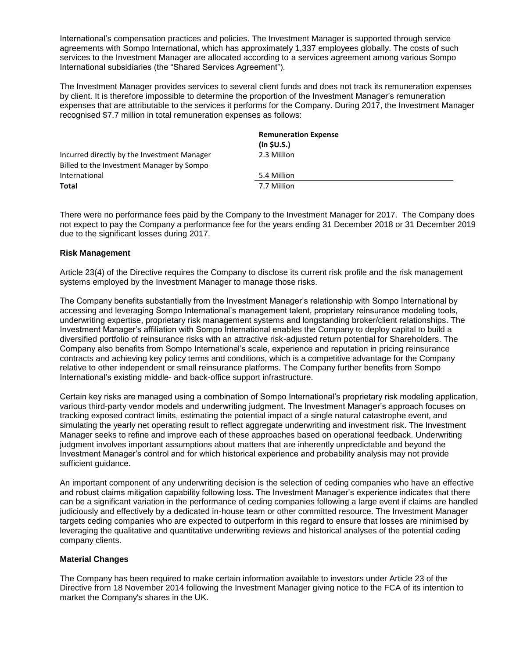International's compensation practices and policies. The Investment Manager is supported through service agreements with Sompo International, which has approximately 1,337 employees globally. The costs of such services to the Investment Manager are allocated according to a services agreement among various Sompo International subsidiaries (the "Shared Services Agreement").

The Investment Manager provides services to several client funds and does not track its remuneration expenses by client. It is therefore impossible to determine the proportion of the Investment Manager's remuneration expenses that are attributable to the services it performs for the Company. During 2017, the Investment Manager recognised \$7.7 million in total remuneration expenses as follows:

|                                             | <b>Remuneration Expense</b><br>(in \$U.S.] |
|---------------------------------------------|--------------------------------------------|
| Incurred directly by the Investment Manager | 2.3 Million                                |
| Billed to the Investment Manager by Sompo   |                                            |
| International                               | 5.4 Million                                |
| Total                                       | 7.7 Million                                |

There were no performance fees paid by the Company to the Investment Manager for 2017. The Company does not expect to pay the Company a performance fee for the years ending 31 December 2018 or 31 December 2019 due to the significant losses during 2017.

## **Risk Management**

Article 23(4) of the Directive requires the Company to disclose its current risk profile and the risk management systems employed by the Investment Manager to manage those risks.

The Company benefits substantially from the Investment Manager's relationship with Sompo International by accessing and leveraging Sompo International's management talent, proprietary reinsurance modeling tools, underwriting expertise, proprietary risk management systems and longstanding broker/client relationships. The Investment Manager's affiliation with Sompo International enables the Company to deploy capital to build a diversified portfolio of reinsurance risks with an attractive risk-adjusted return potential for Shareholders. The Company also benefits from Sompo International's scale, experience and reputation in pricing reinsurance contracts and achieving key policy terms and conditions, which is a competitive advantage for the Company relative to other independent or small reinsurance platforms. The Company further benefits from Sompo International's existing middle- and back-office support infrastructure.

Certain key risks are managed using a combination of Sompo International's proprietary risk modeling application, various third-party vendor models and underwriting judgment. The Investment Manager's approach focuses on tracking exposed contract limits, estimating the potential impact of a single natural catastrophe event, and simulating the yearly net operating result to reflect aggregate underwriting and investment risk. The Investment Manager seeks to refine and improve each of these approaches based on operational feedback. Underwriting judgment involves important assumptions about matters that are inherently unpredictable and beyond the Investment Manager's control and for which historical experience and probability analysis may not provide sufficient guidance.

An important component of any underwriting decision is the selection of ceding companies who have an effective and robust claims mitigation capability following loss. The Investment Manager's experience indicates that there can be a significant variation in the performance of ceding companies following a large event if claims are handled judiciously and effectively by a dedicated in-house team or other committed resource. The Investment Manager targets ceding companies who are expected to outperform in this regard to ensure that losses are minimised by leveraging the qualitative and quantitative underwriting reviews and historical analyses of the potential ceding company clients.

## **Material Changes**

The Company has been required to make certain information available to investors under Article 23 of the Directive from 18 November 2014 following the Investment Manager giving notice to the FCA of its intention to market the Company's shares in the UK.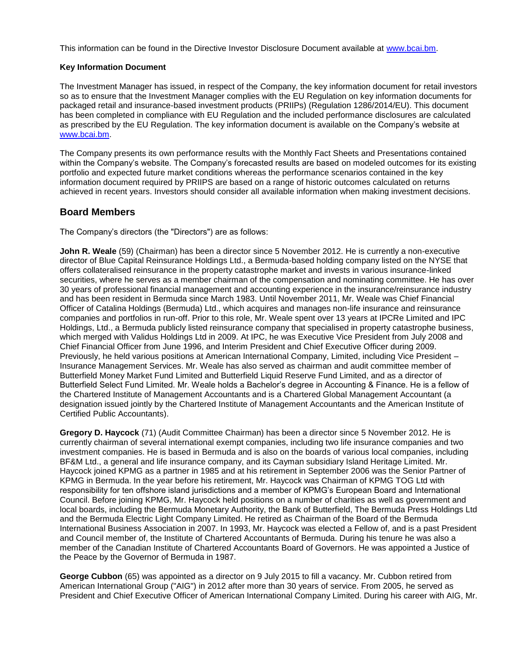This information can be found in the Directive Investor Disclosure Document available at [www.bcai.bm.](http://www.bcai.bm/)

## **Key Information Document**

The Investment Manager has issued, in respect of the Company, the key information document for retail investors so as to ensure that the Investment Manager complies with the EU Regulation on key information documents for packaged retail and insurance-based investment products (PRIIPs) (Regulation 1286/2014/EU). This document has been completed in compliance with EU Regulation and the included performance disclosures are calculated as prescribed by the EU Regulation. The key information document is available on the Company's website at [www.bcai.bm.](http://www.bcai.bm/)

The Company presents its own performance results with the Monthly Fact Sheets and Presentations contained within the Company's website. The Company's forecasted results are based on modeled outcomes for its existing portfolio and expected future market conditions whereas the performance scenarios contained in the key information document required by PRIIPS are based on a range of historic outcomes calculated on returns achieved in recent years. Investors should consider all available information when making investment decisions.

## **Board Members**

The Company's directors (the "Directors") are as follows:

**John R. Weale** (59) (Chairman) has been a director since 5 November 2012. He is currently a non-executive director of Blue Capital Reinsurance Holdings Ltd., a Bermuda-based holding company listed on the NYSE that offers collateralised reinsurance in the property catastrophe market and invests in various insurance-linked securities, where he serves as a member chairman of the compensation and nominating committee. He has over 30 years of professional financial management and accounting experience in the insurance/reinsurance industry and has been resident in Bermuda since March 1983. Until November 2011, Mr. Weale was Chief Financial Officer of Catalina Holdings (Bermuda) Ltd., which acquires and manages non-life insurance and reinsurance companies and portfolios in run-off. Prior to this role, Mr. Weale spent over 13 years at IPCRe Limited and IPC Holdings, Ltd., a Bermuda publicly listed reinsurance company that specialised in property catastrophe business, which merged with Validus Holdings Ltd in 2009. At IPC, he was Executive Vice President from July 2008 and Chief Financial Officer from June 1996, and Interim President and Chief Executive Officer during 2009. Previously, he held various positions at American International Company, Limited, including Vice President – Insurance Management Services. Mr. Weale has also served as chairman and audit committee member of Butterfield Money Market Fund Limited and Butterfield Liquid Reserve Fund Limited, and as a director of Butterfield Select Fund Limited. Mr. Weale holds a Bachelor's degree in Accounting & Finance. He is a fellow of the Chartered Institute of Management Accountants and is a Chartered Global Management Accountant (a designation issued jointly by the Chartered Institute of Management Accountants and the American Institute of Certified Public Accountants).

**Gregory D. Haycock** (71) (Audit Committee Chairman) has been a director since 5 November 2012. He is currently chairman of several international exempt companies, including two life insurance companies and two investment companies. He is based in Bermuda and is also on the boards of various local companies, including BF&M Ltd., a general and life insurance company, and its Cayman subsidiary Island Heritage Limited. Mr. Haycock joined KPMG as a partner in 1985 and at his retirement in September 2006 was the Senior Partner of KPMG in Bermuda. In the year before his retirement, Mr. Haycock was Chairman of KPMG TOG Ltd with responsibility for ten offshore island jurisdictions and a member of KPMG's European Board and International Council. Before joining KPMG, Mr. Haycock held positions on a number of charities as well as government and local boards, including the Bermuda Monetary Authority, the Bank of Butterfield, The Bermuda Press Holdings Ltd and the Bermuda Electric Light Company Limited. He retired as Chairman of the Board of the Bermuda International Business Association in 2007. In 1993, Mr. Haycock was elected a Fellow of, and is a past President and Council member of, the Institute of Chartered Accountants of Bermuda. During his tenure he was also a member of the Canadian Institute of Chartered Accountants Board of Governors. He was appointed a Justice of the Peace by the Governor of Bermuda in 1987.

**George Cubbon** (65) was appointed as a director on 9 July 2015 to fill a vacancy. Mr. Cubbon retired from American International Group ("AIG") in 2012 after more than 30 years of service. From 2005, he served as President and Chief Executive Officer of American International Company Limited. During his career with AIG, Mr.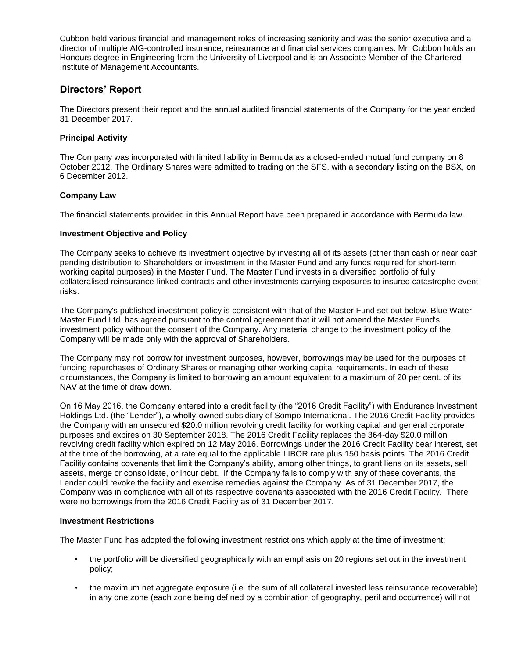Cubbon held various financial and management roles of increasing seniority and was the senior executive and a director of multiple AIG-controlled insurance, reinsurance and financial services companies. Mr. Cubbon holds an Honours degree in Engineering from the University of Liverpool and is an Associate Member of the Chartered Institute of Management Accountants.

## **Directors' Report**

The Directors present their report and the annual audited financial statements of the Company for the year ended 31 December 2017.

## **Principal Activity**

The Company was incorporated with limited liability in Bermuda as a closed-ended mutual fund company on 8 October 2012. The Ordinary Shares were admitted to trading on the SFS, with a secondary listing on the BSX, on 6 December 2012.

## **Company Law**

The financial statements provided in this Annual Report have been prepared in accordance with Bermuda law.

## **Investment Objective and Policy**

The Company seeks to achieve its investment objective by investing all of its assets (other than cash or near cash pending distribution to Shareholders or investment in the Master Fund and any funds required for short-term working capital purposes) in the Master Fund. The Master Fund invests in a diversified portfolio of fully collateralised reinsurance-linked contracts and other investments carrying exposures to insured catastrophe event risks.

The Company's published investment policy is consistent with that of the Master Fund set out below. Blue Water Master Fund Ltd. has agreed pursuant to the control agreement that it will not amend the Master Fund's investment policy without the consent of the Company. Any material change to the investment policy of the Company will be made only with the approval of Shareholders.

The Company may not borrow for investment purposes, however, borrowings may be used for the purposes of funding repurchases of Ordinary Shares or managing other working capital requirements. In each of these circumstances, the Company is limited to borrowing an amount equivalent to a maximum of 20 per cent. of its NAV at the time of draw down.

On 16 May 2016, the Company entered into a credit facility (the "2016 Credit Facility") with Endurance Investment Holdings Ltd. (the "Lender"), a wholly-owned subsidiary of Sompo International. The 2016 Credit Facility provides the Company with an unsecured \$20.0 million revolving credit facility for working capital and general corporate purposes and expires on 30 September 2018. The 2016 Credit Facility replaces the 364-day \$20.0 million revolving credit facility which expired on 12 May 2016. Borrowings under the 2016 Credit Facility bear interest, set at the time of the borrowing, at a rate equal to the applicable LIBOR rate plus 150 basis points. The 2016 Credit Facility contains covenants that limit the Company's ability, among other things, to grant liens on its assets, sell assets, merge or consolidate, or incur debt. If the Company fails to comply with any of these covenants, the Lender could revoke the facility and exercise remedies against the Company. As of 31 December 2017, the Company was in compliance with all of its respective covenants associated with the 2016 Credit Facility. There were no borrowings from the 2016 Credit Facility as of 31 December 2017.

## **Investment Restrictions**

The Master Fund has adopted the following investment restrictions which apply at the time of investment:

- the portfolio will be diversified geographically with an emphasis on 20 regions set out in the investment policy;
- the maximum net aggregate exposure (i.e. the sum of all collateral invested less reinsurance recoverable) in any one zone (each zone being defined by a combination of geography, peril and occurrence) will not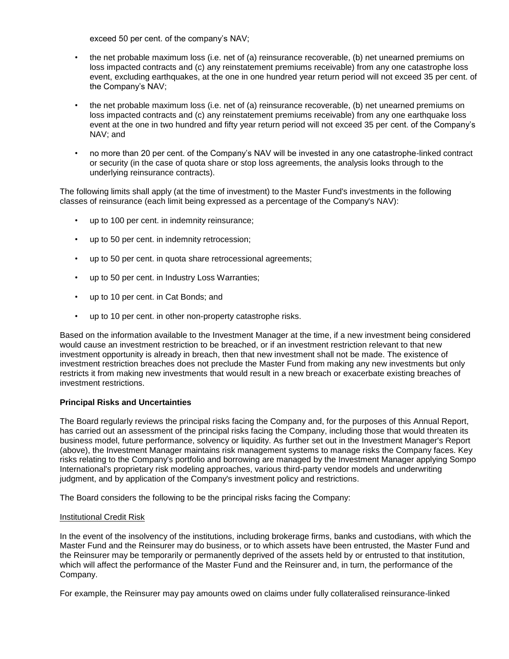exceed 50 per cent. of the company's NAV;

- the net probable maximum loss (i.e. net of (a) reinsurance recoverable, (b) net unearned premiums on loss impacted contracts and (c) any reinstatement premiums receivable) from any one catastrophe loss event, excluding earthquakes, at the one in one hundred year return period will not exceed 35 per cent. of the Company's NAV;
- the net probable maximum loss (i.e. net of (a) reinsurance recoverable, (b) net unearned premiums on loss impacted contracts and (c) any reinstatement premiums receivable) from any one earthquake loss event at the one in two hundred and fifty year return period will not exceed 35 per cent. of the Company's NAV; and
- no more than 20 per cent. of the Company's NAV will be invested in any one catastrophe-linked contract or security (in the case of quota share or stop loss agreements, the analysis looks through to the underlying reinsurance contracts).

The following limits shall apply (at the time of investment) to the Master Fund's investments in the following classes of reinsurance (each limit being expressed as a percentage of the Company's NAV):

- up to 100 per cent. in indemnity reinsurance;
- up to 50 per cent. in indemnity retrocession;
- up to 50 per cent. in quota share retrocessional agreements;
- up to 50 per cent. in Industry Loss Warranties;
- up to 10 per cent. in Cat Bonds; and
- up to 10 per cent. in other non-property catastrophe risks.

Based on the information available to the Investment Manager at the time, if a new investment being considered would cause an investment restriction to be breached, or if an investment restriction relevant to that new investment opportunity is already in breach, then that new investment shall not be made. The existence of investment restriction breaches does not preclude the Master Fund from making any new investments but only restricts it from making new investments that would result in a new breach or exacerbate existing breaches of investment restrictions.

## **Principal Risks and Uncertainties**

The Board regularly reviews the principal risks facing the Company and, for the purposes of this Annual Report, has carried out an assessment of the principal risks facing the Company, including those that would threaten its business model, future performance, solvency or liquidity. As further set out in the Investment Manager's Report (above), the Investment Manager maintains risk management systems to manage risks the Company faces. Key risks relating to the Company's portfolio and borrowing are managed by the Investment Manager applying Sompo International's proprietary risk modeling approaches, various third-party vendor models and underwriting judgment, and by application of the Company's investment policy and restrictions.

The Board considers the following to be the principal risks facing the Company:

## **Institutional Credit Risk**

In the event of the insolvency of the institutions, including brokerage firms, banks and custodians, with which the Master Fund and the Reinsurer may do business, or to which assets have been entrusted, the Master Fund and the Reinsurer may be temporarily or permanently deprived of the assets held by or entrusted to that institution, which will affect the performance of the Master Fund and the Reinsurer and, in turn, the performance of the Company.

For example, the Reinsurer may pay amounts owed on claims under fully collateralised reinsurance-linked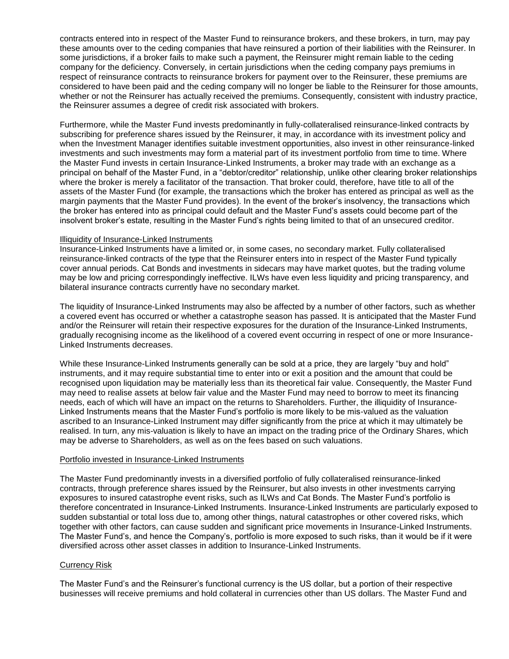contracts entered into in respect of the Master Fund to reinsurance brokers, and these brokers, in turn, may pay these amounts over to the ceding companies that have reinsured a portion of their liabilities with the Reinsurer. In some jurisdictions, if a broker fails to make such a payment, the Reinsurer might remain liable to the ceding company for the deficiency. Conversely, in certain jurisdictions when the ceding company pays premiums in respect of reinsurance contracts to reinsurance brokers for payment over to the Reinsurer, these premiums are considered to have been paid and the ceding company will no longer be liable to the Reinsurer for those amounts, whether or not the Reinsurer has actually received the premiums. Consequently, consistent with industry practice, the Reinsurer assumes a degree of credit risk associated with brokers.

Furthermore, while the Master Fund invests predominantly in fully-collateralised reinsurance-linked contracts by subscribing for preference shares issued by the Reinsurer, it may, in accordance with its investment policy and when the Investment Manager identifies suitable investment opportunities, also invest in other reinsurance-linked investments and such investments may form a material part of its investment portfolio from time to time. Where the Master Fund invests in certain Insurance-Linked Instruments, a broker may trade with an exchange as a principal on behalf of the Master Fund, in a "debtor/creditor" relationship, unlike other clearing broker relationships where the broker is merely a facilitator of the transaction. That broker could, therefore, have title to all of the assets of the Master Fund (for example, the transactions which the broker has entered as principal as well as the margin payments that the Master Fund provides). In the event of the broker's insolvency, the transactions which the broker has entered into as principal could default and the Master Fund's assets could become part of the insolvent broker's estate, resulting in the Master Fund's rights being limited to that of an unsecured creditor.

#### Illiquidity of Insurance-Linked Instruments

Insurance-Linked Instruments have a limited or, in some cases, no secondary market. Fully collateralised reinsurance-linked contracts of the type that the Reinsurer enters into in respect of the Master Fund typically cover annual periods. Cat Bonds and investments in sidecars may have market quotes, but the trading volume may be low and pricing correspondingly ineffective. ILWs have even less liquidity and pricing transparency, and bilateral insurance contracts currently have no secondary market.

The liquidity of Insurance-Linked Instruments may also be affected by a number of other factors, such as whether a covered event has occurred or whether a catastrophe season has passed. It is anticipated that the Master Fund and/or the Reinsurer will retain their respective exposures for the duration of the Insurance-Linked Instruments, gradually recognising income as the likelihood of a covered event occurring in respect of one or more Insurance-Linked Instruments decreases.

While these Insurance-Linked Instruments generally can be sold at a price, they are largely "buy and hold" instruments, and it may require substantial time to enter into or exit a position and the amount that could be recognised upon liquidation may be materially less than its theoretical fair value. Consequently, the Master Fund may need to realise assets at below fair value and the Master Fund may need to borrow to meet its financing needs, each of which will have an impact on the returns to Shareholders. Further, the illiquidity of Insurance-Linked Instruments means that the Master Fund's portfolio is more likely to be mis-valued as the valuation ascribed to an Insurance-Linked Instrument may differ significantly from the price at which it may ultimately be realised. In turn, any mis-valuation is likely to have an impact on the trading price of the Ordinary Shares, which may be adverse to Shareholders, as well as on the fees based on such valuations.

#### Portfolio invested in Insurance-Linked Instruments

The Master Fund predominantly invests in a diversified portfolio of fully collateralised reinsurance-linked contracts, through preference shares issued by the Reinsurer, but also invests in other investments carrying exposures to insured catastrophe event risks, such as ILWs and Cat Bonds. The Master Fund's portfolio is therefore concentrated in Insurance-Linked Instruments. Insurance-Linked Instruments are particularly exposed to sudden substantial or total loss due to, among other things, natural catastrophes or other covered risks, which together with other factors, can cause sudden and significant price movements in Insurance-Linked Instruments. The Master Fund's, and hence the Company's, portfolio is more exposed to such risks, than it would be if it were diversified across other asset classes in addition to Insurance-Linked Instruments.

## Currency Risk

The Master Fund's and the Reinsurer's functional currency is the US dollar, but a portion of their respective businesses will receive premiums and hold collateral in currencies other than US dollars. The Master Fund and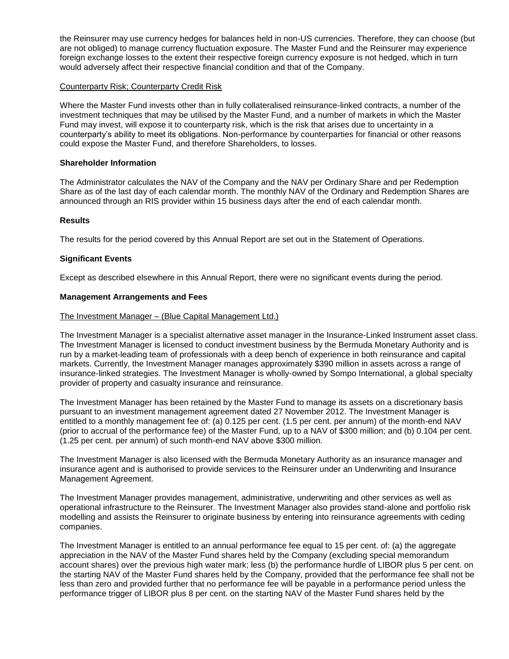the Reinsurer may use currency hedges for balances held in non-US currencies. Therefore, they can choose (but are not obliged) to manage currency fluctuation exposure. The Master Fund and the Reinsurer may experience foreign exchange losses to the extent their respective foreign currency exposure is not hedged, which in turn would adversely affect their respective financial condition and that of the Company.

## Counterparty Risk; Counterparty Credit Risk

Where the Master Fund invests other than in fully collateralised reinsurance-linked contracts, a number of the investment techniques that may be utilised by the Master Fund, and a number of markets in which the Master Fund may invest, will expose it to counterparty risk, which is the risk that arises due to uncertainty in a counterparty's ability to meet its obligations. Non-performance by counterparties for financial or other reasons could expose the Master Fund, and therefore Shareholders, to losses.

### **Shareholder Information**

The Administrator calculates the NAV of the Company and the NAV per Ordinary Share and per Redemption Share as of the last day of each calendar month. The monthly NAV of the Ordinary and Redemption Shares are announced through an RIS provider within 15 business days after the end of each calendar month.

#### **Results**

The results for the period covered by this Annual Report are set out in the Statement of Operations.

## **Significant Events**

Except as described elsewhere in this Annual Report, there were no significant events during the period.

#### **Management Arrangements and Fees**

#### The Investment Manager – (Blue Capital Management Ltd.)

The Investment Manager is a specialist alternative asset manager in the Insurance-Linked Instrument asset class. The Investment Manager is licensed to conduct investment business by the Bermuda Monetary Authority and is run by a market-leading team of professionals with a deep bench of experience in both reinsurance and capital markets. Currently, the Investment Manager manages approximately \$390 million in assets across a range of insurance-linked strategies. The Investment Manager is wholly-owned by Sompo International, a global specialty provider of property and casualty insurance and reinsurance.

The Investment Manager has been retained by the Master Fund to manage its assets on a discretionary basis pursuant to an investment management agreement dated 27 November 2012. The Investment Manager is entitled to a monthly management fee of: (a) 0.125 per cent. (1.5 per cent. per annum) of the month-end NAV (prior to accrual of the performance fee) of the Master Fund, up to a NAV of \$300 million; and (b) 0.104 per cent. (1.25 per cent. per annum) of such month-end NAV above \$300 million.

The Investment Manager is also licensed with the Bermuda Monetary Authority as an insurance manager and insurance agent and is authorised to provide services to the Reinsurer under an Underwriting and Insurance Management Agreement.

The Investment Manager provides management, administrative, underwriting and other services as well as operational infrastructure to the Reinsurer. The Investment Manager also provides stand-alone and portfolio risk modelling and assists the Reinsurer to originate business by entering into reinsurance agreements with ceding companies.

The Investment Manager is entitled to an annual performance fee equal to 15 per cent. of: (a) the aggregate appreciation in the NAV of the Master Fund shares held by the Company (excluding special memorandum account shares) over the previous high water mark; less (b) the performance hurdle of LIBOR plus 5 per cent, on the starting NAV of the Master Fund shares held by the Company, provided that the performance fee shall not be less than zero and provided further that no performance fee will be payable in a performance period unless the performance trigger of LIBOR plus 8 per cent. on the starting NAV of the Master Fund shares held by the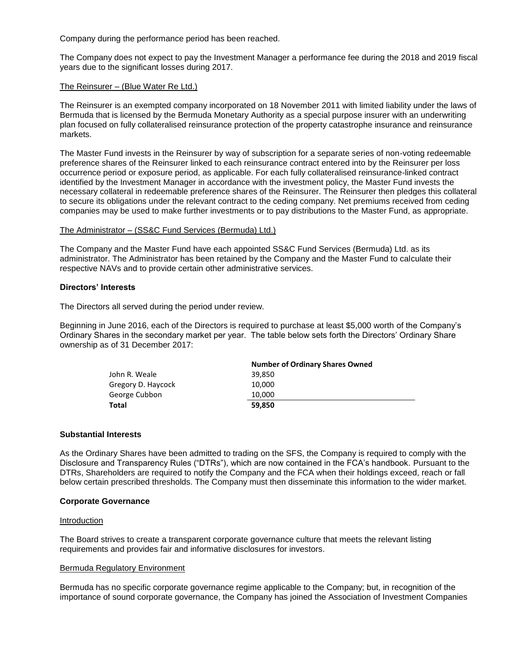Company during the performance period has been reached.

The Company does not expect to pay the Investment Manager a performance fee during the 2018 and 2019 fiscal years due to the significant losses during 2017.

#### The Reinsurer – (Blue Water Re Ltd.)

The Reinsurer is an exempted company incorporated on 18 November 2011 with limited liability under the laws of Bermuda that is licensed by the Bermuda Monetary Authority as a special purpose insurer with an underwriting plan focused on fully collateralised reinsurance protection of the property catastrophe insurance and reinsurance markets.

The Master Fund invests in the Reinsurer by way of subscription for a separate series of non-voting redeemable preference shares of the Reinsurer linked to each reinsurance contract entered into by the Reinsurer per loss occurrence period or exposure period, as applicable. For each fully collateralised reinsurance-linked contract identified by the Investment Manager in accordance with the investment policy, the Master Fund invests the necessary collateral in redeemable preference shares of the Reinsurer. The Reinsurer then pledges this collateral to secure its obligations under the relevant contract to the ceding company. Net premiums received from ceding companies may be used to make further investments or to pay distributions to the Master Fund, as appropriate.

#### The Administrator – (SS&C Fund Services (Bermuda) Ltd.)

The Company and the Master Fund have each appointed SS&C Fund Services (Bermuda) Ltd. as its administrator. The Administrator has been retained by the Company and the Master Fund to calculate their respective NAVs and to provide certain other administrative services.

#### **Directors' Interests**

The Directors all served during the period under review.

Beginning in June 2016, each of the Directors is required to purchase at least \$5,000 worth of the Company's Ordinary Shares in the secondary market per year. The table below sets forth the Directors' Ordinary Share ownership as of 31 December 2017:

|                    | <b>Number of Ordinary Shares Owned</b> |
|--------------------|----------------------------------------|
| John R. Weale      | 39.850                                 |
| Gregory D. Haycock | 10.000                                 |
| George Cubbon      | 10.000                                 |
| Total              | 59.850                                 |

#### **Substantial Interests**

As the Ordinary Shares have been admitted to trading on the SFS, the Company is required to comply with the Disclosure and Transparency Rules ("DTRs"), which are now contained in the FCA's handbook. Pursuant to the DTRs, Shareholders are required to notify the Company and the FCA when their holdings exceed, reach or fall below certain prescribed thresholds. The Company must then disseminate this information to the wider market.

#### **Corporate Governance**

#### Introduction

The Board strives to create a transparent corporate governance culture that meets the relevant listing requirements and provides fair and informative disclosures for investors.

#### Bermuda Regulatory Environment

Bermuda has no specific corporate governance regime applicable to the Company; but, in recognition of the importance of sound corporate governance, the Company has joined the Association of Investment Companies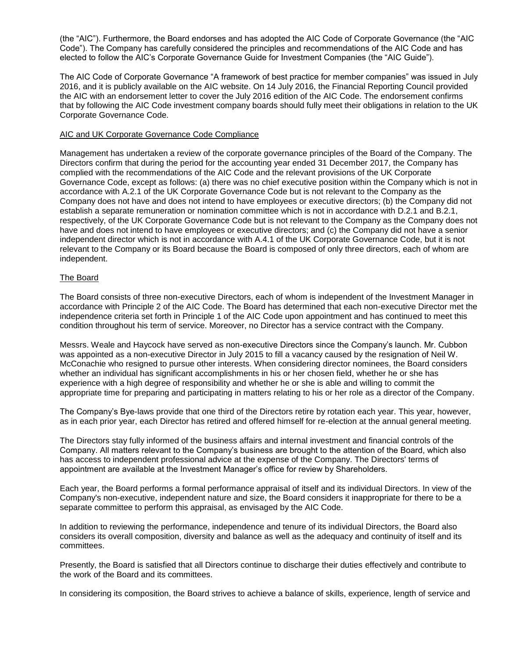(the "AIC"). Furthermore, the Board endorses and has adopted the AIC Code of Corporate Governance (the "AIC Code"). The Company has carefully considered the principles and recommendations of the AIC Code and has elected to follow the AIC's Corporate Governance Guide for Investment Companies (the "AIC Guide").

The AIC Code of Corporate Governance "A framework of best practice for member companies" was issued in July 2016, and it is publicly available on the AIC website. On 14 July 2016, the Financial Reporting Council provided the AIC with an endorsement letter to cover the July 2016 edition of the AIC Code. The endorsement confirms that by following the AIC Code investment company boards should fully meet their obligations in relation to the UK Corporate Governance Code.

## AIC and UK Corporate Governance Code Compliance

Management has undertaken a review of the corporate governance principles of the Board of the Company. The Directors confirm that during the period for the accounting year ended 31 December 2017, the Company has complied with the recommendations of the AIC Code and the relevant provisions of the UK Corporate Governance Code, except as follows: (a) there was no chief executive position within the Company which is not in accordance with A.2.1 of the UK Corporate Governance Code but is not relevant to the Company as the Company does not have and does not intend to have employees or executive directors; (b) the Company did not establish a separate remuneration or nomination committee which is not in accordance with D.2.1 and B.2.1, respectively, of the UK Corporate Governance Code but is not relevant to the Company as the Company does not have and does not intend to have employees or executive directors; and (c) the Company did not have a senior independent director which is not in accordance with A.4.1 of the UK Corporate Governance Code, but it is not relevant to the Company or its Board because the Board is composed of only three directors, each of whom are independent.

## The Board

The Board consists of three non-executive Directors, each of whom is independent of the Investment Manager in accordance with Principle 2 of the AIC Code. The Board has determined that each non-executive Director met the independence criteria set forth in Principle 1 of the AIC Code upon appointment and has continued to meet this condition throughout his term of service. Moreover, no Director has a service contract with the Company.

Messrs. Weale and Haycock have served as non-executive Directors since the Company's launch. Mr. Cubbon was appointed as a non-executive Director in July 2015 to fill a vacancy caused by the resignation of Neil W. McConachie who resigned to pursue other interests. When considering director nominees, the Board considers whether an individual has significant accomplishments in his or her chosen field, whether he or she has experience with a high degree of responsibility and whether he or she is able and willing to commit the appropriate time for preparing and participating in matters relating to his or her role as a director of the Company.

The Company's Bye-laws provide that one third of the Directors retire by rotation each year. This year, however, as in each prior year, each Director has retired and offered himself for re-election at the annual general meeting.

The Directors stay fully informed of the business affairs and internal investment and financial controls of the Company. All matters relevant to the Company's business are brought to the attention of the Board, which also has access to independent professional advice at the expense of the Company. The Directors' terms of appointment are available at the Investment Manager's office for review by Shareholders.

Each year, the Board performs a formal performance appraisal of itself and its individual Directors. In view of the Company's non-executive, independent nature and size, the Board considers it inappropriate for there to be a separate committee to perform this appraisal, as envisaged by the AIC Code.

In addition to reviewing the performance, independence and tenure of its individual Directors, the Board also considers its overall composition, diversity and balance as well as the adequacy and continuity of itself and its committees.

Presently, the Board is satisfied that all Directors continue to discharge their duties effectively and contribute to the work of the Board and its committees.

In considering its composition, the Board strives to achieve a balance of skills, experience, length of service and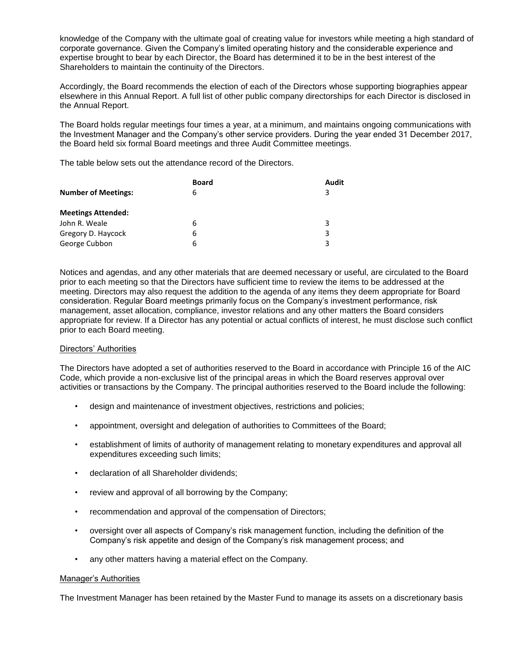knowledge of the Company with the ultimate goal of creating value for investors while meeting a high standard of corporate governance. Given the Company's limited operating history and the considerable experience and expertise brought to bear by each Director, the Board has determined it to be in the best interest of the Shareholders to maintain the continuity of the Directors.

Accordingly, the Board recommends the election of each of the Directors whose supporting biographies appear elsewhere in this Annual Report. A full list of other public company directorships for each Director is disclosed in the Annual Report.

The Board holds regular meetings four times a year, at a minimum, and maintains ongoing communications with the Investment Manager and the Company's other service providers. During the year ended 31 December 2017, the Board held six formal Board meetings and three Audit Committee meetings.

The table below sets out the attendance record of the Directors.

|                            | <b>Board</b> | Audit |
|----------------------------|--------------|-------|
| <b>Number of Meetings:</b> | 6            | 3     |
| <b>Meetings Attended:</b>  |              |       |
| John R. Weale              | 6            | 3     |
| Gregory D. Haycock         | 6            | 3     |
| George Cubbon              | 6            | 3     |

Notices and agendas, and any other materials that are deemed necessary or useful, are circulated to the Board prior to each meeting so that the Directors have sufficient time to review the items to be addressed at the meeting. Directors may also request the addition to the agenda of any items they deem appropriate for Board consideration. Regular Board meetings primarily focus on the Company's investment performance, risk management, asset allocation, compliance, investor relations and any other matters the Board considers appropriate for review. If a Director has any potential or actual conflicts of interest, he must disclose such conflict prior to each Board meeting.

## Directors' Authorities

The Directors have adopted a set of authorities reserved to the Board in accordance with Principle 16 of the AIC Code, which provide a non-exclusive list of the principal areas in which the Board reserves approval over activities or transactions by the Company. The principal authorities reserved to the Board include the following:

- design and maintenance of investment objectives, restrictions and policies;
- appointment, oversight and delegation of authorities to Committees of the Board;
- establishment of limits of authority of management relating to monetary expenditures and approval all expenditures exceeding such limits;
- declaration of all Shareholder dividends;
- review and approval of all borrowing by the Company;
- recommendation and approval of the compensation of Directors;
- oversight over all aspects of Company's risk management function, including the definition of the Company's risk appetite and design of the Company's risk management process; and
- any other matters having a material effect on the Company.

## Manager's Authorities

The Investment Manager has been retained by the Master Fund to manage its assets on a discretionary basis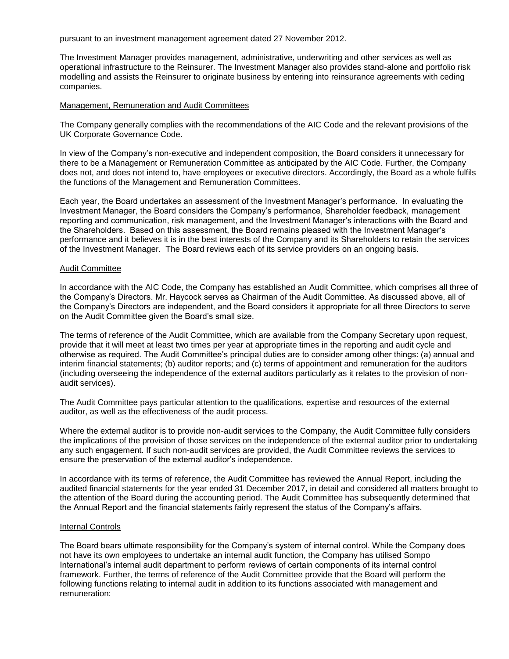pursuant to an investment management agreement dated 27 November 2012.

The Investment Manager provides management, administrative, underwriting and other services as well as operational infrastructure to the Reinsurer. The Investment Manager also provides stand-alone and portfolio risk modelling and assists the Reinsurer to originate business by entering into reinsurance agreements with ceding companies.

#### Management, Remuneration and Audit Committees

The Company generally complies with the recommendations of the AIC Code and the relevant provisions of the UK Corporate Governance Code.

In view of the Company's non-executive and independent composition, the Board considers it unnecessary for there to be a Management or Remuneration Committee as anticipated by the AIC Code. Further, the Company does not, and does not intend to, have employees or executive directors. Accordingly, the Board as a whole fulfils the functions of the Management and Remuneration Committees.

Each year, the Board undertakes an assessment of the Investment Manager's performance. In evaluating the Investment Manager, the Board considers the Company's performance, Shareholder feedback, management reporting and communication, risk management, and the Investment Manager's interactions with the Board and the Shareholders. Based on this assessment, the Board remains pleased with the Investment Manager's performance and it believes it is in the best interests of the Company and its Shareholders to retain the services of the Investment Manager. The Board reviews each of its service providers on an ongoing basis.

#### Audit Committee

In accordance with the AIC Code, the Company has established an Audit Committee, which comprises all three of the Company's Directors. Mr. Haycock serves as Chairman of the Audit Committee. As discussed above, all of the Company's Directors are independent, and the Board considers it appropriate for all three Directors to serve on the Audit Committee given the Board's small size.

The terms of reference of the Audit Committee, which are available from the Company Secretary upon request, provide that it will meet at least two times per year at appropriate times in the reporting and audit cycle and otherwise as required. The Audit Committee's principal duties are to consider among other things: (a) annual and interim financial statements; (b) auditor reports; and (c) terms of appointment and remuneration for the auditors (including overseeing the independence of the external auditors particularly as it relates to the provision of nonaudit services).

The Audit Committee pays particular attention to the qualifications, expertise and resources of the external auditor, as well as the effectiveness of the audit process.

Where the external auditor is to provide non-audit services to the Company, the Audit Committee fully considers the implications of the provision of those services on the independence of the external auditor prior to undertaking any such engagement. If such non-audit services are provided, the Audit Committee reviews the services to ensure the preservation of the external auditor's independence.

In accordance with its terms of reference, the Audit Committee has reviewed the Annual Report, including the audited financial statements for the year ended 31 December 2017, in detail and considered all matters brought to the attention of the Board during the accounting period. The Audit Committee has subsequently determined that the Annual Report and the financial statements fairly represent the status of the Company's affairs.

#### Internal Controls

The Board bears ultimate responsibility for the Company's system of internal control. While the Company does not have its own employees to undertake an internal audit function, the Company has utilised Sompo International's internal audit department to perform reviews of certain components of its internal control framework. Further, the terms of reference of the Audit Committee provide that the Board will perform the following functions relating to internal audit in addition to its functions associated with management and remuneration: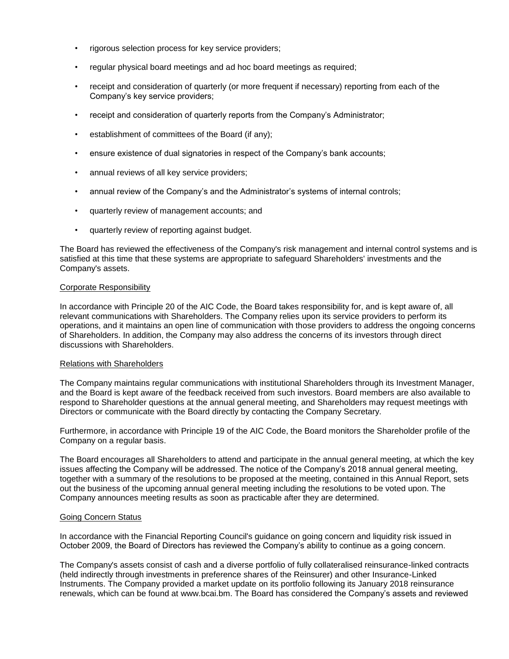- rigorous selection process for key service providers;
- regular physical board meetings and ad hoc board meetings as required;
- receipt and consideration of quarterly (or more frequent if necessary) reporting from each of the Company's key service providers;
- receipt and consideration of quarterly reports from the Company's Administrator;
- establishment of committees of the Board (if any):
- ensure existence of dual signatories in respect of the Company's bank accounts;
- annual reviews of all key service providers;
- annual review of the Company's and the Administrator's systems of internal controls;
- quarterly review of management accounts; and
- quarterly review of reporting against budget.

The Board has reviewed the effectiveness of the Company's risk management and internal control systems and is satisfied at this time that these systems are appropriate to safeguard Shareholders' investments and the Company's assets.

## Corporate Responsibility

In accordance with Principle 20 of the AIC Code, the Board takes responsibility for, and is kept aware of, all relevant communications with Shareholders. The Company relies upon its service providers to perform its operations, and it maintains an open line of communication with those providers to address the ongoing concerns of Shareholders. In addition, the Company may also address the concerns of its investors through direct discussions with Shareholders.

## Relations with Shareholders

The Company maintains regular communications with institutional Shareholders through its Investment Manager, and the Board is kept aware of the feedback received from such investors. Board members are also available to respond to Shareholder questions at the annual general meeting, and Shareholders may request meetings with Directors or communicate with the Board directly by contacting the Company Secretary.

Furthermore, in accordance with Principle 19 of the AIC Code, the Board monitors the Shareholder profile of the Company on a regular basis.

The Board encourages all Shareholders to attend and participate in the annual general meeting, at which the key issues affecting the Company will be addressed. The notice of the Company's 2018 annual general meeting, together with a summary of the resolutions to be proposed at the meeting, contained in this Annual Report, sets out the business of the upcoming annual general meeting including the resolutions to be voted upon. The Company announces meeting results as soon as practicable after they are determined.

## Going Concern Status

In accordance with the Financial Reporting Council's guidance on going concern and liquidity risk issued in October 2009, the Board of Directors has reviewed the Company's ability to continue as a going concern.

The Company's assets consist of cash and a diverse portfolio of fully collateralised reinsurance-linked contracts (held indirectly through investments in preference shares of the Reinsurer) and other Insurance-Linked Instruments. The Company provided a market update on its portfolio following its January 2018 reinsurance renewals, which can be found at www.bcai.bm. The Board has considered the Company's assets and reviewed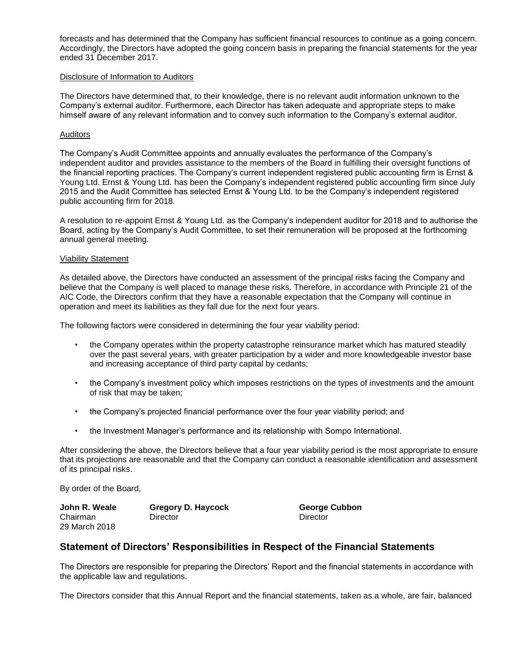forecasts and has determined that the Company has sufficient financial resources to continue as a going concern. Accordingly, the Directors have adopted the going concern basis in preparing the financial statements for the year ended 31 December 2017.

#### Disclosure of Information to Auditors

The Directors have determined that, to their knowledge, there is no relevant audit information unknown to the Company's external auditor. Furthermore, each Director has taken adequate and appropriate steps to make himself aware of any relevant information and to convey such information to the Company's external auditor.

### **Auditors**

The Company's Audit Committee appoints and annually evaluates the performance of the Company's independent auditor and provides assistance to the members of the Board in fulfilling their oversight functions of the financial reporting practices. The Company's current independent registered public accounting firm is Ernst & Young Ltd. Ernst & Young Ltd. has been the Company's independent registered public accounting firm since July 2015 and the Audit Committee has selected Ernst & Young Ltd. to be the Company's independent registered public accounting firm for 2018.

A resolution to re-appoint Ernst & Young Ltd. as the Company's independent auditor for 2018 and to authorise the Board, acting by the Company's Audit Committee, to set their remuneration will be proposed at the forthcoming annual general meeting.

#### Viability Statement

As detailed above, the Directors have conducted an assessment of the principal risks facing the Company and believe that the Company is well placed to manage these risks. Therefore, in accordance with Principle 21 of the AIC Code, the Directors confirm that they have a reasonable expectation that the Company will continue in operation and meet its liabilities as they fall due for the next four years.

The following factors were considered in determining the four year viability period:

- the Company operates within the property catastrophe reinsurance market which has matured steadily over the past several years, with greater participation by a wider and more knowledgeable investor base and increasing acceptance of third party capital by cedants;
- the Company's investment policy which imposes restrictions on the types of investments and the amount of risk that may be taken;
- the Company's projected financial performance over the four year viability period; and
- the Investment Manager's performance and its relationship with Sompo International.

After considering the above, the Directors believe that a four year viability period is the most appropriate to ensure that its projections are reasonable and that the Company can conduct a reasonable identification and assessment of its principal risks.

By order of the Board,

29 March 2018

Chairman Director Director

**John R. Weale Gregory D. Haycock George Cubbon**

## **Statement of Directors' Responsibilities in Respect of the Financial Statements**

The Directors are responsible for preparing the Directors' Report and the financial statements in accordance with the applicable law and regulations.

The Directors consider that this Annual Report and the financial statements, taken as a whole, are fair, balanced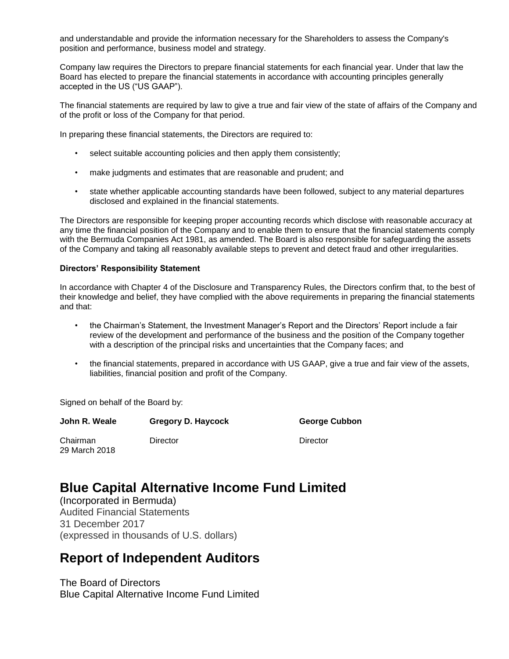and understandable and provide the information necessary for the Shareholders to assess the Company's position and performance, business model and strategy.

Company law requires the Directors to prepare financial statements for each financial year. Under that law the Board has elected to prepare the financial statements in accordance with accounting principles generally accepted in the US ("US GAAP").

The financial statements are required by law to give a true and fair view of the state of affairs of the Company and of the profit or loss of the Company for that period.

In preparing these financial statements, the Directors are required to:

- select suitable accounting policies and then apply them consistently;
- make judgments and estimates that are reasonable and prudent; and
- state whether applicable accounting standards have been followed, subject to any material departures disclosed and explained in the financial statements.

The Directors are responsible for keeping proper accounting records which disclose with reasonable accuracy at any time the financial position of the Company and to enable them to ensure that the financial statements comply with the Bermuda Companies Act 1981, as amended. The Board is also responsible for safeguarding the assets of the Company and taking all reasonably available steps to prevent and detect fraud and other irregularities.

#### **Directors' Responsibility Statement**

In accordance with Chapter 4 of the Disclosure and Transparency Rules, the Directors confirm that, to the best of their knowledge and belief, they have complied with the above requirements in preparing the financial statements and that:

- the Chairman's Statement, the Investment Manager's Report and the Directors' Report include a fair review of the development and performance of the business and the position of the Company together with a description of the principal risks and uncertainties that the Company faces; and
- the financial statements, prepared in accordance with US GAAP, give a true and fair view of the assets, liabilities, financial position and profit of the Company.

Signed on behalf of the Board by:

| John R. Weale             | <b>Gregory D. Haycock</b> | <b>George Cubbon</b> |
|---------------------------|---------------------------|----------------------|
| Chairman<br>29 March 2018 | Director                  | Director             |

# **Blue Capital Alternative Income Fund Limited**

(Incorporated in Bermuda) Audited Financial Statements 31 December 2017 (expressed in thousands of U.S. dollars)

# **Report of Independent Auditors**

The Board of Directors Blue Capital Alternative Income Fund Limited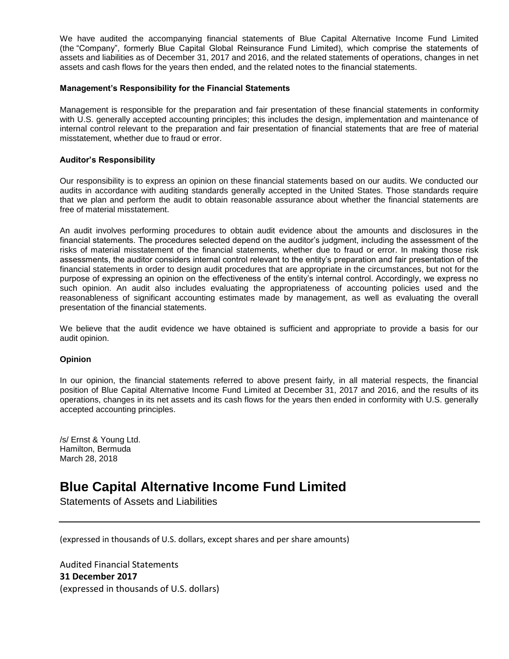We have audited the accompanying financial statements of Blue Capital Alternative Income Fund Limited (the "Company", formerly Blue Capital Global Reinsurance Fund Limited), which comprise the statements of assets and liabilities as of December 31, 2017 and 2016, and the related statements of operations, changes in net assets and cash flows for the years then ended, and the related notes to the financial statements.

### **Management's Responsibility for the Financial Statements**

Management is responsible for the preparation and fair presentation of these financial statements in conformity with U.S. generally accepted accounting principles; this includes the design, implementation and maintenance of internal control relevant to the preparation and fair presentation of financial statements that are free of material misstatement, whether due to fraud or error.

### **Auditor's Responsibility**

Our responsibility is to express an opinion on these financial statements based on our audits. We conducted our audits in accordance with auditing standards generally accepted in the United States. Those standards require that we plan and perform the audit to obtain reasonable assurance about whether the financial statements are free of material misstatement.

An audit involves performing procedures to obtain audit evidence about the amounts and disclosures in the financial statements. The procedures selected depend on the auditor's judgment, including the assessment of the risks of material misstatement of the financial statements, whether due to fraud or error. In making those risk assessments, the auditor considers internal control relevant to the entity's preparation and fair presentation of the financial statements in order to design audit procedures that are appropriate in the circumstances, but not for the purpose of expressing an opinion on the effectiveness of the entity's internal control. Accordingly, we express no such opinion. An audit also includes evaluating the appropriateness of accounting policies used and the reasonableness of significant accounting estimates made by management, as well as evaluating the overall presentation of the financial statements.

We believe that the audit evidence we have obtained is sufficient and appropriate to provide a basis for our audit opinion.

#### **Opinion**

In our opinion, the financial statements referred to above present fairly, in all material respects, the financial position of Blue Capital Alternative Income Fund Limited at December 31, 2017 and 2016, and the results of its operations, changes in its net assets and its cash flows for the years then ended in conformity with U.S. generally accepted accounting principles.

/s/ Ernst & Young Ltd. Hamilton, Bermuda March 28, 2018

# **Blue Capital Alternative Income Fund Limited**

Statements of Assets and Liabilities

(expressed in thousands of U.S. dollars, except shares and per share amounts)

Audited Financial Statements **31 December 2017** (expressed in thousands of U.S. dollars)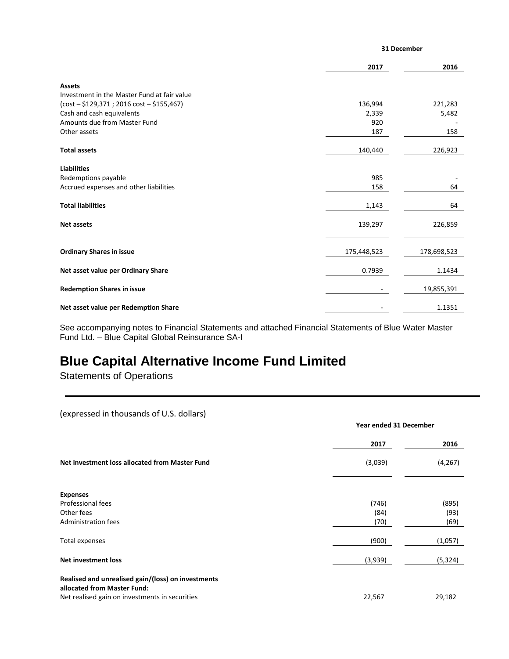|                                             |             | 31 December |  |  |
|---------------------------------------------|-------------|-------------|--|--|
|                                             | 2017        | 2016        |  |  |
| <b>Assets</b>                               |             |             |  |  |
| Investment in the Master Fund at fair value |             |             |  |  |
| (cost - \$129,371 ; 2016 cost - \$155,467)  | 136,994     | 221,283     |  |  |
| Cash and cash equivalents                   | 2,339       | 5,482       |  |  |
| Amounts due from Master Fund                | 920         |             |  |  |
| Other assets                                | 187         | 158         |  |  |
| <b>Total assets</b>                         | 140,440     | 226,923     |  |  |
| <b>Liabilities</b>                          |             |             |  |  |
| Redemptions payable                         | 985         |             |  |  |
| Accrued expenses and other liabilities      | 158         | 64          |  |  |
| <b>Total liabilities</b>                    | 1,143       | 64          |  |  |
| <b>Net assets</b>                           | 139,297     | 226,859     |  |  |
| <b>Ordinary Shares in issue</b>             | 175,448,523 | 178,698,523 |  |  |
|                                             |             |             |  |  |
| Net asset value per Ordinary Share          | 0.7939      | 1.1434      |  |  |
| <b>Redemption Shares in issue</b>           |             | 19,855,391  |  |  |
| Net asset value per Redemption Share        |             | 1.1351      |  |  |
|                                             |             |             |  |  |

See accompanying notes to Financial Statements and attached Financial Statements of Blue Water Master Fund Ltd. – Blue Capital Global Reinsurance SA-I

# **Blue Capital Alternative Income Fund Limited**

Statements of Operations

(expressed in thousands of U.S. dollars)

|                                                                                   | Year ended 31 December |          |  |
|-----------------------------------------------------------------------------------|------------------------|----------|--|
|                                                                                   | 2017                   | 2016     |  |
| Net investment loss allocated from Master Fund                                    | (3,039)                | (4, 267) |  |
| <b>Expenses</b>                                                                   |                        |          |  |
| Professional fees                                                                 | (746)                  | (895)    |  |
| Other fees                                                                        | (84)                   | (93)     |  |
| Administration fees                                                               | (70)                   | (69)     |  |
| Total expenses                                                                    | (900)                  | (1,057)  |  |
| <b>Net investment loss</b>                                                        | (3,939)                | (5, 324) |  |
| Realised and unrealised gain/(loss) on investments<br>allocated from Master Fund: |                        |          |  |
| Net realised gain on investments in securities                                    | 22,567                 | 29,182   |  |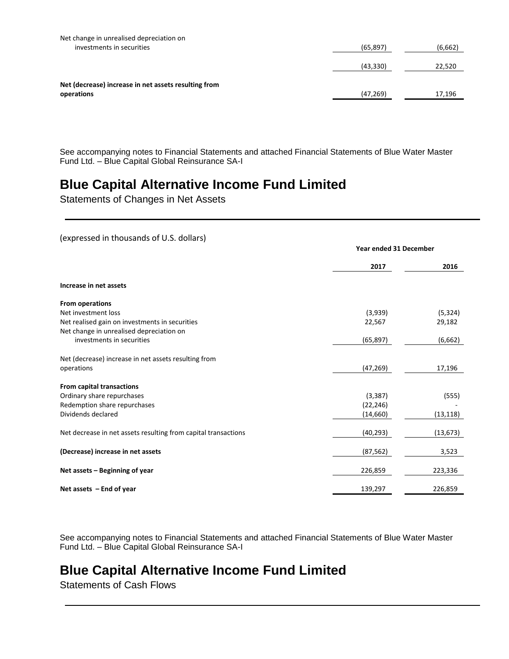| Net change in unrealised depreciation on             |           |         |
|------------------------------------------------------|-----------|---------|
| investments in securities                            | (65, 897) | (6,662) |
|                                                      |           |         |
|                                                      | (43, 330) | 22,520  |
|                                                      |           |         |
| Net (decrease) increase in net assets resulting from |           |         |
| operations                                           | (47, 269) | 17,196  |
|                                                      |           |         |

See accompanying notes to Financial Statements and attached Financial Statements of Blue Water Master Fund Ltd. – Blue Capital Global Reinsurance SA-I

# **Blue Capital Alternative Income Fund Limited**

Statements of Changes in Net Assets

## (expressed in thousands of U.S. dollars)

|                                                                | <b>Year ended 31 December</b> |           |
|----------------------------------------------------------------|-------------------------------|-----------|
|                                                                | 2017                          | 2016      |
| Increase in net assets                                         |                               |           |
| From operations                                                |                               |           |
| Net investment loss                                            | (3,939)                       | (5, 324)  |
| Net realised gain on investments in securities                 | 22,567                        | 29,182    |
| Net change in unrealised depreciation on                       |                               |           |
| investments in securities                                      | (65, 897)                     | (6,662)   |
| Net (decrease) increase in net assets resulting from           |                               |           |
| operations                                                     | (47, 269)                     | 17,196    |
| From capital transactions                                      |                               |           |
| Ordinary share repurchases                                     | (3, 387)                      | (555)     |
| Redemption share repurchases                                   | (22, 246)                     |           |
| Dividends declared                                             | (14, 660)                     | (13, 118) |
| Net decrease in net assets resulting from capital transactions | (40, 293)                     | (13, 673) |
| (Decrease) increase in net assets                              | (87, 562)                     | 3,523     |
| Net assets - Beginning of year                                 | 226,859                       | 223,336   |
| Net assets $-$ End of year                                     | 139,297                       | 226,859   |

See accompanying notes to Financial Statements and attached Financial Statements of Blue Water Master Fund Ltd. – Blue Capital Global Reinsurance SA-I

# **Blue Capital Alternative Income Fund Limited**

Statements of Cash Flows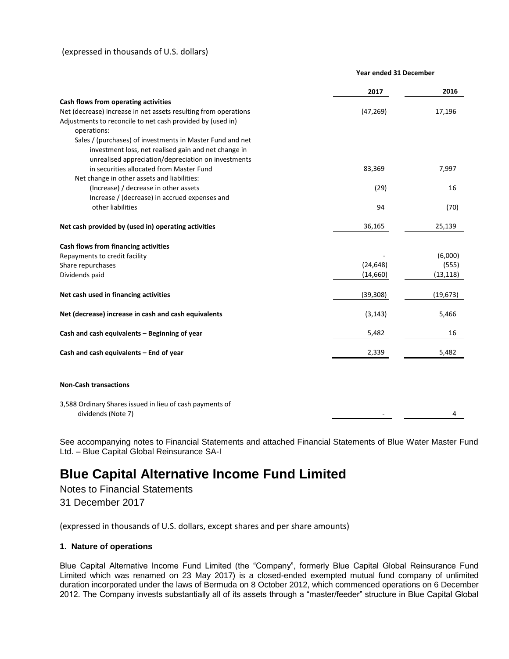## (expressed in thousands of U.S. dollars)

#### **Year ended 31 December**

|                                                                                | 2017      | 2016      |
|--------------------------------------------------------------------------------|-----------|-----------|
| Cash flows from operating activities                                           |           |           |
| Net (decrease) increase in net assets resulting from operations                | (47, 269) | 17,196    |
| Adjustments to reconcile to net cash provided by (used in)                     |           |           |
| operations:                                                                    |           |           |
| Sales / (purchases) of investments in Master Fund and net                      |           |           |
| investment loss, net realised gain and net change in                           |           |           |
| unrealised appreciation/depreciation on investments                            |           |           |
| in securities allocated from Master Fund                                       | 83,369    | 7,997     |
| Net change in other assets and liabilities:                                    |           |           |
| (Increase) / decrease in other assets                                          | (29)      | 16        |
| Increase / (decrease) in accrued expenses and                                  |           |           |
| other liabilities                                                              | 94        | (70)      |
| Net cash provided by (used in) operating activities                            | 36,165    | 25,139    |
| Cash flows from financing activities                                           |           |           |
| Repayments to credit facility                                                  |           | (6,000)   |
| Share repurchases                                                              | (24, 648) | (555)     |
| Dividends paid                                                                 | (14,660)  | (13, 118) |
| Net cash used in financing activities                                          | (39, 308) | (19, 673) |
| Net (decrease) increase in cash and cash equivalents                           | (3, 143)  | 5,466     |
| Cash and cash equivalents - Beginning of year                                  | 5,482     | 16        |
| Cash and cash equivalents - End of year                                        | 2,339     | 5,482     |
| <b>Non-Cash transactions</b>                                                   |           |           |
| 3,588 Ordinary Shares issued in lieu of cash payments of<br>dividends (Note 7) |           | 4         |

See accompanying notes to Financial Statements and attached Financial Statements of Blue Water Master Fund Ltd. – Blue Capital Global Reinsurance SA-I

# **Blue Capital Alternative Income Fund Limited**

Notes to Financial Statements 31 December 2017

(expressed in thousands of U.S. dollars, except shares and per share amounts)

#### **1. Nature of operations**

Blue Capital Alternative Income Fund Limited (the "Company", formerly Blue Capital Global Reinsurance Fund Limited which was renamed on 23 May 2017) is a closed-ended exempted mutual fund company of unlimited duration incorporated under the laws of Bermuda on 8 October 2012, which commenced operations on 6 December 2012. The Company invests substantially all of its assets through a "master/feeder" structure in Blue Capital Global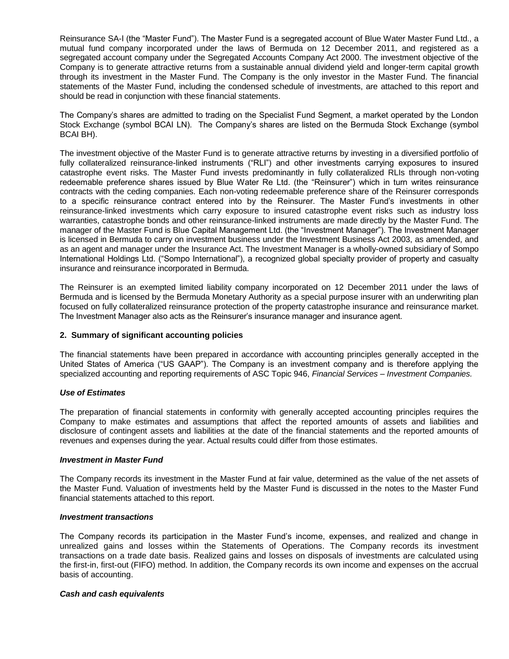Reinsurance SA-I (the "Master Fund"). The Master Fund is a segregated account of Blue Water Master Fund Ltd., a mutual fund company incorporated under the laws of Bermuda on 12 December 2011, and registered as a segregated account company under the Segregated Accounts Company Act 2000. The investment objective of the Company is to generate attractive returns from a sustainable annual dividend yield and longer-term capital growth through its investment in the Master Fund. The Company is the only investor in the Master Fund. The financial statements of the Master Fund, including the condensed schedule of investments, are attached to this report and should be read in conjunction with these financial statements.

The Company's shares are admitted to trading on the Specialist Fund Segment, a market operated by the London Stock Exchange (symbol BCAI LN). The Company's shares are listed on the Bermuda Stock Exchange (symbol BCAI BH).

The investment objective of the Master Fund is to generate attractive returns by investing in a diversified portfolio of fully collateralized reinsurance-linked instruments ("RLI") and other investments carrying exposures to insured catastrophe event risks. The Master Fund invests predominantly in fully collateralized RLIs through non-voting redeemable preference shares issued by Blue Water Re Ltd. (the "Reinsurer") which in turn writes reinsurance contracts with the ceding companies. Each non-voting redeemable preference share of the Reinsurer corresponds to a specific reinsurance contract entered into by the Reinsurer. The Master Fund's investments in other reinsurance-linked investments which carry exposure to insured catastrophe event risks such as industry loss warranties, catastrophe bonds and other reinsurance-linked instruments are made directly by the Master Fund. The manager of the Master Fund is Blue Capital Management Ltd. (the "Investment Manager"). The Investment Manager is licensed in Bermuda to carry on investment business under the Investment Business Act 2003, as amended, and as an agent and manager under the Insurance Act. The Investment Manager is a wholly-owned subsidiary of Sompo International Holdings Ltd. ("Sompo International"), a recognized global specialty provider of property and casualty insurance and reinsurance incorporated in Bermuda.

The Reinsurer is an exempted limited liability company incorporated on 12 December 2011 under the laws of Bermuda and is licensed by the Bermuda Monetary Authority as a special purpose insurer with an underwriting plan focused on fully collateralized reinsurance protection of the property catastrophe insurance and reinsurance market. The Investment Manager also acts as the Reinsurer's insurance manager and insurance agent.

## **2. Summary of significant accounting policies**

The financial statements have been prepared in accordance with accounting principles generally accepted in the United States of America ("US GAAP"). The Company is an investment company and is therefore applying the specialized accounting and reporting requirements of ASC Topic 946, *Financial Services – Investment Companies.*

## *Use of Estimates*

The preparation of financial statements in conformity with generally accepted accounting principles requires the Company to make estimates and assumptions that affect the reported amounts of assets and liabilities and disclosure of contingent assets and liabilities at the date of the financial statements and the reported amounts of revenues and expenses during the year. Actual results could differ from those estimates.

#### *Investment in Master Fund*

The Company records its investment in the Master Fund at fair value, determined as the value of the net assets of the Master Fund. Valuation of investments held by the Master Fund is discussed in the notes to the Master Fund financial statements attached to this report.

#### *Investment transactions*

The Company records its participation in the Master Fund's income, expenses, and realized and change in unrealized gains and losses within the Statements of Operations. The Company records its investment transactions on a trade date basis. Realized gains and losses on disposals of investments are calculated using the first-in, first-out (FIFO) method. In addition, the Company records its own income and expenses on the accrual basis of accounting.

#### *Cash and cash equivalents*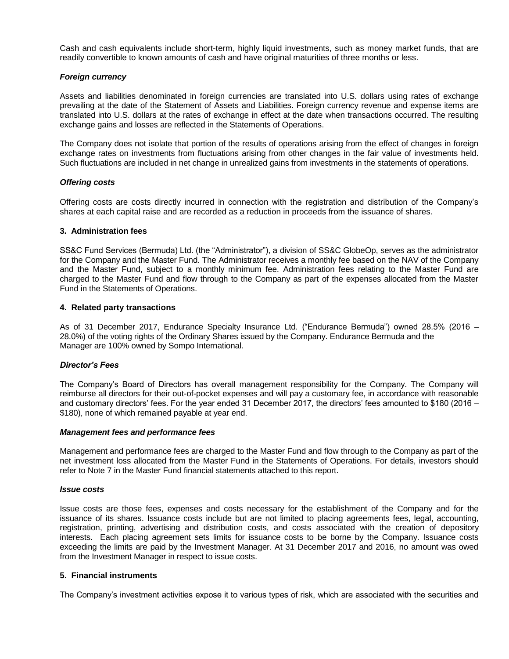Cash and cash equivalents include short-term, highly liquid investments, such as money market funds, that are readily convertible to known amounts of cash and have original maturities of three months or less.

## *Foreign currency*

Assets and liabilities denominated in foreign currencies are translated into U.S. dollars using rates of exchange prevailing at the date of the Statement of Assets and Liabilities. Foreign currency revenue and expense items are translated into U.S. dollars at the rates of exchange in effect at the date when transactions occurred. The resulting exchange gains and losses are reflected in the Statements of Operations.

The Company does not isolate that portion of the results of operations arising from the effect of changes in foreign exchange rates on investments from fluctuations arising from other changes in the fair value of investments held. Such fluctuations are included in net change in unrealized gains from investments in the statements of operations.

#### *Offering costs*

Offering costs are costs directly incurred in connection with the registration and distribution of the Company's shares at each capital raise and are recorded as a reduction in proceeds from the issuance of shares.

#### **3. Administration fees**

SS&C Fund Services (Bermuda) Ltd. (the "Administrator"), a division of SS&C GlobeOp, serves as the administrator for the Company and the Master Fund. The Administrator receives a monthly fee based on the NAV of the Company and the Master Fund, subject to a monthly minimum fee. Administration fees relating to the Master Fund are charged to the Master Fund and flow through to the Company as part of the expenses allocated from the Master Fund in the Statements of Operations.

#### **4. Related party transactions**

As of 31 December 2017, Endurance Specialty Insurance Ltd. ("Endurance Bermuda") owned 28.5% (2016 – 28.0%) of the voting rights of the Ordinary Shares issued by the Company. Endurance Bermuda and the Manager are 100% owned by Sompo International.

#### *Director's Fees*

The Company's Board of Directors has overall management responsibility for the Company. The Company will reimburse all directors for their out-of-pocket expenses and will pay a customary fee, in accordance with reasonable and customary directors' fees. For the year ended 31 December 2017, the directors' fees amounted to \$180 (2016 – \$180), none of which remained payable at year end.

#### *Management fees and performance fees*

Management and performance fees are charged to the Master Fund and flow through to the Company as part of the net investment loss allocated from the Master Fund in the Statements of Operations. For details, investors should refer to Note 7 in the Master Fund financial statements attached to this report.

#### *Issue costs*

Issue costs are those fees, expenses and costs necessary for the establishment of the Company and for the issuance of its shares. Issuance costs include but are not limited to placing agreements fees, legal, accounting, registration, printing, advertising and distribution costs, and costs associated with the creation of depository interests. Each placing agreement sets limits for issuance costs to be borne by the Company. Issuance costs exceeding the limits are paid by the Investment Manager. At 31 December 2017 and 2016, no amount was owed from the Investment Manager in respect to issue costs.

#### **5. Financial instruments**

The Company's investment activities expose it to various types of risk, which are associated with the securities and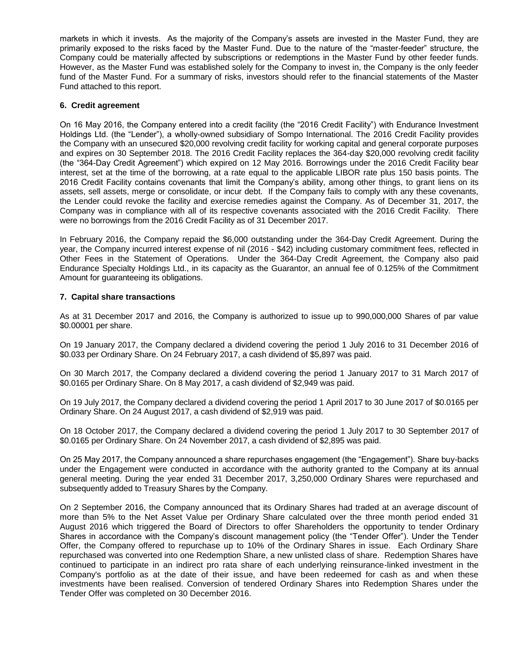markets in which it invests. As the majority of the Company's assets are invested in the Master Fund, they are primarily exposed to the risks faced by the Master Fund. Due to the nature of the "master-feeder" structure, the Company could be materially affected by subscriptions or redemptions in the Master Fund by other feeder funds. However, as the Master Fund was established solely for the Company to invest in, the Company is the only feeder fund of the Master Fund. For a summary of risks, investors should refer to the financial statements of the Master Fund attached to this report.

## **6. Credit agreement**

On 16 May 2016, the Company entered into a credit facility (the "2016 Credit Facility") with Endurance Investment Holdings Ltd. (the "Lender"), a wholly-owned subsidiary of Sompo International. The 2016 Credit Facility provides the Company with an unsecured \$20,000 revolving credit facility for working capital and general corporate purposes and expires on 30 September 2018. The 2016 Credit Facility replaces the 364-day \$20,000 revolving credit facility (the "364-Day Credit Agreement") which expired on 12 May 2016. Borrowings under the 2016 Credit Facility bear interest, set at the time of the borrowing, at a rate equal to the applicable LIBOR rate plus 150 basis points. The 2016 Credit Facility contains covenants that limit the Company's ability, among other things, to grant liens on its assets, sell assets, merge or consolidate, or incur debt. If the Company fails to comply with any these covenants, the Lender could revoke the facility and exercise remedies against the Company. As of December 31, 2017, the Company was in compliance with all of its respective covenants associated with the 2016 Credit Facility. There were no borrowings from the 2016 Credit Facility as of 31 December 2017.

In February 2016, the Company repaid the \$6,000 outstanding under the 364-Day Credit Agreement. During the year, the Company incurred interest expense of nil (2016 - \$42) including customary commitment fees, reflected in Other Fees in the Statement of Operations. Under the 364-Day Credit Agreement, the Company also paid Endurance Specialty Holdings Ltd., in its capacity as the Guarantor, an annual fee of 0.125% of the Commitment Amount for guaranteeing its obligations.

## **7. Capital share transactions**

As at 31 December 2017 and 2016, the Company is authorized to issue up to 990,000,000 Shares of par value \$0.00001 per share.

On 19 January 2017, the Company declared a dividend covering the period 1 July 2016 to 31 December 2016 of \$0.033 per Ordinary Share. On 24 February 2017, a cash dividend of \$5,897 was paid.

On 30 March 2017, the Company declared a dividend covering the period 1 January 2017 to 31 March 2017 of \$0.0165 per Ordinary Share. On 8 May 2017, a cash dividend of \$2,949 was paid.

On 19 July 2017, the Company declared a dividend covering the period 1 April 2017 to 30 June 2017 of \$0.0165 per Ordinary Share. On 24 August 2017, a cash dividend of \$2,919 was paid.

On 18 October 2017, the Company declared a dividend covering the period 1 July 2017 to 30 September 2017 of \$0.0165 per Ordinary Share. On 24 November 2017, a cash dividend of \$2,895 was paid.

On 25 May 2017, the Company announced a share repurchases engagement (the "Engagement"). Share buy-backs under the Engagement were conducted in accordance with the authority granted to the Company at its annual general meeting. During the year ended 31 December 2017, 3,250,000 Ordinary Shares were repurchased and subsequently added to Treasury Shares by the Company.

On 2 September 2016, the Company announced that its Ordinary Shares had traded at an average discount of more than 5% to the Net Asset Value per Ordinary Share calculated over the three month period ended 31 August 2016 which triggered the Board of Directors to offer Shareholders the opportunity to tender Ordinary Shares in accordance with the Company's discount management policy (the "Tender Offer"). Under the Tender Offer, the Company offered to repurchase up to 10% of the Ordinary Shares in issue. Each Ordinary Share repurchased was converted into one Redemption Share, a new unlisted class of share. Redemption Shares have continued to participate in an indirect pro rata share of each underlying reinsurance-linked investment in the Company's portfolio as at the date of their issue, and have been redeemed for cash as and when these investments have been realised. Conversion of tendered Ordinary Shares into Redemption Shares under the Tender Offer was completed on 30 December 2016.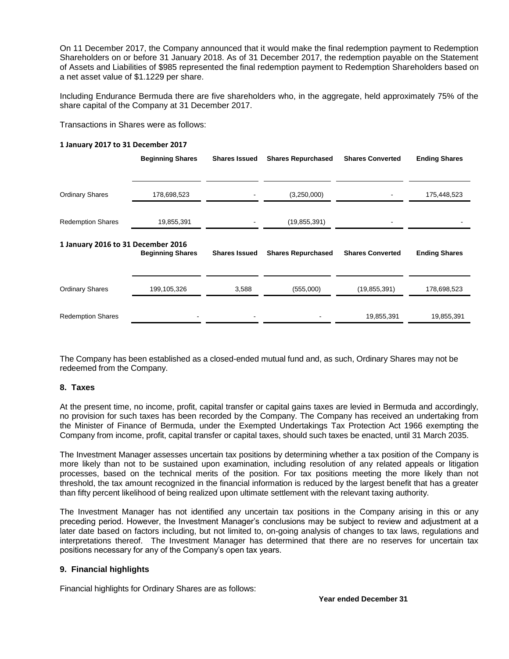On 11 December 2017, the Company announced that it would make the final redemption payment to Redemption Shareholders on or before 31 January 2018. As of 31 December 2017, the redemption payable on the Statement of Assets and Liabilities of \$985 represented the final redemption payment to Redemption Shareholders based on a net asset value of \$1.1229 per share.

Including Endurance Bermuda there are five shareholders who, in the aggregate, held approximately 75% of the share capital of the Company at 31 December 2017.

Transactions in Shares were as follows:

#### **1 January 2017 to 31 December 2017**

|                                    | <b>Beginning Shares</b> | <b>Shares Issued</b> | <b>Shares Repurchased</b> | <b>Shares Converted</b> | <b>Ending Shares</b> |
|------------------------------------|-------------------------|----------------------|---------------------------|-------------------------|----------------------|
|                                    |                         |                      |                           |                         |                      |
| <b>Ordinary Shares</b>             | 178,698,523             |                      | (3,250,000)               |                         | 175,448,523          |
| <b>Redemption Shares</b>           | 19,855,391              |                      | (19, 855, 391)            |                         |                      |
| 1 January 2016 to 31 December 2016 | <b>Beginning Shares</b> | <b>Shares Issued</b> | <b>Shares Repurchased</b> | <b>Shares Converted</b> | <b>Ending Shares</b> |
| <b>Ordinary Shares</b>             | 199,105,326             | 3,588                | (555,000)                 | (19, 855, 391)          | 178,698,523          |
| <b>Redemption Shares</b>           |                         |                      |                           | 19,855,391              | 19,855,391           |

The Company has been established as a closed-ended mutual fund and, as such, Ordinary Shares may not be redeemed from the Company.

## **8. Taxes**

At the present time, no income, profit, capital transfer or capital gains taxes are levied in Bermuda and accordingly, no provision for such taxes has been recorded by the Company. The Company has received an undertaking from the Minister of Finance of Bermuda, under the Exempted Undertakings Tax Protection Act 1966 exempting the Company from income, profit, capital transfer or capital taxes, should such taxes be enacted, until 31 March 2035.

The Investment Manager assesses uncertain tax positions by determining whether a tax position of the Company is more likely than not to be sustained upon examination, including resolution of any related appeals or litigation processes, based on the technical merits of the position. For tax positions meeting the more likely than not threshold, the tax amount recognized in the financial information is reduced by the largest benefit that has a greater than fifty percent likelihood of being realized upon ultimate settlement with the relevant taxing authority.

The Investment Manager has not identified any uncertain tax positions in the Company arising in this or any preceding period. However, the Investment Manager's conclusions may be subject to review and adjustment at a later date based on factors including, but not limited to, on-going analysis of changes to tax laws, regulations and interpretations thereof. The Investment Manager has determined that there are no reserves for uncertain tax positions necessary for any of the Company's open tax years.

## **9. Financial highlights**

Financial highlights for Ordinary Shares are as follows: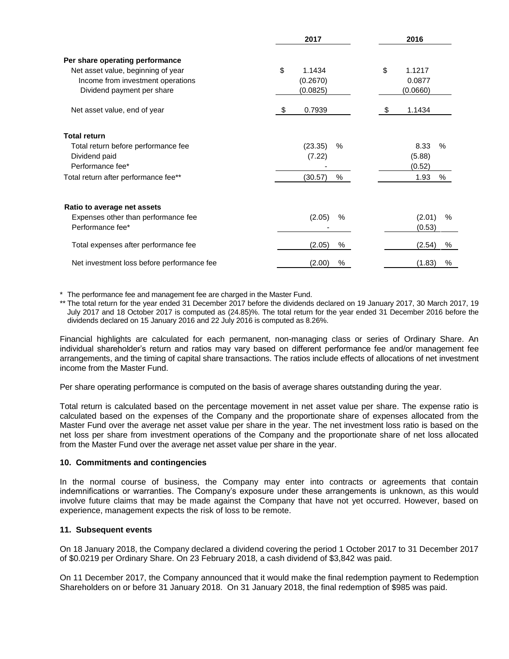|                                            | 2017           | 2016         |
|--------------------------------------------|----------------|--------------|
| Per share operating performance            |                |              |
| Net asset value, beginning of year         | \$<br>1.1434   | \$<br>1.1217 |
| Income from investment operations          | (0.2670)       | 0.0877       |
| Dividend payment per share                 | (0.0825)       | (0.0660)     |
| Net asset value, end of year               | 0.7939<br>\$   | 1.1434<br>S. |
| <b>Total return</b>                        |                |              |
| Total return before performance fee        | (23.35)<br>%   | 8.33<br>$\%$ |
| Dividend paid                              | (7.22)         | (5.88)       |
| Performance fee*                           |                | (0.52)       |
| Total return after performance fee**       | (30.57)<br>%   | 1.93<br>%    |
| Ratio to average net assets                |                |              |
| Expenses other than performance fee        | (2.05)<br>$\%$ | (2.01)<br>%  |
| Performance fee*                           |                | (0.53)       |
| Total expenses after performance fee       | %<br>(2.05)    | (2.54)<br>%  |
| Net investment loss before performance fee | %<br>(2.00)    | (1.83)<br>%  |

\* The performance fee and management fee are charged in the Master Fund.

\*\* The total return for the year ended 31 December 2017 before the dividends declared on 19 January 2017, 30 March 2017, 19 July 2017 and 18 October 2017 is computed as (24.85)%. The total return for the year ended 31 December 2016 before the dividends declared on 15 January 2016 and 22 July 2016 is computed as 8.26%.

Financial highlights are calculated for each permanent, non-managing class or series of Ordinary Share. An individual shareholder's return and ratios may vary based on different performance fee and/or management fee arrangements, and the timing of capital share transactions. The ratios include effects of allocations of net investment income from the Master Fund.

Per share operating performance is computed on the basis of average shares outstanding during the year.

Total return is calculated based on the percentage movement in net asset value per share. The expense ratio is calculated based on the expenses of the Company and the proportionate share of expenses allocated from the Master Fund over the average net asset value per share in the year. The net investment loss ratio is based on the net loss per share from investment operations of the Company and the proportionate share of net loss allocated from the Master Fund over the average net asset value per share in the year.

## **10. Commitments and contingencies**

In the normal course of business, the Company may enter into contracts or agreements that contain indemnifications or warranties. The Company's exposure under these arrangements is unknown, as this would involve future claims that may be made against the Company that have not yet occurred. However, based on experience, management expects the risk of loss to be remote.

## **11. Subsequent events**

On 18 January 2018, the Company declared a dividend covering the period 1 October 2017 to 31 December 2017 of \$0.0219 per Ordinary Share. On 23 February 2018, a cash dividend of \$3,842 was paid.

On 11 December 2017, the Company announced that it would make the final redemption payment to Redemption Shareholders on or before 31 January 2018. On 31 January 2018, the final redemption of \$985 was paid.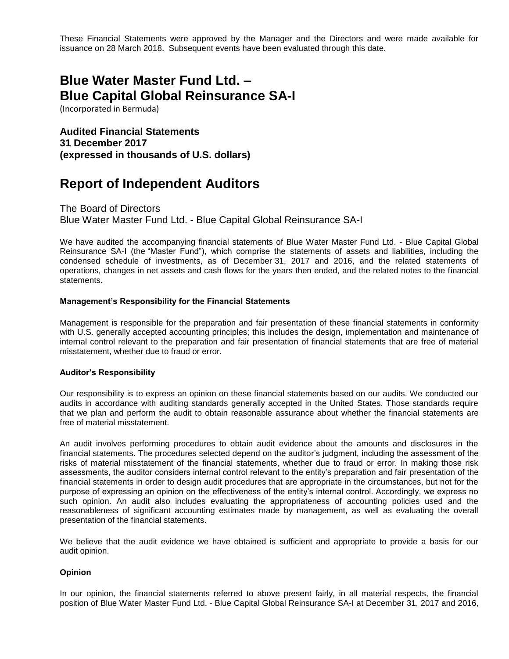These Financial Statements were approved by the Manager and the Directors and were made available for issuance on 28 March 2018. Subsequent events have been evaluated through this date.

# **Blue Water Master Fund Ltd. – Blue Capital Global Reinsurance SA-I**

(Incorporated in Bermuda)

**Audited Financial Statements 31 December 2017 (expressed in thousands of U.S. dollars)**

# **Report of Independent Auditors**

The Board of Directors Blue Water Master Fund Ltd. - Blue Capital Global Reinsurance SA-I

We have audited the accompanying financial statements of Blue Water Master Fund Ltd. - Blue Capital Global Reinsurance SA-I (the "Master Fund"), which comprise the statements of assets and liabilities, including the condensed schedule of investments, as of December 31, 2017 and 2016, and the related statements of operations, changes in net assets and cash flows for the years then ended, and the related notes to the financial statements.

## **Management's Responsibility for the Financial Statements**

Management is responsible for the preparation and fair presentation of these financial statements in conformity with U.S. generally accepted accounting principles; this includes the design, implementation and maintenance of internal control relevant to the preparation and fair presentation of financial statements that are free of material misstatement, whether due to fraud or error.

## **Auditor's Responsibility**

Our responsibility is to express an opinion on these financial statements based on our audits. We conducted our audits in accordance with auditing standards generally accepted in the United States. Those standards require that we plan and perform the audit to obtain reasonable assurance about whether the financial statements are free of material misstatement.

An audit involves performing procedures to obtain audit evidence about the amounts and disclosures in the financial statements. The procedures selected depend on the auditor's judgment, including the assessment of the risks of material misstatement of the financial statements, whether due to fraud or error. In making those risk assessments, the auditor considers internal control relevant to the entity's preparation and fair presentation of the financial statements in order to design audit procedures that are appropriate in the circumstances, but not for the purpose of expressing an opinion on the effectiveness of the entity's internal control. Accordingly, we express no such opinion. An audit also includes evaluating the appropriateness of accounting policies used and the reasonableness of significant accounting estimates made by management, as well as evaluating the overall presentation of the financial statements.

We believe that the audit evidence we have obtained is sufficient and appropriate to provide a basis for our audit opinion.

## **Opinion**

In our opinion, the financial statements referred to above present fairly, in all material respects, the financial position of Blue Water Master Fund Ltd. - Blue Capital Global Reinsurance SA-I at December 31, 2017 and 2016,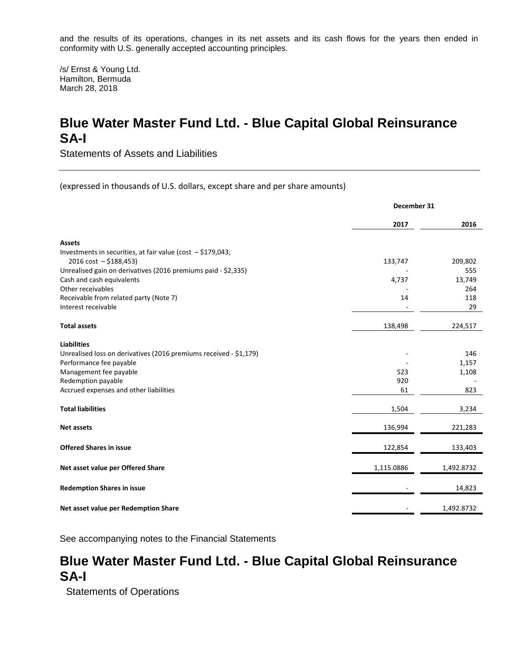and the results of its operations, changes in its net assets and its cash flows for the years then ended in conformity with U.S. generally accepted accounting principles.

/s/ Ernst & Young Ltd. Hamilton, Bermuda March 28, 2018

# **Blue Water Master Fund Ltd. - Blue Capital Global Reinsurance SA-I**

Statements of Assets and Liabilities

(expressed in thousands of U.S. dollars, except share and per share amounts)

|                                                                   | December 31 |            |
|-------------------------------------------------------------------|-------------|------------|
|                                                                   | 2017        | 2016       |
| <b>Assets</b>                                                     |             |            |
| Investments in securities, at fair value (cost - \$179,043;       |             |            |
| $2016 \text{ cost} - $188,453$                                    | 133,747     | 209,802    |
| Unrealised gain on derivatives (2016 premiums paid - \$2,335)     |             | 555        |
| Cash and cash equivalents                                         | 4,737       | 13,749     |
| Other receivables                                                 |             | 264        |
| Receivable from related party (Note 7)                            | 14          | 118        |
| Interest receivable                                               |             | 29         |
| <b>Total assets</b>                                               | 138,498     | 224,517    |
| <b>Liabilities</b>                                                |             |            |
| Unrealised loss on derivatives (2016 premiums received - \$1,179) |             | 146        |
| Performance fee payable                                           |             | 1,157      |
| Management fee payable                                            | 523         | 1,108      |
| Redemption payable                                                | 920         |            |
| Accrued expenses and other liabilities                            | 61          | 823        |
| <b>Total liabilities</b>                                          | 1,504       | 3,234      |
| <b>Net assets</b>                                                 | 136,994     | 221,283    |
| <b>Offered Shares in issue</b>                                    | 122,854     | 133,403    |
| Net asset value per Offered Share                                 | 1,115.0886  | 1,492.8732 |
| <b>Redemption Shares in issue</b>                                 |             | 14,823     |
| Net asset value per Redemption Share                              |             | 1,492.8732 |

See accompanying notes to the Financial Statements

# **Blue Water Master Fund Ltd. - Blue Capital Global Reinsurance SA-I**

Statements of Operations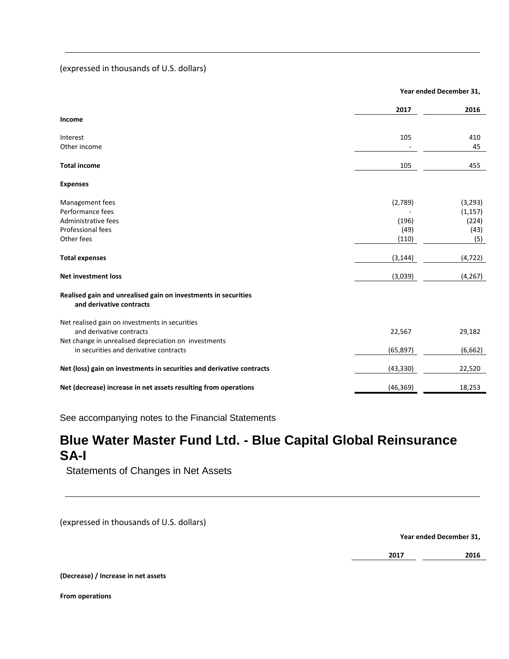## (expressed in thousands of U.S. dollars)

|                                                                                            |           | Year ended December 31, |
|--------------------------------------------------------------------------------------------|-----------|-------------------------|
|                                                                                            | 2017      | 2016                    |
| Income                                                                                     |           |                         |
| Interest                                                                                   | 105       | 410                     |
| Other income                                                                               |           | 45                      |
| <b>Total income</b>                                                                        | 105       | 455                     |
| <b>Expenses</b>                                                                            |           |                         |
| Management fees                                                                            | (2,789)   | (3, 293)                |
| Performance fees                                                                           |           | (1, 157)                |
| Administrative fees                                                                        | (196)     | (224)                   |
| Professional fees                                                                          | (49)      | (43)                    |
| Other fees                                                                                 | (110)     | (5)                     |
| <b>Total expenses</b>                                                                      | (3, 144)  | (4, 722)                |
| <b>Net investment loss</b>                                                                 | (3,039)   | (4, 267)                |
| Realised gain and unrealised gain on investments in securities<br>and derivative contracts |           |                         |
| Net realised gain on investments in securities                                             |           |                         |
| and derivative contracts                                                                   | 22,567    | 29,182                  |
| Net change in unrealised depreciation on investments                                       |           |                         |
| in securities and derivative contracts                                                     | (65, 897) | (6,662)                 |
| Net (loss) gain on investments in securities and derivative contracts                      | (43, 330) | 22,520                  |
| Net (decrease) increase in net assets resulting from operations                            | (46, 369) | 18,253                  |
|                                                                                            |           |                         |

See accompanying notes to the Financial Statements

# **Blue Water Master Fund Ltd. - Blue Capital Global Reinsurance SA-I**

Statements of Changes in Net Assets

(expressed in thousands of U.S. dollars)

**Year ended December 31,**

**2017 2016**

**(Decrease) / Increase in net assets**

**From operations**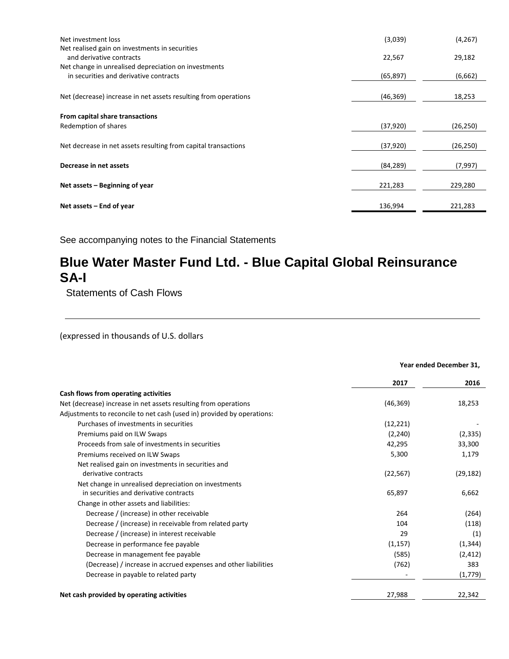| Net investment loss                                                                            | (3,039)   | (4, 267)  |
|------------------------------------------------------------------------------------------------|-----------|-----------|
| Net realised gain on investments in securities<br>and derivative contracts                     | 22,567    | 29,182    |
| Net change in unrealised depreciation on investments<br>in securities and derivative contracts | (65, 897) | (6,662)   |
| Net (decrease) increase in net assets resulting from operations                                | (46, 369) | 18,253    |
| From capital share transactions                                                                |           |           |
| Redemption of shares                                                                           | (37, 920) | (26, 250) |
| Net decrease in net assets resulting from capital transactions                                 | (37, 920) | (26, 250) |
| Decrease in net assets                                                                         | (84, 289) | (7,997)   |
| Net assets – Beginning of year                                                                 | 221,283   | 229,280   |
| Net assets – End of year                                                                       | 136,994   | 221,283   |

# **Blue Water Master Fund Ltd. - Blue Capital Global Reinsurance SA-I**

Statements of Cash Flows

(expressed in thousands of U.S. dollars

|                                                                        | Year ended December 31, |           |
|------------------------------------------------------------------------|-------------------------|-----------|
|                                                                        | 2017                    | 2016      |
| Cash flows from operating activities                                   |                         |           |
| Net (decrease) increase in net assets resulting from operations        | (46, 369)               | 18,253    |
| Adjustments to reconcile to net cash (used in) provided by operations: |                         |           |
| Purchases of investments in securities                                 | (12, 221)               |           |
| Premiums paid on ILW Swaps                                             | (2, 240)                | (2, 335)  |
| Proceeds from sale of investments in securities                        | 42,295                  | 33,300    |
| Premiums received on ILW Swaps                                         | 5,300                   | 1,179     |
| Net realised gain on investments in securities and                     |                         |           |
| derivative contracts                                                   | (22, 567)               | (29, 182) |
| Net change in unrealised depreciation on investments                   |                         |           |
| in securities and derivative contracts                                 | 65,897                  | 6,662     |
| Change in other assets and liabilities:                                |                         |           |
| Decrease / (increase) in other receivable                              | 264                     | (264)     |
| Decrease / (increase) in receivable from related party                 | 104                     | (118)     |
| Decrease / (increase) in interest receivable                           | 29                      | (1)       |
| Decrease in performance fee payable                                    | (1, 157)                | (1, 344)  |
| Decrease in management fee payable                                     | (585)                   | (2, 412)  |
| (Decrease) / increase in accrued expenses and other liabilities        | (762)                   | 383       |
| Decrease in payable to related party                                   |                         | (1,779)   |
| Net cash provided by operating activities                              | 27,988                  | 22,342    |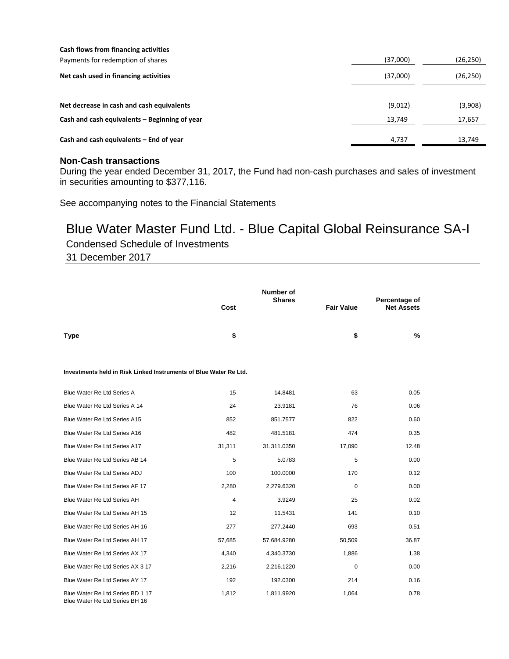| Cash flows from financing activities<br>Payments for redemption of shares | (37,000) | (26, 250) |
|---------------------------------------------------------------------------|----------|-----------|
| Net cash used in financing activities                                     | (37,000) | (26,250)  |
|                                                                           |          |           |
| Net decrease in cash and cash equivalents                                 | (9,012)  | (3,908)   |
| Cash and cash equivalents – Beginning of year                             | 13,749   | 17,657    |
| Cash and cash equivalents – End of year                                   | 4,737    | 13,749    |

## **Non-Cash transactions**

During the year ended December 31, 2017, the Fund had non-cash purchases and sales of investment in securities amounting to \$377,116.

See accompanying notes to the Financial Statements

# Blue Water Master Fund Ltd. - Blue Capital Global Reinsurance SA-I

Condensed Schedule of Investments

31 December 2017

|                                                                    | Cost   | <b>Number of</b><br><b>Shares</b> | <b>Fair Value</b> | Percentage of<br><b>Net Assets</b> |  |
|--------------------------------------------------------------------|--------|-----------------------------------|-------------------|------------------------------------|--|
|                                                                    |        |                                   |                   |                                    |  |
| <b>Type</b>                                                        | \$     |                                   | \$                | %                                  |  |
|                                                                    |        |                                   |                   |                                    |  |
| Investments held in Risk Linked Instruments of Blue Water Re Ltd.  |        |                                   |                   |                                    |  |
| Blue Water Re Ltd Series A                                         | 15     | 14.8481                           | 63                | 0.05                               |  |
| Blue Water Re Ltd Series A 14                                      | 24     | 23.9181                           | 76                | 0.06                               |  |
| Blue Water Re Ltd Series A15                                       | 852    | 851.7577                          | 822               | 0.60                               |  |
| Blue Water Re Ltd Series A16                                       | 482    | 481.5181                          | 474               | 0.35                               |  |
| Blue Water Re Ltd Series A17                                       | 31,311 | 31,311.0350                       | 17,090            | 12.48                              |  |
| Blue Water Re Ltd Series AB 14                                     | 5      | 5.0783                            | 5                 | 0.00                               |  |
| Blue Water Re Ltd Series ADJ                                       | 100    | 100.0000                          | 170               | 0.12                               |  |
| Blue Water Re Ltd Series AF 17                                     | 2,280  | 2,279.6320                        | $\mathbf 0$       | 0.00                               |  |
| Blue Water Re Ltd Series AH                                        | 4      | 3.9249                            | 25                | 0.02                               |  |
| Blue Water Re Ltd Series AH 15                                     | 12     | 11.5431                           | 141               | 0.10                               |  |
| Blue Water Re Ltd Series AH 16                                     | 277    | 277.2440                          | 693               | 0.51                               |  |
| Blue Water Re Ltd Series AH 17                                     | 57,685 | 57,684.9280                       | 50,509            | 36.87                              |  |
| Blue Water Re Ltd Series AX 17                                     | 4,340  | 4,340.3730                        | 1,886             | 1.38                               |  |
| Blue Water Re Ltd Series AX 3 17                                   | 2,216  | 2,216.1220                        | $\mathbf 0$       | 0.00                               |  |
| Blue Water Re Ltd Series AY 17                                     | 192    | 192.0300                          | 214               | 0.16                               |  |
| Blue Water Re Ltd Series BD 1 17<br>Blue Water Re Ltd Series BH 16 | 1,812  | 1,811.9920                        | 1,064             | 0.78                               |  |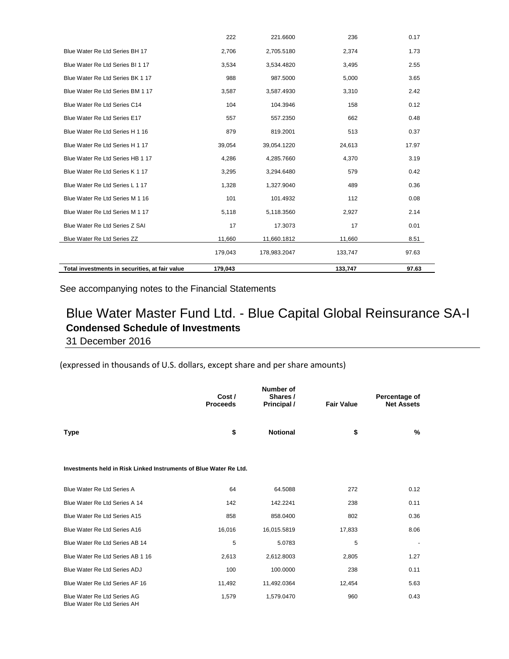| Total investments in securities, at fair value | 179.043 |              | 133,747 | 97.63 |
|------------------------------------------------|---------|--------------|---------|-------|
|                                                | 179,043 | 178,983.2047 | 133,747 | 97.63 |
| Blue Water Re Ltd Series ZZ                    | 11,660  | 11,660.1812  | 11,660  | 8.51  |
| Blue Water Re Ltd Series Z SAI                 | 17      | 17.3073      | 17      | 0.01  |
| Blue Water Re Ltd Series M 1 17                | 5,118   | 5,118.3560   | 2,927   | 2.14  |
| Blue Water Re Ltd Series M 1 16                | 101     | 101.4932     | 112     | 0.08  |
| Blue Water Re Ltd Series L 1 17                | 1,328   | 1,327.9040   | 489     | 0.36  |
| Blue Water Re Ltd Series K 1 17                | 3,295   | 3,294.6480   | 579     | 0.42  |
| Blue Water Re Ltd Series HB 1 17               | 4,286   | 4,285.7660   | 4,370   | 3.19  |
| Blue Water Re Ltd Series H 1 17                | 39,054  | 39,054.1220  | 24,613  | 17.97 |
| Blue Water Re Ltd Series H 1 16                | 879     | 819.2001     | 513     | 0.37  |
| Blue Water Re Ltd Series E17                   | 557     | 557.2350     | 662     | 0.48  |
| Blue Water Re Ltd Series C14                   | 104     | 104.3946     | 158     | 0.12  |
| Blue Water Re Ltd Series BM 1 17               | 3,587   | 3,587.4930   | 3,310   | 2.42  |
| Blue Water Re Ltd Series BK 1 17               | 988     | 987.5000     | 5,000   | 3.65  |
| Blue Water Re Ltd Series BI 1 17               | 3,534   | 3,534.4820   | 3,495   | 2.55  |
| Blue Water Re Ltd Series BH 17                 | 2,706   | 2,705.5180   | 2,374   | 1.73  |
|                                                | 222     | 221.6600     | 236     | 0.17  |

## Blue Water Master Fund Ltd. - Blue Capital Global Reinsurance SA-I **Condensed Schedule of Investments** 31 December 2016

(expressed in thousands of U.S. dollars, except share and per share amounts)

|                                                                   | Cost /<br><b>Proceeds</b> | Number of<br>Shares /<br>Principal / | <b>Fair Value</b> | Percentage of<br><b>Net Assets</b> |
|-------------------------------------------------------------------|---------------------------|--------------------------------------|-------------------|------------------------------------|
| <b>Type</b>                                                       | \$                        | <b>Notional</b>                      | \$                | %                                  |
| Investments held in Risk Linked Instruments of Blue Water Re Ltd. |                           |                                      |                   |                                    |
| Blue Water Re Ltd Series A                                        | 64                        | 64.5088                              | 272               | 0.12                               |
| Blue Water Re Ltd Series A 14                                     | 142                       | 142.2241                             | 238               | 0.11                               |
| Blue Water Re Ltd Series A15                                      | 858                       | 858.0400                             | 802               | 0.36                               |
| Blue Water Re Ltd Series A16                                      | 16,016                    | 16,015.5819                          | 17,833            | 8.06                               |
| Blue Water Re Ltd Series AB 14                                    | 5                         | 5.0783                               | 5                 | ٠                                  |
| Blue Water Re Ltd Series AB 1 16                                  | 2,613                     | 2,612.8003                           | 2,805             | 1.27                               |
| Blue Water Re Ltd Series ADJ                                      | 100                       | 100.0000                             | 238               | 0.11                               |
| Blue Water Re Ltd Series AF 16                                    | 11,492                    | 11,492.0364                          | 12,454            | 5.63                               |
| Blue Water Re Ltd Series AG<br>Blue Water Re Ltd Series AH        | 1,579                     | 1,579.0470                           | 960               | 0.43                               |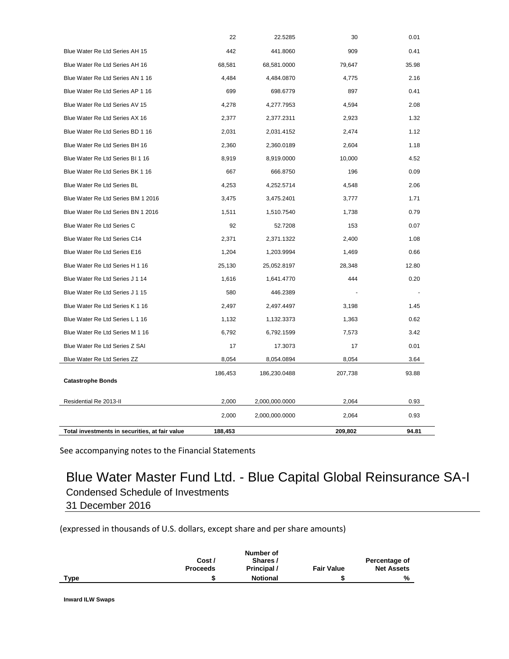| <b>Catastrophe Bonds</b>           | 186,453 | 186,230.0488 | 207,738 | 93.88 |
|------------------------------------|---------|--------------|---------|-------|
| Blue Water Re Ltd Series ZZ        | 8,054   | 8,054.0894   | 8,054   | 3.64  |
| Blue Water Re Ltd Series Z SAI     | 17      | 17.3073      | 17      | 0.01  |
| Blue Water Re Ltd Series M 1 16    | 6,792   | 6,792.1599   | 7,573   | 3.42  |
| Blue Water Re Ltd Series L 1 16    | 1,132   | 1,132.3373   | 1,363   | 0.62  |
| Blue Water Re Ltd Series K 1 16    | 2,497   | 2,497.4497   | 3,198   | 1.45  |
| Blue Water Re Ltd Series J 1 15    | 580     | 446.2389     |         |       |
| Blue Water Re Ltd Series J 1 14    | 1,616   | 1,641.4770   | 444     | 0.20  |
| Blue Water Re Ltd Series H 1 16    | 25,130  | 25,052.8197  | 28,348  | 12.80 |
| Blue Water Re Ltd Series E16       | 1,204   | 1,203.9994   | 1,469   | 0.66  |
| Blue Water Re Ltd Series C14       | 2,371   | 2,371.1322   | 2,400   | 1.08  |
| Blue Water Re Ltd Series C         | 92      | 52.7208      | 153     | 0.07  |
| Blue Water Re Ltd Series BN 1 2016 | 1,511   | 1,510.7540   | 1,738   | 0.79  |
| Blue Water Re Ltd Series BM 1 2016 | 3,475   | 3,475.2401   | 3,777   | 1.71  |
| Blue Water Re Ltd Series BL        | 4,253   | 4,252.5714   | 4,548   | 2.06  |
| Blue Water Re Ltd Series BK 1 16   | 667     | 666.8750     | 196     | 0.09  |
| Blue Water Re Ltd Series BI 1 16   | 8,919   | 8,919.0000   | 10,000  | 4.52  |
| Blue Water Re Ltd Series BH 16     | 2,360   | 2,360.0189   | 2,604   | 1.18  |
| Blue Water Re Ltd Series BD 1 16   | 2,031   | 2,031.4152   | 2,474   | 1.12  |
| Blue Water Re Ltd Series AX 16     | 2,377   | 2,377.2311   | 2,923   | 1.32  |
| Blue Water Re Ltd Series AV 15     | 4,278   | 4,277.7953   | 4,594   | 2.08  |
| Blue Water Re Ltd Series AP 1 16   | 699     | 698.6779     | 897     | 0.41  |
| Blue Water Re Ltd Series AN 1 16   | 4,484   | 4,484.0870   | 4,775   | 2.16  |
| Blue Water Re Ltd Series AH 16     | 68,581  | 68,581.0000  | 79,647  | 35.98 |
| Blue Water Re Ltd Series AH 15     | 442     | 441.8060     | 909     | 0.41  |
|                                    | 22      | 22.5285      | 30      | 0.01  |

## Blue Water Master Fund Ltd. - Blue Capital Global Reinsurance SA-I Condensed Schedule of Investments 31 December 2016

(expressed in thousands of U.S. dollars, except share and per share amounts)

|             |                 | Number of       |                   |                   |
|-------------|-----------------|-----------------|-------------------|-------------------|
|             | Cost /          | Shares /        |                   | Percentage of     |
|             | <b>Proceeds</b> | Principal /     | <b>Fair Value</b> | <b>Net Assets</b> |
| <b>Type</b> | œ               | <b>Notional</b> |                   | %                 |

**Inward ILW Swaps**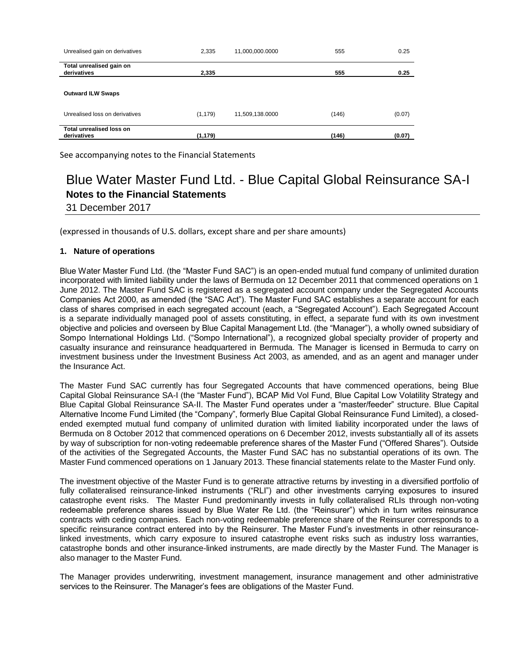| Unrealised gain on derivatives          | 2,335    | 11,000,000.0000 | 555   | 0.25   |
|-----------------------------------------|----------|-----------------|-------|--------|
| Total unrealised gain on<br>derivatives | 2,335    |                 | 555   | 0.25   |
| <b>Outward ILW Swaps</b>                |          |                 |       |        |
| Unrealised loss on derivatives          | (1, 179) | 11,509,138.0000 | (146) | (0.07) |
| Total unrealised loss on<br>derivatives | (1, 179) |                 | (146) | (0.07) |

# Blue Water Master Fund Ltd. - Blue Capital Global Reinsurance SA-I **Notes to the Financial Statements**

31 December 2017

(expressed in thousands of U.S. dollars, except share and per share amounts)

## **1. Nature of operations**

Blue Water Master Fund Ltd. (the "Master Fund SAC") is an open-ended mutual fund company of unlimited duration incorporated with limited liability under the laws of Bermuda on 12 December 2011 that commenced operations on 1 June 2012. The Master Fund SAC is registered as a segregated account company under the Segregated Accounts Companies Act 2000, as amended (the "SAC Act"). The Master Fund SAC establishes a separate account for each class of shares comprised in each segregated account (each, a "Segregated Account"). Each Segregated Account is a separate individually managed pool of assets constituting, in effect, a separate fund with its own investment objective and policies and overseen by Blue Capital Management Ltd. (the "Manager"), a wholly owned subsidiary of Sompo International Holdings Ltd. ("Sompo International"), a recognized global specialty provider of property and casualty insurance and reinsurance headquartered in Bermuda. The Manager is licensed in Bermuda to carry on investment business under the Investment Business Act 2003, as amended, and as an agent and manager under the Insurance Act.

The Master Fund SAC currently has four Segregated Accounts that have commenced operations, being Blue Capital Global Reinsurance SA-I (the "Master Fund"), BCAP Mid Vol Fund, Blue Capital Low Volatility Strategy and Blue Capital Global Reinsurance SA-II. The Master Fund operates under a "master/feeder" structure. Blue Capital Alternative Income Fund Limited (the "Company", formerly Blue Capital Global Reinsurance Fund Limited), a closedended exempted mutual fund company of unlimited duration with limited liability incorporated under the laws of Bermuda on 8 October 2012 that commenced operations on 6 December 2012, invests substantially all of its assets by way of subscription for non-voting redeemable preference shares of the Master Fund ("Offered Shares"). Outside of the activities of the Segregated Accounts, the Master Fund SAC has no substantial operations of its own. The Master Fund commenced operations on 1 January 2013. These financial statements relate to the Master Fund only.

The investment objective of the Master Fund is to generate attractive returns by investing in a diversified portfolio of fully collateralised reinsurance-linked instruments ("RLI") and other investments carrying exposures to insured catastrophe event risks. The Master Fund predominantly invests in fully collateralised RLIs through non-voting redeemable preference shares issued by Blue Water Re Ltd. (the "Reinsurer") which in turn writes reinsurance contracts with ceding companies. Each non-voting redeemable preference share of the Reinsurer corresponds to a specific reinsurance contract entered into by the Reinsurer. The Master Fund's investments in other reinsurancelinked investments, which carry exposure to insured catastrophe event risks such as industry loss warranties, catastrophe bonds and other insurance-linked instruments, are made directly by the Master Fund. The Manager is also manager to the Master Fund.

The Manager provides underwriting, investment management, insurance management and other administrative services to the Reinsurer. The Manager's fees are obligations of the Master Fund.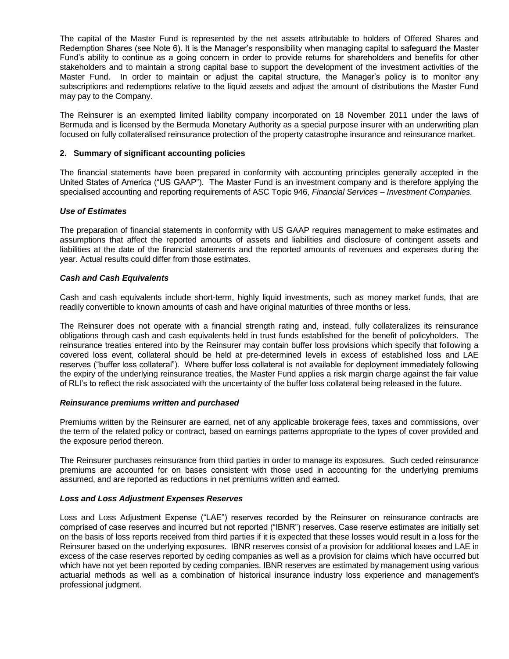The capital of the Master Fund is represented by the net assets attributable to holders of Offered Shares and Redemption Shares (see Note 6). It is the Manager's responsibility when managing capital to safeguard the Master Fund's ability to continue as a going concern in order to provide returns for shareholders and benefits for other stakeholders and to maintain a strong capital base to support the development of the investment activities of the Master Fund. In order to maintain or adjust the capital structure, the Manager's policy is to monitor any subscriptions and redemptions relative to the liquid assets and adjust the amount of distributions the Master Fund may pay to the Company.

The Reinsurer is an exempted limited liability company incorporated on 18 November 2011 under the laws of Bermuda and is licensed by the Bermuda Monetary Authority as a special purpose insurer with an underwriting plan focused on fully collateralised reinsurance protection of the property catastrophe insurance and reinsurance market.

## **2. Summary of significant accounting policies**

The financial statements have been prepared in conformity with accounting principles generally accepted in the United States of America ("US GAAP"). The Master Fund is an investment company and is therefore applying the specialised accounting and reporting requirements of ASC Topic 946, *Financial Services – Investment Companies.* 

## *Use of Estimates*

The preparation of financial statements in conformity with US GAAP requires management to make estimates and assumptions that affect the reported amounts of assets and liabilities and disclosure of contingent assets and liabilities at the date of the financial statements and the reported amounts of revenues and expenses during the year. Actual results could differ from those estimates.

## *Cash and Cash Equivalents*

Cash and cash equivalents include short-term, highly liquid investments, such as money market funds, that are readily convertible to known amounts of cash and have original maturities of three months or less.

The Reinsurer does not operate with a financial strength rating and, instead, fully collateralizes its reinsurance obligations through cash and cash equivalents held in trust funds established for the benefit of policyholders. The reinsurance treaties entered into by the Reinsurer may contain buffer loss provisions which specify that following a covered loss event, collateral should be held at pre-determined levels in excess of established loss and LAE reserves ("buffer loss collateral"). Where buffer loss collateral is not available for deployment immediately following the expiry of the underlying reinsurance treaties, the Master Fund applies a risk margin charge against the fair value of RLI's to reflect the risk associated with the uncertainty of the buffer loss collateral being released in the future.

## *Reinsurance premiums written and purchased*

Premiums written by the Reinsurer are earned, net of any applicable brokerage fees, taxes and commissions, over the term of the related policy or contract, based on earnings patterns appropriate to the types of cover provided and the exposure period thereon.

The Reinsurer purchases reinsurance from third parties in order to manage its exposures. Such ceded reinsurance premiums are accounted for on bases consistent with those used in accounting for the underlying premiums assumed, and are reported as reductions in net premiums written and earned.

## *Loss and Loss Adjustment Expenses Reserves*

Loss and Loss Adjustment Expense ("LAE") reserves recorded by the Reinsurer on reinsurance contracts are comprised of case reserves and incurred but not reported ("IBNR") reserves. Case reserve estimates are initially set on the basis of loss reports received from third parties if it is expected that these losses would result in a loss for the Reinsurer based on the underlying exposures. IBNR reserves consist of a provision for additional losses and LAE in excess of the case reserves reported by ceding companies as well as a provision for claims which have occurred but which have not yet been reported by ceding companies. IBNR reserves are estimated by management using various actuarial methods as well as a combination of historical insurance industry loss experience and management's professional judgment.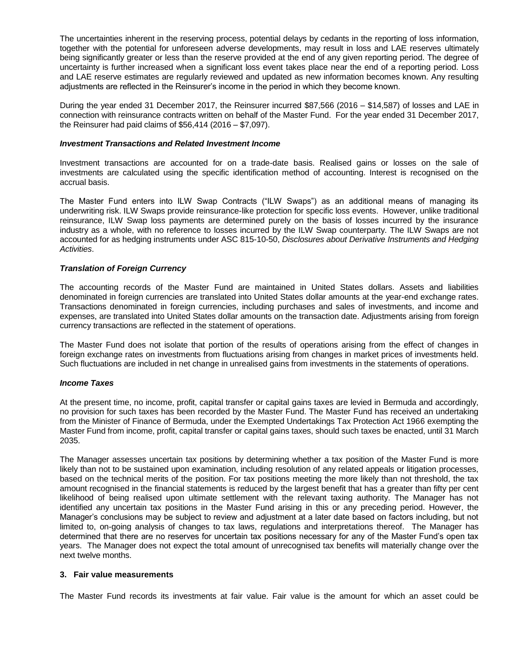The uncertainties inherent in the reserving process, potential delays by cedants in the reporting of loss information, together with the potential for unforeseen adverse developments, may result in loss and LAE reserves ultimately being significantly greater or less than the reserve provided at the end of any given reporting period. The degree of uncertainty is further increased when a significant loss event takes place near the end of a reporting period. Loss and LAE reserve estimates are regularly reviewed and updated as new information becomes known. Any resulting adjustments are reflected in the Reinsurer's income in the period in which they become known.

During the year ended 31 December 2017, the Reinsurer incurred \$87,566 (2016 – \$14,587) of losses and LAE in connection with reinsurance contracts written on behalf of the Master Fund. For the year ended 31 December 2017, the Reinsurer had paid claims of \$56,414 (2016 – \$7,097).

#### *Investment Transactions and Related Investment Income*

Investment transactions are accounted for on a trade-date basis. Realised gains or losses on the sale of investments are calculated using the specific identification method of accounting. Interest is recognised on the accrual basis.

The Master Fund enters into ILW Swap Contracts ("ILW Swaps") as an additional means of managing its underwriting risk. ILW Swaps provide reinsurance-like protection for specific loss events. However, unlike traditional reinsurance, ILW Swap loss payments are determined purely on the basis of losses incurred by the insurance industry as a whole, with no reference to losses incurred by the ILW Swap counterparty. The ILW Swaps are not accounted for as hedging instruments under ASC 815-10-50, *Disclosures about Derivative Instruments and Hedging Activities*.

## *Translation of Foreign Currency*

The accounting records of the Master Fund are maintained in United States dollars. Assets and liabilities denominated in foreign currencies are translated into United States dollar amounts at the year-end exchange rates. Transactions denominated in foreign currencies, including purchases and sales of investments, and income and expenses, are translated into United States dollar amounts on the transaction date. Adjustments arising from foreign currency transactions are reflected in the statement of operations.

The Master Fund does not isolate that portion of the results of operations arising from the effect of changes in foreign exchange rates on investments from fluctuations arising from changes in market prices of investments held. Such fluctuations are included in net change in unrealised gains from investments in the statements of operations.

#### *Income Taxes*

At the present time, no income, profit, capital transfer or capital gains taxes are levied in Bermuda and accordingly, no provision for such taxes has been recorded by the Master Fund. The Master Fund has received an undertaking from the Minister of Finance of Bermuda, under the Exempted Undertakings Tax Protection Act 1966 exempting the Master Fund from income, profit, capital transfer or capital gains taxes, should such taxes be enacted, until 31 March 2035.

The Manager assesses uncertain tax positions by determining whether a tax position of the Master Fund is more likely than not to be sustained upon examination, including resolution of any related appeals or litigation processes, based on the technical merits of the position. For tax positions meeting the more likely than not threshold, the tax amount recognised in the financial statements is reduced by the largest benefit that has a greater than fifty per cent likelihood of being realised upon ultimate settlement with the relevant taxing authority. The Manager has not identified any uncertain tax positions in the Master Fund arising in this or any preceding period. However, the Manager's conclusions may be subject to review and adjustment at a later date based on factors including, but not limited to, on-going analysis of changes to tax laws, regulations and interpretations thereof. The Manager has determined that there are no reserves for uncertain tax positions necessary for any of the Master Fund's open tax years. The Manager does not expect the total amount of unrecognised tax benefits will materially change over the next twelve months.

### **3. Fair value measurements**

The Master Fund records its investments at fair value. Fair value is the amount for which an asset could be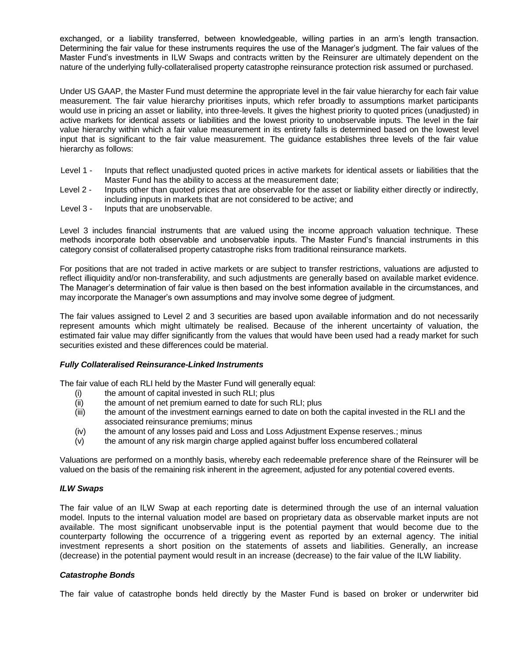exchanged, or a liability transferred, between knowledgeable, willing parties in an arm's length transaction. Determining the fair value for these instruments requires the use of the Manager's judgment. The fair values of the Master Fund's investments in ILW Swaps and contracts written by the Reinsurer are ultimately dependent on the nature of the underlying fully-collateralised property catastrophe reinsurance protection risk assumed or purchased.

Under US GAAP, the Master Fund must determine the appropriate level in the fair value hierarchy for each fair value measurement. The fair value hierarchy prioritises inputs, which refer broadly to assumptions market participants would use in pricing an asset or liability, into three-levels. It gives the highest priority to quoted prices (unadjusted) in active markets for identical assets or liabilities and the lowest priority to unobservable inputs. The level in the fair value hierarchy within which a fair value measurement in its entirety falls is determined based on the lowest level input that is significant to the fair value measurement. The guidance establishes three levels of the fair value hierarchy as follows:

- Level 1 Inputs that reflect unadjusted quoted prices in active markets for identical assets or liabilities that the Master Fund has the ability to access at the measurement date;
- Level 2 Inputs other than quoted prices that are observable for the asset or liability either directly or indirectly, including inputs in markets that are not considered to be active; and
- Level 3 Inputs that are unobservable.

Level 3 includes financial instruments that are valued using the income approach valuation technique. These methods incorporate both observable and unobservable inputs. The Master Fund's financial instruments in this category consist of collateralised property catastrophe risks from traditional reinsurance markets.

For positions that are not traded in active markets or are subject to transfer restrictions, valuations are adjusted to reflect illiquidity and/or non-transferability, and such adjustments are generally based on available market evidence. The Manager's determination of fair value is then based on the best information available in the circumstances, and may incorporate the Manager's own assumptions and may involve some degree of judgment.

The fair values assigned to Level 2 and 3 securities are based upon available information and do not necessarily represent amounts which might ultimately be realised. Because of the inherent uncertainty of valuation, the estimated fair value may differ significantly from the values that would have been used had a ready market for such securities existed and these differences could be material.

## *Fully Collateralised Reinsurance-Linked Instruments*

The fair value of each RLI held by the Master Fund will generally equal:

- (i) the amount of capital invested in such RLI; plus
- (ii) the amount of net premium earned to date for such RLI; plus
- (iii) the amount of the investment earnings earned to date on both the capital invested in the RLI and the associated reinsurance premiums; minus
- (iv) the amount of any losses paid and Loss and Loss Adjustment Expense reserves.; minus
- (v) the amount of any risk margin charge applied against buffer loss encumbered collateral

Valuations are performed on a monthly basis, whereby each redeemable preference share of the Reinsurer will be valued on the basis of the remaining risk inherent in the agreement, adjusted for any potential covered events.

## *ILW Swaps*

The fair value of an ILW Swap at each reporting date is determined through the use of an internal valuation model. Inputs to the internal valuation model are based on proprietary data as observable market inputs are not available. The most significant unobservable input is the potential payment that would become due to the counterparty following the occurrence of a triggering event as reported by an external agency. The initial investment represents a short position on the statements of assets and liabilities. Generally, an increase (decrease) in the potential payment would result in an increase (decrease) to the fair value of the ILW liability.

## *Catastrophe Bonds*

The fair value of catastrophe bonds held directly by the Master Fund is based on broker or underwriter bid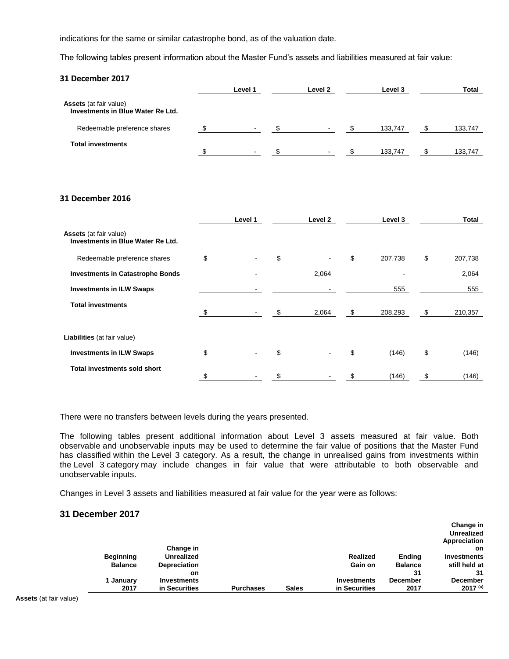indications for the same or similar catastrophe bond, as of the valuation date.

The following tables present information about the Master Fund's assets and liabilities measured at fair value:

| 31 December 2017                                                   |              |               |         |            |         |               |
|--------------------------------------------------------------------|--------------|---------------|---------|------------|---------|---------------|
|                                                                    | Level 1      |               | Level 2 |            | Level 3 | Total         |
| Assets (at fair value)<br><b>Investments in Blue Water Re Ltd.</b> |              |               |         |            |         |               |
| Redeemable preference shares                                       | \$           | $-$ \$        | $\sim$  | $\sqrt{2}$ | 133,747 | \$<br>133,747 |
| <b>Total investments</b>                                           | \$<br>$\sim$ | $\mathfrak s$ |         | \$         | 133,747 | \$<br>133,747 |
|                                                                    |              |               |         |            |         |               |
| <b>31 December 2016</b>                                            |              |               |         |            |         |               |
|                                                                    | Level 1      |               | Level 2 |            | Level 3 | Total         |
| Assets (at fair value)<br><b>Investments in Blue Water Re Ltd.</b> |              |               |         |            |         |               |

| <b>HOOVID</b> (ULTUIT VUIUU)<br>Investments in Blue Water Re Ltd. |    |        |                      |               |    |         |
|-------------------------------------------------------------------|----|--------|----------------------|---------------|----|---------|
| Redeemable preference shares                                      | \$ | $\sim$ | \$<br>$\blacksquare$ | \$<br>207,738 | \$ | 207,738 |
| <b>Investments in Catastrophe Bonds</b>                           |    |        | 2,064                |               |    | 2,064   |
| <b>Investments in ILW Swaps</b>                                   |    |        |                      | 555           |    | 555     |
| <b>Total investments</b>                                          | \$ | $\sim$ | \$<br>2,064          | \$<br>208,293 | \$ | 210,357 |
| <b>Liabilities</b> (at fair value)                                |    |        |                      |               |    |         |
| <b>Investments in ILW Swaps</b>                                   | S  | $\sim$ | \$                   | \$<br>(146)   | \$ | (146)   |
| <b>Total investments sold short</b>                               | \$ |        | \$                   | (146)         | S  | (146)   |

There were no transfers between levels during the years presented.

The following tables present additional information about Level 3 assets measured at fair value. Both observable and unobservable inputs may be used to determine the fair value of positions that the Master Fund has classified within the Level 3 category. As a result, the change in unrealised gains from investments within the Level 3 category may include changes in fair value that were attributable to both observable and unobservable inputs.

Changes in Level 3 assets and liabilities measured at fair value for the year were as follows:

## **31 December 2017**

|                  | Change in           |                  |              |                 |                 | Change in<br><b>Unrealized</b><br>Appreciation<br>on. |
|------------------|---------------------|------------------|--------------|-----------------|-----------------|-------------------------------------------------------|
| <b>Beginning</b> | <b>Unrealized</b>   |                  |              | <b>Realized</b> | <b>Ending</b>   | <b>Investments</b>                                    |
|                  |                     |                  |              |                 |                 |                                                       |
| <b>Balance</b>   | <b>Depreciation</b> |                  |              | Gain on         | <b>Balance</b>  | still held at                                         |
|                  | on                  |                  |              |                 | 31              | 31                                                    |
| 1 Januarv        | <b>Investments</b>  |                  |              | Investments     | <b>December</b> | <b>December</b>                                       |
| 2017             | in Securities       | <b>Purchases</b> | <b>Sales</b> | in Securities   | 2017            | $2017^{(a)}$                                          |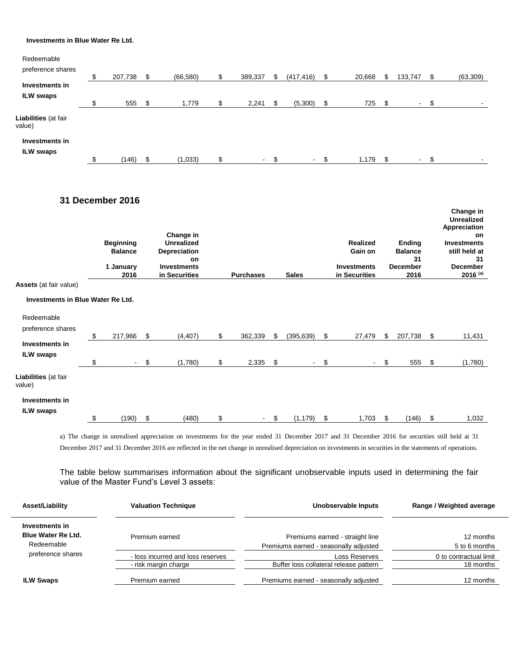#### **Investments in Blue Water Re Ltd.**

| Redeemable                         |    |         |                 |               |     |                |    |        |     |                |    |           |
|------------------------------------|----|---------|-----------------|---------------|-----|----------------|----|--------|-----|----------------|----|-----------|
| preference shares                  |    | 207,738 | \$<br>(66, 580) | \$<br>389,337 | S   | (417, 416)     |    | 20,668 | \$. | 133,747        | S  | (63, 309) |
| Investments in                     |    |         |                 |               |     |                |    |        |     |                |    |           |
| <b>ILW swaps</b>                   | ́  | 555     | \$<br>1,779     | \$<br>2,241   | \$. | (5,300)        | S  | 725    | S   | $\blacksquare$ | \$ |           |
| Liabilities (at fair<br>value)     |    |         |                 |               |     |                |    |        |     |                |    |           |
| Investments in<br><b>ILW swaps</b> |    |         |                 |               |     |                |    |        |     |                |    |           |
|                                    | \$ | (146)   | \$<br>(1,033)   | \$<br>$\sim$  | \$  | $\blacksquare$ | \$ | 1,179  | S   | $\sim$         | \$ |           |

## **31 December 2016**

|                                          | <b>Beginning</b><br><b>Balance</b><br>1 January<br>2016 | Change in<br><b>Unrealized</b><br><b>Depreciation</b><br>on<br><b>Investments</b><br>in Securities | <b>Purchases</b>               | <b>Sales</b>     | <b>Realized</b><br>Gain on<br><b>Investments</b><br>in Securities | <b>Ending</b><br><b>Balance</b><br>31<br><b>December</b><br>2016 | Change in<br><b>Unrealized</b><br>Appreciation<br><b>on</b><br><b>Investments</b><br>still held at<br>31<br><b>December</b><br>$2016^{(a)}$ |
|------------------------------------------|---------------------------------------------------------|----------------------------------------------------------------------------------------------------|--------------------------------|------------------|-------------------------------------------------------------------|------------------------------------------------------------------|---------------------------------------------------------------------------------------------------------------------------------------------|
| <b>Assets</b> (at fair value)            |                                                         |                                                                                                    |                                |                  |                                                                   |                                                                  |                                                                                                                                             |
| <b>Investments in Blue Water Re Ltd.</b> |                                                         |                                                                                                    |                                |                  |                                                                   |                                                                  |                                                                                                                                             |
| Redeemable                               |                                                         |                                                                                                    |                                |                  |                                                                   |                                                                  |                                                                                                                                             |
| preference shares                        | \$<br>217,966                                           | \$<br>(4, 407)                                                                                     | \$<br>362,339                  | \$<br>(395, 639) | \$<br>27,479                                                      | \$<br>207,738                                                    | \$<br>11,431                                                                                                                                |
| Investments in                           |                                                         |                                                                                                    |                                |                  |                                                                   |                                                                  |                                                                                                                                             |
| <b>ILW</b> swaps                         | \$<br>$\sim$                                            | \$<br>(1,780)                                                                                      | \$<br>2,335                    | \$<br>Ξ.         | \$<br>$\sim$                                                      | \$<br>555                                                        | \$<br>(1,780)                                                                                                                               |
| Liabilities (at fair<br>value)           |                                                         |                                                                                                    |                                |                  |                                                                   |                                                                  |                                                                                                                                             |
| Investments in                           |                                                         |                                                                                                    |                                |                  |                                                                   |                                                                  |                                                                                                                                             |
| ILW swaps                                |                                                         |                                                                                                    |                                |                  |                                                                   |                                                                  |                                                                                                                                             |
|                                          | \$<br>(190)                                             | \$<br>(480)                                                                                        | \$<br>$\overline{\phantom{0}}$ | \$<br>(1, 179)   | \$<br>1,703                                                       | \$<br>(146)                                                      | \$<br>1,032                                                                                                                                 |

a) The change in unrealised appreciation on investments for the year ended 31 December 2017 and 31 December 2016 for securities still held at 31 December 2017 and 31 December 2016 are reflected in the net change in unrealised depreciation on investments in securities in the statements of operations.

The table below summarises information about the significant unobservable inputs used in determining the fair value of the Master Fund's Level 3 assets:

| Asset/Liability                                           | <b>Valuation Technique</b>                                | Unobservable Inputs                                                      | Range / Weighted average            |
|-----------------------------------------------------------|-----------------------------------------------------------|--------------------------------------------------------------------------|-------------------------------------|
| Investments in<br><b>Blue Water Re Ltd.</b><br>Redeemable | Premium earned                                            | Premiums earned - straight line<br>Premiums earned - seasonally adjusted | 12 months<br>5 to 6 months          |
| preference shares                                         | - loss incurred and loss reserves<br>- risk margin charge | Loss Reserves<br>Buffer loss collateral release pattern                  | 0 to contractual limit<br>18 months |
| <b>ILW Swaps</b>                                          | Premium earned                                            | Premiums earned - seasonally adjusted                                    | 12 months                           |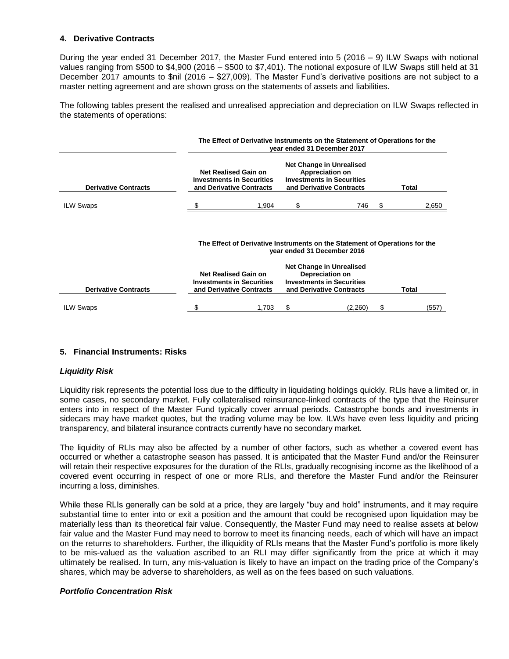## **4. Derivative Contracts**

During the year ended 31 December 2017, the Master Fund entered into 5 (2016 – 9) ILW Swaps with notional values ranging from \$500 to \$4,900 (2016 – \$500 to \$7,401). The notional exposure of ILW Swaps still held at 31 December 2017 amounts to \$nil (2016 – \$27,009). The Master Fund's derivative positions are not subject to a master netting agreement and are shown gross on the statements of assets and liabilities.

The following tables present the realised and unrealised appreciation and depreciation on ILW Swaps reflected in the statements of operations:

|                             | The Effect of Derivative Instruments on the Statement of Operations for the<br>vear ended 31 December 2017 |                                                                                                            |                                                                                                                    |                                                                                                             |       |       |  |  |  |
|-----------------------------|------------------------------------------------------------------------------------------------------------|------------------------------------------------------------------------------------------------------------|--------------------------------------------------------------------------------------------------------------------|-------------------------------------------------------------------------------------------------------------|-------|-------|--|--|--|
| <b>Derivative Contracts</b> |                                                                                                            | Net Realised Gain on<br><b>Investments in Securities</b><br>and Derivative Contracts                       |                                                                                                                    | Net Change in Unrealised<br>Appreciation on<br><b>Investments in Securities</b><br>and Derivative Contracts | Total |       |  |  |  |
| <b>ILW Swaps</b>            |                                                                                                            | 1,904                                                                                                      |                                                                                                                    | 746                                                                                                         | \$    | 2,650 |  |  |  |
|                             |                                                                                                            | The Effect of Derivative Instruments on the Statement of Operations for the<br>year ended 31 December 2016 |                                                                                                                    |                                                                                                             |       |       |  |  |  |
| <b>Derivative Contracts</b> |                                                                                                            | <b>Net Realised Gain on</b><br><b>Investments in Securities</b><br>and Derivative Contracts                | <b>Net Change in Unrealised</b><br>Depreciation on<br><b>Investments in Securities</b><br>and Derivative Contracts |                                                                                                             |       | Total |  |  |  |
| <b>ILW Swaps</b>            | S                                                                                                          |                                                                                                            |                                                                                                                    |                                                                                                             |       |       |  |  |  |

## **5. Financial Instruments: Risks**

## *Liquidity Risk*

Liquidity risk represents the potential loss due to the difficulty in liquidating holdings quickly. RLIs have a limited or, in some cases, no secondary market. Fully collateralised reinsurance-linked contracts of the type that the Reinsurer enters into in respect of the Master Fund typically cover annual periods. Catastrophe bonds and investments in sidecars may have market quotes, but the trading volume may be low. ILWs have even less liquidity and pricing transparency, and bilateral insurance contracts currently have no secondary market.

The liquidity of RLIs may also be affected by a number of other factors, such as whether a covered event has occurred or whether a catastrophe season has passed. It is anticipated that the Master Fund and/or the Reinsurer will retain their respective exposures for the duration of the RLIs, gradually recognising income as the likelihood of a covered event occurring in respect of one or more RLIs, and therefore the Master Fund and/or the Reinsurer incurring a loss, diminishes.

While these RLIs generally can be sold at a price, they are largely "buy and hold" instruments, and it may require substantial time to enter into or exit a position and the amount that could be recognised upon liquidation may be materially less than its theoretical fair value. Consequently, the Master Fund may need to realise assets at below fair value and the Master Fund may need to borrow to meet its financing needs, each of which will have an impact on the returns to shareholders. Further, the illiquidity of RLIs means that the Master Fund's portfolio is more likely to be mis-valued as the valuation ascribed to an RLI may differ significantly from the price at which it may ultimately be realised. In turn, any mis-valuation is likely to have an impact on the trading price of the Company's shares, which may be adverse to shareholders, as well as on the fees based on such valuations.

## *Portfolio Concentration Risk*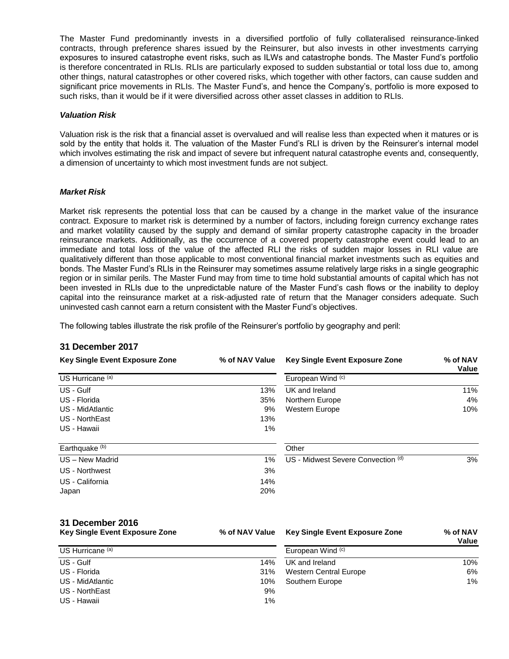The Master Fund predominantly invests in a diversified portfolio of fully collateralised reinsurance-linked contracts, through preference shares issued by the Reinsurer, but also invests in other investments carrying exposures to insured catastrophe event risks, such as ILWs and catastrophe bonds. The Master Fund's portfolio is therefore concentrated in RLIs. RLIs are particularly exposed to sudden substantial or total loss due to, among other things, natural catastrophes or other covered risks, which together with other factors, can cause sudden and significant price movements in RLIs. The Master Fund's, and hence the Company's, portfolio is more exposed to such risks, than it would be if it were diversified across other asset classes in addition to RLIs.

### *Valuation Risk*

Valuation risk is the risk that a financial asset is overvalued and will realise less than expected when it matures or is sold by the entity that holds it. The valuation of the Master Fund's RLI is driven by the Reinsurer's internal model which involves estimating the risk and impact of severe but infrequent natural catastrophe events and, consequently, a dimension of uncertainty to which most investment funds are not subject.

#### *Market Risk*

Market risk represents the potential loss that can be caused by a change in the market value of the insurance contract. Exposure to market risk is determined by a number of factors, including foreign currency exchange rates and market volatility caused by the supply and demand of similar property catastrophe capacity in the broader reinsurance markets. Additionally, as the occurrence of a covered property catastrophe event could lead to an immediate and total loss of the value of the affected RLI the risks of sudden major losses in RLI value are qualitatively different than those applicable to most conventional financial market investments such as equities and bonds. The Master Fund's RLIs in the Reinsurer may sometimes assume relatively large risks in a single geographic region or in similar perils. The Master Fund may from time to time hold substantial amounts of capital which has not been invested in RLIs due to the unpredictable nature of the Master Fund's cash flows or the inability to deploy capital into the reinsurance market at a risk-adjusted rate of return that the Manager considers adequate. Such uninvested cash cannot earn a return consistent with the Master Fund's objectives.

The following tables illustrate the risk profile of the Reinsurer's portfolio by geography and peril:

## **31 December 2017**

| <b>Key Single Event Exposure Zone</b> | % of NAV Value | Key Single Event Exposure Zone        | % of NAV<br>Value |
|---------------------------------------|----------------|---------------------------------------|-------------------|
| US Hurricane <sup>(a)</sup>           |                | European Wind (c)                     |                   |
| US - Gulf                             | 13%            | UK and Ireland                        | 11%               |
| US - Florida                          | 35%            | Northern Europe                       | 4%                |
| US - MidAtlantic                      | 9%             | Western Europe                        | 10%               |
| US - NorthEast                        | 13%            |                                       |                   |
| US - Hawaii                           | 1%             |                                       |                   |
| Earthquake <sup>(b)</sup>             |                | Other                                 |                   |
| US - New Madrid                       | $1\%$          | US - Midwest Severe Convection (d)    | 3%                |
| US - Northwest                        | 3%             |                                       |                   |
| US - California                       | 14%            |                                       |                   |
| Japan                                 | 20%            |                                       |                   |
| 31 December 2016                      |                |                                       |                   |
| <b>Key Single Event Exposure Zone</b> | % of NAV Value | <b>Key Single Event Exposure Zone</b> | % of NAV<br>Value |
| US Hurricane <sup>(a)</sup>           |                | European Wind (c)                     |                   |
| US - Gulf                             | 14%            | UK and Ireland                        | 10%               |
| US - Florida                          | 31%            | <b>Western Central Europe</b>         | 6%                |
| US - MidAtlantic                      | 10%            | Southern Europe                       | $1\%$             |
| US - NorthEast                        | 9%             |                                       |                   |

US - Hawaii 1%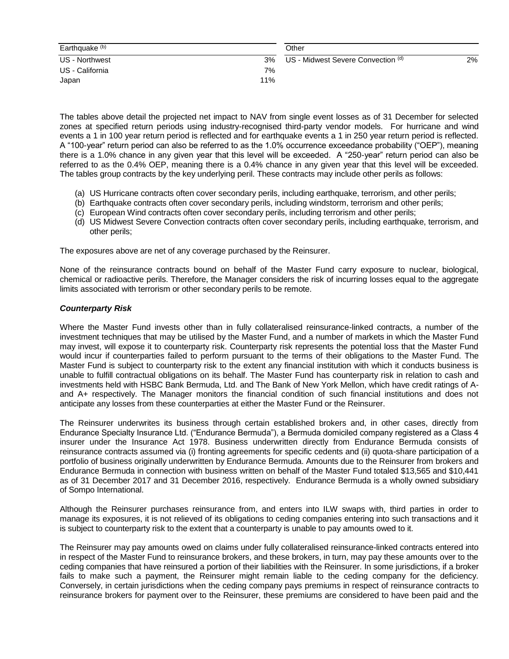| Earthquake <sup>(b)</sup> |     | Other                              |    |
|---------------------------|-----|------------------------------------|----|
| US - Northwest            | 3%  | US - Midwest Severe Convection (d) | 2% |
| US - California           | 7%  |                                    |    |
| Japan                     | 11% |                                    |    |

The tables above detail the projected net impact to NAV from single event losses as of 31 December for selected zones at specified return periods using industry-recognised third-party vendor models. For hurricane and wind events a 1 in 100 year return period is reflected and for earthquake events a 1 in 250 year return period is reflected. A "100-year" return period can also be referred to as the 1.0% occurrence exceedance probability ("OEP"), meaning there is a 1.0% chance in any given year that this level will be exceeded. A "250-year" return period can also be referred to as the 0.4% OEP, meaning there is a 0.4% chance in any given year that this level will be exceeded. The tables group contracts by the key underlying peril. These contracts may include other perils as follows:

- (a) US Hurricane contracts often cover secondary perils, including earthquake, terrorism, and other perils;
- (b) Earthquake contracts often cover secondary perils, including windstorm, terrorism and other perils;
- (c) European Wind contracts often cover secondary perils, including terrorism and other perils;
- (d) US Midwest Severe Convection contracts often cover secondary perils, including earthquake, terrorism, and other perils;

The exposures above are net of any coverage purchased by the Reinsurer.

None of the reinsurance contracts bound on behalf of the Master Fund carry exposure to nuclear, biological, chemical or radioactive perils. Therefore, the Manager considers the risk of incurring losses equal to the aggregate limits associated with terrorism or other secondary perils to be remote.

## *Counterparty Risk*

Where the Master Fund invests other than in fully collateralised reinsurance-linked contracts, a number of the investment techniques that may be utilised by the Master Fund, and a number of markets in which the Master Fund may invest, will expose it to counterparty risk. Counterparty risk represents the potential loss that the Master Fund would incur if counterparties failed to perform pursuant to the terms of their obligations to the Master Fund. The Master Fund is subject to counterparty risk to the extent any financial institution with which it conducts business is unable to fulfill contractual obligations on its behalf. The Master Fund has counterparty risk in relation to cash and investments held with HSBC Bank Bermuda, Ltd. and The Bank of New York Mellon, which have credit ratings of Aand A+ respectively. The Manager monitors the financial condition of such financial institutions and does not anticipate any losses from these counterparties at either the Master Fund or the Reinsurer.

The Reinsurer underwrites its business through certain established brokers and, in other cases, directly from Endurance Specialty Insurance Ltd. ("Endurance Bermuda"), a Bermuda domiciled company registered as a Class 4 insurer under the Insurance Act 1978. Business underwritten directly from Endurance Bermuda consists of reinsurance contracts assumed via (i) fronting agreements for specific cedents and (ii) quota-share participation of a portfolio of business originally underwritten by Endurance Bermuda. Amounts due to the Reinsurer from brokers and Endurance Bermuda in connection with business written on behalf of the Master Fund totaled \$13,565 and \$10,441 as of 31 December 2017 and 31 December 2016, respectively. Endurance Bermuda is a wholly owned subsidiary of Sompo International.

Although the Reinsurer purchases reinsurance from, and enters into ILW swaps with, third parties in order to manage its exposures, it is not relieved of its obligations to ceding companies entering into such transactions and it is subject to counterparty risk to the extent that a counterparty is unable to pay amounts owed to it.

The Reinsurer may pay amounts owed on claims under fully collateralised reinsurance-linked contracts entered into in respect of the Master Fund to reinsurance brokers, and these brokers, in turn, may pay these amounts over to the ceding companies that have reinsured a portion of their liabilities with the Reinsurer. In some jurisdictions, if a broker fails to make such a payment, the Reinsurer might remain liable to the ceding company for the deficiency. Conversely, in certain jurisdictions when the ceding company pays premiums in respect of reinsurance contracts to reinsurance brokers for payment over to the Reinsurer, these premiums are considered to have been paid and the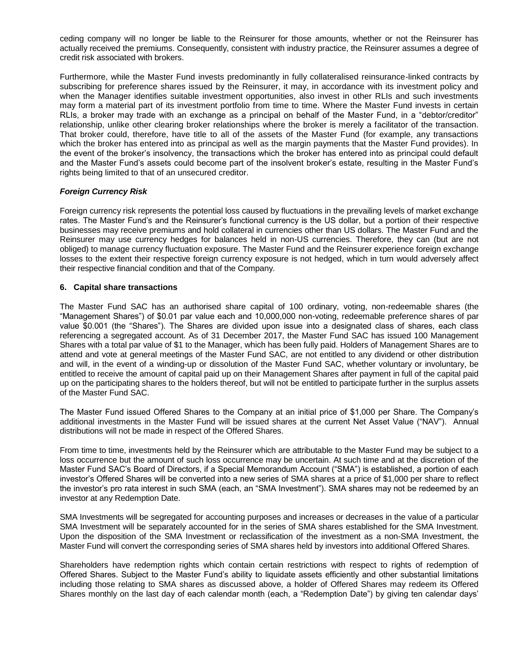ceding company will no longer be liable to the Reinsurer for those amounts, whether or not the Reinsurer has actually received the premiums. Consequently, consistent with industry practice, the Reinsurer assumes a degree of credit risk associated with brokers.

Furthermore, while the Master Fund invests predominantly in fully collateralised reinsurance-linked contracts by subscribing for preference shares issued by the Reinsurer, it may, in accordance with its investment policy and when the Manager identifies suitable investment opportunities, also invest in other RLIs and such investments may form a material part of its investment portfolio from time to time. Where the Master Fund invests in certain RLIs, a broker may trade with an exchange as a principal on behalf of the Master Fund, in a "debtor/creditor" relationship, unlike other clearing broker relationships where the broker is merely a facilitator of the transaction. That broker could, therefore, have title to all of the assets of the Master Fund (for example, any transactions which the broker has entered into as principal as well as the margin payments that the Master Fund provides). In the event of the broker's insolvency, the transactions which the broker has entered into as principal could default and the Master Fund's assets could become part of the insolvent broker's estate, resulting in the Master Fund's rights being limited to that of an unsecured creditor.

## *Foreign Currency Risk*

Foreign currency risk represents the potential loss caused by fluctuations in the prevailing levels of market exchange rates. The Master Fund's and the Reinsurer's functional currency is the US dollar, but a portion of their respective businesses may receive premiums and hold collateral in currencies other than US dollars. The Master Fund and the Reinsurer may use currency hedges for balances held in non-US currencies. Therefore, they can (but are not obliged) to manage currency fluctuation exposure. The Master Fund and the Reinsurer experience foreign exchange losses to the extent their respective foreign currency exposure is not hedged, which in turn would adversely affect their respective financial condition and that of the Company.

## **6. Capital share transactions**

The Master Fund SAC has an authorised share capital of 100 ordinary, voting, non-redeemable shares (the "Management Shares") of \$0.01 par value each and 10,000,000 non-voting, redeemable preference shares of par value \$0.001 (the "Shares"). The Shares are divided upon issue into a designated class of shares, each class referencing a segregated account. As of 31 December 2017, the Master Fund SAC has issued 100 Management Shares with a total par value of \$1 to the Manager, which has been fully paid. Holders of Management Shares are to attend and vote at general meetings of the Master Fund SAC, are not entitled to any dividend or other distribution and will, in the event of a winding-up or dissolution of the Master Fund SAC, whether voluntary or involuntary, be entitled to receive the amount of capital paid up on their Management Shares after payment in full of the capital paid up on the participating shares to the holders thereof, but will not be entitled to participate further in the surplus assets of the Master Fund SAC.

The Master Fund issued Offered Shares to the Company at an initial price of \$1,000 per Share. The Company's additional investments in the Master Fund will be issued shares at the current Net Asset Value ("NAV"). Annual distributions will not be made in respect of the Offered Shares.

From time to time, investments held by the Reinsurer which are attributable to the Master Fund may be subject to a loss occurrence but the amount of such loss occurrence may be uncertain. At such time and at the discretion of the Master Fund SAC's Board of Directors, if a Special Memorandum Account ("SMA") is established, a portion of each investor's Offered Shares will be converted into a new series of SMA shares at a price of \$1,000 per share to reflect the investor's pro rata interest in such SMA (each, an "SMA Investment"). SMA shares may not be redeemed by an investor at any Redemption Date.

SMA Investments will be segregated for accounting purposes and increases or decreases in the value of a particular SMA Investment will be separately accounted for in the series of SMA shares established for the SMA Investment. Upon the disposition of the SMA Investment or reclassification of the investment as a non-SMA Investment, the Master Fund will convert the corresponding series of SMA shares held by investors into additional Offered Shares.

Shareholders have redemption rights which contain certain restrictions with respect to rights of redemption of Offered Shares. Subject to the Master Fund's ability to liquidate assets efficiently and other substantial limitations including those relating to SMA shares as discussed above, a holder of Offered Shares may redeem its Offered Shares monthly on the last day of each calendar month (each, a "Redemption Date") by giving ten calendar days'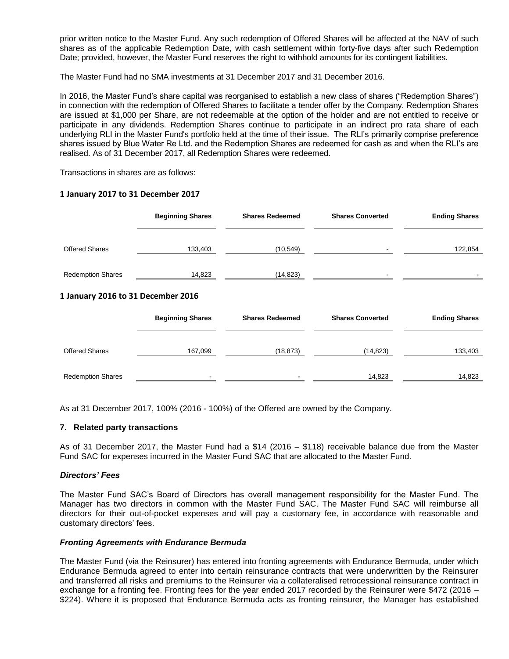prior written notice to the Master Fund. Any such redemption of Offered Shares will be affected at the NAV of such shares as of the applicable Redemption Date, with cash settlement within forty-five days after such Redemption Date; provided, however, the Master Fund reserves the right to withhold amounts for its contingent liabilities.

The Master Fund had no SMA investments at 31 December 2017 and 31 December 2016.

In 2016, the Master Fund's share capital was reorganised to establish a new class of shares ("Redemption Shares") in connection with the redemption of Offered Shares to facilitate a tender offer by the Company. Redemption Shares are issued at \$1,000 per Share, are not redeemable at the option of the holder and are not entitled to receive or participate in any dividends. Redemption Shares continue to participate in an indirect pro rata share of each underlying RLI in the Master Fund's portfolio held at the time of their issue. The RLI's primarily comprise preference shares issued by Blue Water Re Ltd. and the Redemption Shares are redeemed for cash as and when the RLI's are realised. As of 31 December 2017, all Redemption Shares were redeemed.

Transactions in shares are as follows:

## **1 January 2017 to 31 December 2017**

|                                    | <b>Beginning Shares</b> | <b>Shares Redeemed</b> | <b>Shares Converted</b> | <b>Ending Shares</b> |
|------------------------------------|-------------------------|------------------------|-------------------------|----------------------|
| <b>Offered Shares</b>              | 133,403                 | (10, 549)              |                         | 122,854              |
| <b>Redemption Shares</b>           | 14,823                  | (14, 823)              |                         |                      |
| 1 January 2016 to 31 December 2016 |                         |                        |                         |                      |
|                                    | <b>Beginning Shares</b> | <b>Shares Redeemed</b> | <b>Shares Converted</b> | <b>Ending Shares</b> |
| <b>Offered Shares</b>              | 167,099                 | (18, 873)              | (14, 823)               | 133,403              |
| <b>Redemption Shares</b>           |                         |                        | 14,823                  | 14,823               |

As at 31 December 2017, 100% (2016 - 100%) of the Offered are owned by the Company.

## **7. Related party transactions**

As of 31 December 2017, the Master Fund had a \$14 (2016 – \$118) receivable balance due from the Master Fund SAC for expenses incurred in the Master Fund SAC that are allocated to the Master Fund.

## *Directors' Fees*

The Master Fund SAC's Board of Directors has overall management responsibility for the Master Fund. The Manager has two directors in common with the Master Fund SAC. The Master Fund SAC will reimburse all directors for their out-of-pocket expenses and will pay a customary fee, in accordance with reasonable and customary directors' fees.

## *Fronting Agreements with Endurance Bermuda*

The Master Fund (via the Reinsurer) has entered into fronting agreements with Endurance Bermuda, under which Endurance Bermuda agreed to enter into certain reinsurance contracts that were underwritten by the Reinsurer and transferred all risks and premiums to the Reinsurer via a collateralised retrocessional reinsurance contract in exchange for a fronting fee. Fronting fees for the year ended 2017 recorded by the Reinsurer were \$472 (2016 – \$224). Where it is proposed that Endurance Bermuda acts as fronting reinsurer, the Manager has established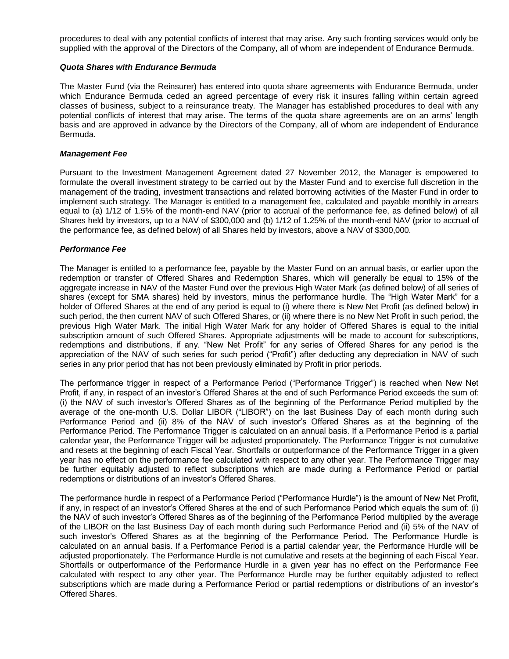procedures to deal with any potential conflicts of interest that may arise. Any such fronting services would only be supplied with the approval of the Directors of the Company, all of whom are independent of Endurance Bermuda.

### *Quota Shares with Endurance Bermuda*

The Master Fund (via the Reinsurer) has entered into quota share agreements with Endurance Bermuda, under which Endurance Bermuda ceded an agreed percentage of every risk it insures falling within certain agreed classes of business, subject to a reinsurance treaty. The Manager has established procedures to deal with any potential conflicts of interest that may arise. The terms of the quota share agreements are on an arms' length basis and are approved in advance by the Directors of the Company, all of whom are independent of Endurance Bermuda.

### *Management Fee*

Pursuant to the Investment Management Agreement dated 27 November 2012, the Manager is empowered to formulate the overall investment strategy to be carried out by the Master Fund and to exercise full discretion in the management of the trading, investment transactions and related borrowing activities of the Master Fund in order to implement such strategy. The Manager is entitled to a management fee, calculated and payable monthly in arrears equal to (a) 1/12 of 1.5% of the month-end NAV (prior to accrual of the performance fee, as defined below) of all Shares held by investors, up to a NAV of \$300,000 and (b) 1/12 of 1.25% of the month-end NAV (prior to accrual of the performance fee, as defined below) of all Shares held by investors, above a NAV of \$300,000.

#### *Performance Fee*

The Manager is entitled to a performance fee, payable by the Master Fund on an annual basis, or earlier upon the redemption or transfer of Offered Shares and Redemption Shares, which will generally be equal to 15% of the aggregate increase in NAV of the Master Fund over the previous High Water Mark (as defined below) of all series of shares (except for SMA shares) held by investors, minus the performance hurdle. The "High Water Mark" for a holder of Offered Shares at the end of any period is equal to (i) where there is New Net Profit (as defined below) in such period, the then current NAV of such Offered Shares, or (ii) where there is no New Net Profit in such period, the previous High Water Mark. The initial High Water Mark for any holder of Offered Shares is equal to the initial subscription amount of such Offered Shares. Appropriate adjustments will be made to account for subscriptions, redemptions and distributions, if any. "New Net Profit" for any series of Offered Shares for any period is the appreciation of the NAV of such series for such period ("Profit") after deducting any depreciation in NAV of such series in any prior period that has not been previously eliminated by Profit in prior periods.

The performance trigger in respect of a Performance Period ("Performance Trigger") is reached when New Net Profit, if any, in respect of an investor's Offered Shares at the end of such Performance Period exceeds the sum of: (i) the NAV of such investor's Offered Shares as of the beginning of the Performance Period multiplied by the average of the one-month U.S. Dollar LIBOR ("LIBOR") on the last Business Day of each month during such Performance Period and (ii) 8% of the NAV of such investor's Offered Shares as at the beginning of the Performance Period. The Performance Trigger is calculated on an annual basis. If a Performance Period is a partial calendar year, the Performance Trigger will be adjusted proportionately. The Performance Trigger is not cumulative and resets at the beginning of each Fiscal Year. Shortfalls or outperformance of the Performance Trigger in a given year has no effect on the performance fee calculated with respect to any other year. The Performance Trigger may be further equitably adjusted to reflect subscriptions which are made during a Performance Period or partial redemptions or distributions of an investor's Offered Shares.

The performance hurdle in respect of a Performance Period ("Performance Hurdle") is the amount of New Net Profit, if any, in respect of an investor's Offered Shares at the end of such Performance Period which equals the sum of: (i) the NAV of such investor's Offered Shares as of the beginning of the Performance Period multiplied by the average of the LIBOR on the last Business Day of each month during such Performance Period and (ii) 5% of the NAV of such investor's Offered Shares as at the beginning of the Performance Period. The Performance Hurdle is calculated on an annual basis. If a Performance Period is a partial calendar year, the Performance Hurdle will be adjusted proportionately. The Performance Hurdle is not cumulative and resets at the beginning of each Fiscal Year. Shortfalls or outperformance of the Performance Hurdle in a given year has no effect on the Performance Fee calculated with respect to any other year. The Performance Hurdle may be further equitably adjusted to reflect subscriptions which are made during a Performance Period or partial redemptions or distributions of an investor's Offered Shares.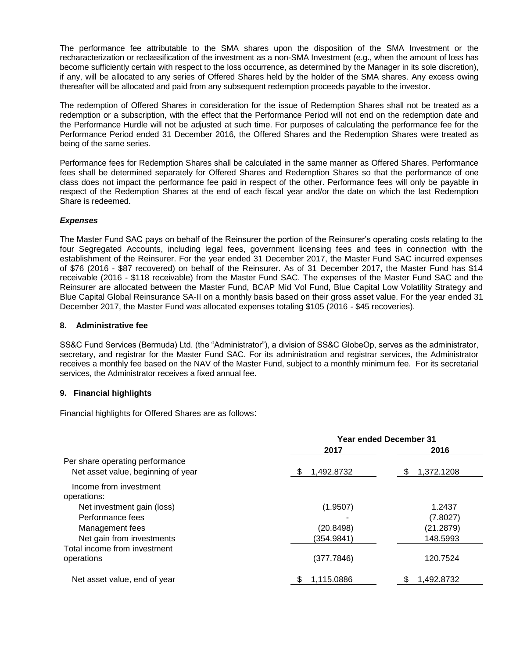The performance fee attributable to the SMA shares upon the disposition of the SMA Investment or the recharacterization or reclassification of the investment as a non-SMA Investment (e.g., when the amount of loss has become sufficiently certain with respect to the loss occurrence, as determined by the Manager in its sole discretion), if any, will be allocated to any series of Offered Shares held by the holder of the SMA shares. Any excess owing thereafter will be allocated and paid from any subsequent redemption proceeds payable to the investor.

The redemption of Offered Shares in consideration for the issue of Redemption Shares shall not be treated as a redemption or a subscription, with the effect that the Performance Period will not end on the redemption date and the Performance Hurdle will not be adjusted at such time. For purposes of calculating the performance fee for the Performance Period ended 31 December 2016, the Offered Shares and the Redemption Shares were treated as being of the same series.

Performance fees for Redemption Shares shall be calculated in the same manner as Offered Shares. Performance fees shall be determined separately for Offered Shares and Redemption Shares so that the performance of one class does not impact the performance fee paid in respect of the other. Performance fees will only be payable in respect of the Redemption Shares at the end of each fiscal year and/or the date on which the last Redemption Share is redeemed.

## *Expenses*

The Master Fund SAC pays on behalf of the Reinsurer the portion of the Reinsurer's operating costs relating to the four Segregated Accounts, including legal fees, government licensing fees and fees in connection with the establishment of the Reinsurer. For the year ended 31 December 2017, the Master Fund SAC incurred expenses of \$76 (2016 - \$87 recovered) on behalf of the Reinsurer. As of 31 December 2017, the Master Fund has \$14 receivable (2016 - \$118 receivable) from the Master Fund SAC. The expenses of the Master Fund SAC and the Reinsurer are allocated between the Master Fund, BCAP Mid Vol Fund, Blue Capital Low Volatility Strategy and Blue Capital Global Reinsurance SA-II on a monthly basis based on their gross asset value. For the year ended 31 December 2017, the Master Fund was allocated expenses totaling \$105 (2016 - \$45 recoveries).

## **8. Administrative fee**

SS&C Fund Services (Bermuda) Ltd. (the "Administrator"), a division of SS&C GlobeOp, serves as the administrator, secretary, and registrar for the Master Fund SAC. For its administration and registrar services, the Administrator receives a monthly fee based on the NAV of the Master Fund, subject to a monthly minimum fee. For its secretarial services, the Administrator receives a fixed annual fee.

## **9. Financial highlights**

Financial highlights for Offered Shares are as follows:

|                                                                       | <b>Year ended December 31</b> |                  |
|-----------------------------------------------------------------------|-------------------------------|------------------|
|                                                                       | 2017                          | 2016             |
| Per share operating performance<br>Net asset value, beginning of year | 1,492.8732                    | 1,372.1208<br>\$ |
| Income from investment<br>operations:                                 |                               |                  |
| Net investment gain (loss)                                            | (1.9507)                      | 1.2437           |
| Performance fees                                                      |                               | (7.8027)         |
| Management fees                                                       | (20.8498)                     | (21.2879)        |
| Net gain from investments                                             | (354.9841)                    | 148.5993         |
| Total income from investment                                          |                               |                  |
| operations                                                            | (377.7846)                    | 120.7524         |
| Net asset value, end of year                                          | 1,115.0886                    | 1,492.8732       |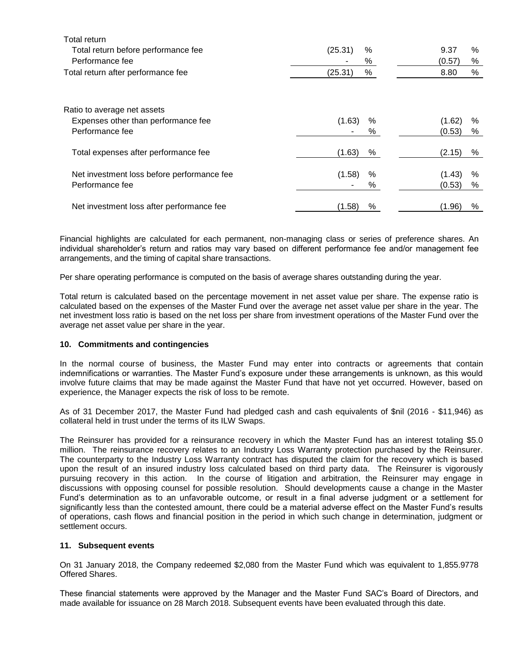| <b>Total return</b>                        |                 |                |
|--------------------------------------------|-----------------|----------------|
| Total return before performance fee        | (25.31)<br>$\%$ | 9.37<br>%      |
| Performance fee                            | $\%$            | (0.57)<br>%    |
| Total return after performance fee         | %<br>(25.31)    | %<br>8.80      |
| Ratio to average net assets                |                 |                |
| Expenses other than performance fee        | (1.63)<br>%     | (1.62)<br>%    |
| Performance fee                            | %               | (0.53)<br>%    |
| Total expenses after performance fee       | (1.63)<br>%     | (2.15)<br>%    |
| Net investment loss before performance fee | (1.58)<br>$\%$  | (1.43)<br>$\%$ |
| Performance fee                            | %               | (0.53)<br>%    |
| Net investment loss after performance fee  | (1.58)<br>%     | (1.96)<br>%    |

Financial highlights are calculated for each permanent, non-managing class or series of preference shares. An individual shareholder's return and ratios may vary based on different performance fee and/or management fee arrangements, and the timing of capital share transactions.

Per share operating performance is computed on the basis of average shares outstanding during the year.

Total return is calculated based on the percentage movement in net asset value per share. The expense ratio is calculated based on the expenses of the Master Fund over the average net asset value per share in the year. The net investment loss ratio is based on the net loss per share from investment operations of the Master Fund over the average net asset value per share in the year.

## **10. Commitments and contingencies**

In the normal course of business, the Master Fund may enter into contracts or agreements that contain indemnifications or warranties. The Master Fund's exposure under these arrangements is unknown, as this would involve future claims that may be made against the Master Fund that have not yet occurred. However, based on experience, the Manager expects the risk of loss to be remote.

As of 31 December 2017, the Master Fund had pledged cash and cash equivalents of \$nil (2016 - \$11,946) as collateral held in trust under the terms of its ILW Swaps.

The Reinsurer has provided for a reinsurance recovery in which the Master Fund has an interest totaling \$5.0 million. The reinsurance recovery relates to an Industry Loss Warranty protection purchased by the Reinsurer. The counterparty to the Industry Loss Warranty contract has disputed the claim for the recovery which is based upon the result of an insured industry loss calculated based on third party data. The Reinsurer is vigorously pursuing recovery in this action. In the course of litigation and arbitration, the Reinsurer may engage in discussions with opposing counsel for possible resolution. Should developments cause a change in the Master Fund's determination as to an unfavorable outcome, or result in a final adverse judgment or a settlement for significantly less than the contested amount, there could be a material adverse effect on the Master Fund's results of operations, cash flows and financial position in the period in which such change in determination, judgment or settlement occurs.

#### **11. Subsequent events**

On 31 January 2018, the Company redeemed \$2,080 from the Master Fund which was equivalent to 1,855.9778 Offered Shares.

These financial statements were approved by the Manager and the Master Fund SAC's Board of Directors, and made available for issuance on 28 March 2018. Subsequent events have been evaluated through this date.